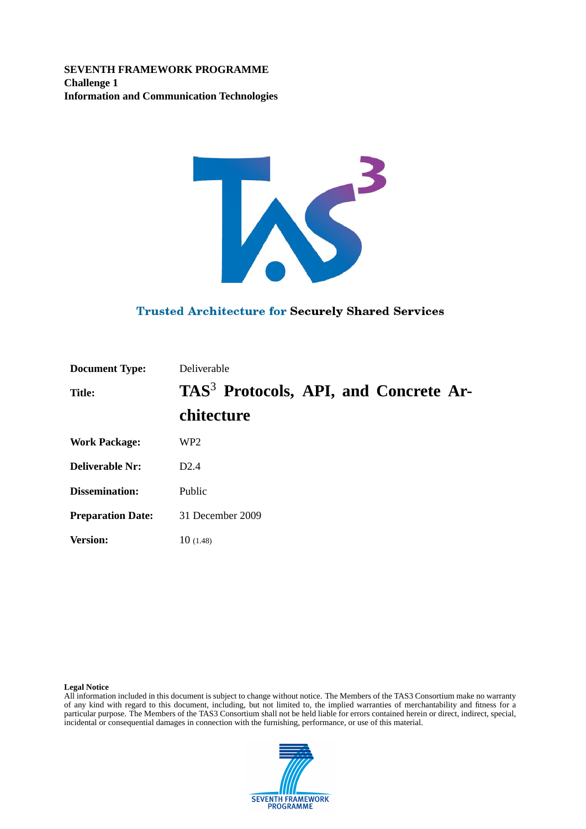**SEVENTH FRAMEWORK PROGRAMME Challenge 1 Information and Communication Technologies**



#### **Trusted Architecture for Securely Shared Services**

| <b>Document Type:</b>    | Deliverable                                       |
|--------------------------|---------------------------------------------------|
| <b>Title:</b>            | TAS <sup>3</sup> Protocols, API, and Concrete Ar- |
|                          | chitecture                                        |
| <b>Work Package:</b>     | WP <sub>2</sub>                                   |
| <b>Deliverable Nr:</b>   | D2.4                                              |
| Dissemination:           | Public                                            |
| <b>Preparation Date:</b> | 31 December 2009                                  |
| <b>Version:</b>          | 10(1.48)                                          |

#### **Legal Notice**

All information included in this document is subject to change without notice. The Members of the TAS3 Consortium make no warranty of any kind with regard to this document, including, but not limited to, the implied warranties of merchantability and fitness for a particular purpose. The Members of the TAS3 Consortium shall not be held liable for errors contained herein or direct, indirect, special, incidental or consequential damages in connection with the furnishing, performance, or use of this material.

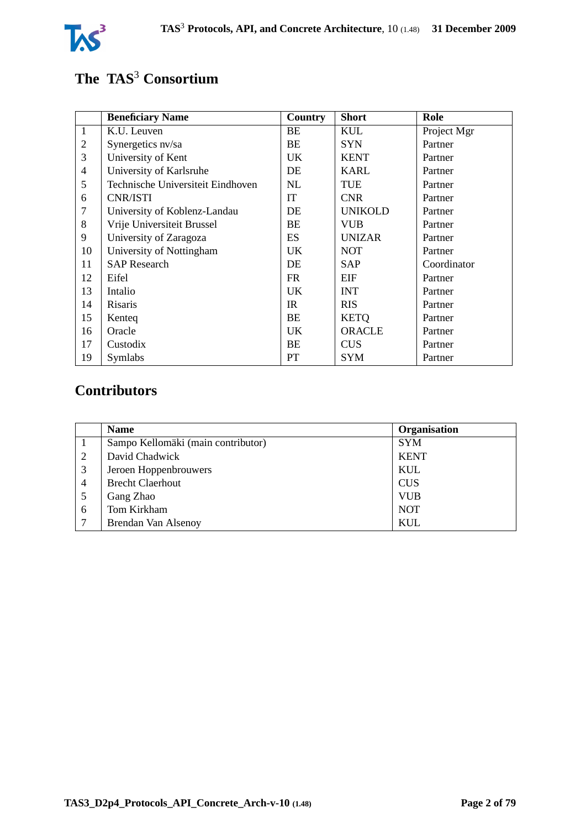

# **The TAS**<sup>3</sup> **Consortium**

|                | <b>Beneficiary Name</b>           | Country   | <b>Short</b>   | Role        |
|----------------|-----------------------------------|-----------|----------------|-------------|
| $\overline{1}$ | K.U. Leuven                       | BE        | <b>KUL</b>     | Project Mgr |
| 2              | Synergetics nv/sa                 | BE        | <b>SYN</b>     | Partner     |
| $\overline{3}$ | University of Kent                | <b>UK</b> | <b>KENT</b>    | Partner     |
| $\overline{4}$ | University of Karlsruhe           | DE        | <b>KARL</b>    | Partner     |
| 5              | Technische Universiteit Eindhoven | NL        | <b>TUE</b>     | Partner     |
| 6              | CNR/ISTI                          | IT        | <b>CNR</b>     | Partner     |
| 7              | University of Koblenz-Landau      | DE        | <b>UNIKOLD</b> | Partner     |
| 8              | Vrije Universiteit Brussel        | <b>BE</b> | <b>VUB</b>     | Partner     |
| 9              | University of Zaragoza            | ES        | <b>UNIZAR</b>  | Partner     |
| 10             | University of Nottingham          | <b>UK</b> | <b>NOT</b>     | Partner     |
| 11             | <b>SAP</b> Research               | DE        | <b>SAP</b>     | Coordinator |
| 12             | Eifel                             | FR.       | EIF            | Partner     |
| 13             | Intalio                           | <b>UK</b> | <b>INT</b>     | Partner     |
| 14             | Risaris                           | IR        | <b>RIS</b>     | Partner     |
| 15             | Kenteq                            | BE        | <b>KETQ</b>    | Partner     |
| 16             | Oracle                            | <b>UK</b> | <b>ORACLE</b>  | Partner     |
| 17             | Custodix                          | BE        | <b>CUS</b>     | Partner     |
| 19             | Symlabs                           | PT        | <b>SYM</b>     | Partner     |

# **Contributors**

|                | <b>Name</b>                        | Organisation |
|----------------|------------------------------------|--------------|
|                | Sampo Kellomäki (main contributor) | <b>SYM</b>   |
| 2              | David Chadwick                     | <b>KENT</b>  |
| 3              | Jeroen Hoppenbrouwers              | KUL          |
| $\overline{4}$ | <b>Brecht Claerhout</b>            | <b>CUS</b>   |
|                | Gang Zhao                          | <b>VUB</b>   |
| 6              | Tom Kirkham                        | <b>NOT</b>   |
| $\mathbf{z}$   | Brendan Van Alsenoy                | KUL          |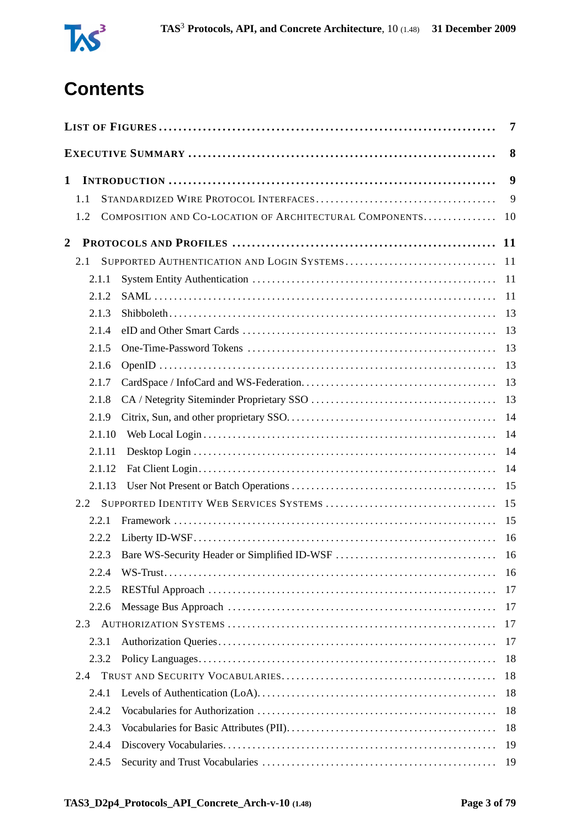

# **Contents**

|                |                                                                | $\overline{7}$ |
|----------------|----------------------------------------------------------------|----------------|
|                |                                                                | 8              |
| $\mathbf{1}$   |                                                                | 9              |
|                | 1.1                                                            | 9              |
|                | COMPOSITION AND CO-LOCATION OF ARCHITECTURAL COMPONENTS<br>1.2 | 10             |
| $\overline{2}$ |                                                                | <b>11</b>      |
|                | SUPPORTED AUTHENTICATION AND LOGIN SYSTEMS<br>2.1              | 11             |
|                | 2.1.1                                                          | 11             |
|                | 2.1.2                                                          | 11             |
|                | 2.1.3                                                          | 13             |
|                | 2.1.4                                                          | 13             |
|                | 2.1.5                                                          | 13             |
|                | 2.1.6                                                          | 13             |
|                | 2.1.7                                                          | 13             |
|                | 2.1.8                                                          | 13             |
|                | 2.1.9                                                          | 14             |
|                | 2.1.10                                                         | 14             |
|                | 2.1.11                                                         | 14             |
|                | 2.1.12                                                         | 14             |
|                | 2.1.13                                                         | 15             |
|                | 2.2                                                            | 15             |
|                | 2.2.1                                                          | 15             |
|                | 2.2.2                                                          | 16             |
|                | 2.2.3                                                          |                |
|                | 2.2.4                                                          | 16             |
|                | 2.2.5                                                          | 17             |
|                | 2.2.6                                                          | 17             |
|                | 2.3                                                            | 17             |
|                | 2.3.1                                                          | 17             |
|                | 2.3.2                                                          | 18             |
|                | 2.4                                                            | 18             |
|                | 2.4.1                                                          | 18             |
|                | 2.4.2                                                          | 18             |
|                | 2.4.3                                                          | 18             |
|                | 2.4.4                                                          | 19             |
|                | 2.4.5                                                          | 19             |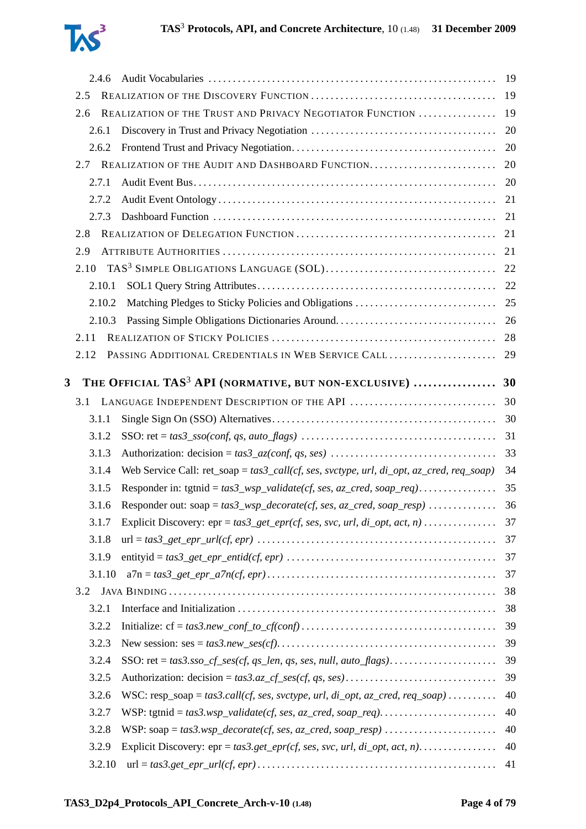

|   | 2.4.6           |                                                                                          |          |
|---|-----------------|------------------------------------------------------------------------------------------|----------|
|   | 2.5             |                                                                                          | 19       |
|   | 2.6             | REALIZATION OF THE TRUST AND PRIVACY NEGOTIATOR FUNCTION                                 | 19       |
|   | 2.6.1           |                                                                                          | 20       |
|   | 2.6.2           |                                                                                          | 20       |
|   |                 | 2.7 REALIZATION OF THE AUDIT AND DASHBOARD FUNCTION                                      | 20       |
|   | 2.7.1           |                                                                                          | 20       |
|   | 2.7.2           |                                                                                          | 21       |
|   | 2.7.3           |                                                                                          |          |
|   | 2.8             |                                                                                          | 21       |
|   | 2.9             |                                                                                          | 21       |
|   | 2.10            |                                                                                          |          |
|   | 2.10.1          |                                                                                          |          |
|   | 2.10.2          |                                                                                          |          |
|   | 2.10.3          |                                                                                          |          |
|   | 2.11            |                                                                                          | 28       |
|   | 2.12            | PASSING ADDITIONAL CREDENTIALS IN WEB SERVICE CALL                                       | 29       |
| 3 |                 | THE OFFICIAL TAS <sup>3</sup> API (NORMATIVE, BUT NON-EXCLUSIVE)  30                     |          |
|   | 3.1             | LANGUAGE INDEPENDENT DESCRIPTION OF THE API                                              | 30       |
|   | 3.1.1           |                                                                                          |          |
|   | 3.1.2           |                                                                                          | 31       |
|   | 3.1.3           |                                                                                          | 33       |
|   | 3.1.4           | Web Service Call: ret_soap = tas3_call(cf, ses, svctype, url, di_opt, az_cred, req_soap) | 34       |
|   | 3.1.5           |                                                                                          | 35       |
|   | 3.1.6           | Responder out: soap = $tas3_wsp\_decorate(cf, ses, az\_cred, soap\_resp)$                | 36       |
|   | 3.1.7           |                                                                                          |          |
|   |                 |                                                                                          |          |
|   |                 | Explicit Discovery: $epr = tas3\_get\_epr(cf, ses, src, url, di\_opt, act, n)$           | 37       |
|   | 3.1.8           |                                                                                          | 37       |
|   | 3.1.9<br>3.1.10 |                                                                                          | 37<br>37 |
|   | 3.2             |                                                                                          | 38       |
|   | 3.2.1           |                                                                                          | 38       |
|   | 3.2.2           |                                                                                          | 39       |
|   | 3.2.3           |                                                                                          | 39       |
|   | 3.2.4           |                                                                                          | 39       |
|   | 3.2.5           |                                                                                          | 39       |
|   | 3.2.6           | WSC: resp_soap = tas3.call(cf, ses, svctype, url, di_opt, az_cred, req_soap)             | 40       |
|   | 3.2.7           |                                                                                          | 40       |
|   | 3.2.8           |                                                                                          | 40       |
|   | 3.2.9           |                                                                                          | 40       |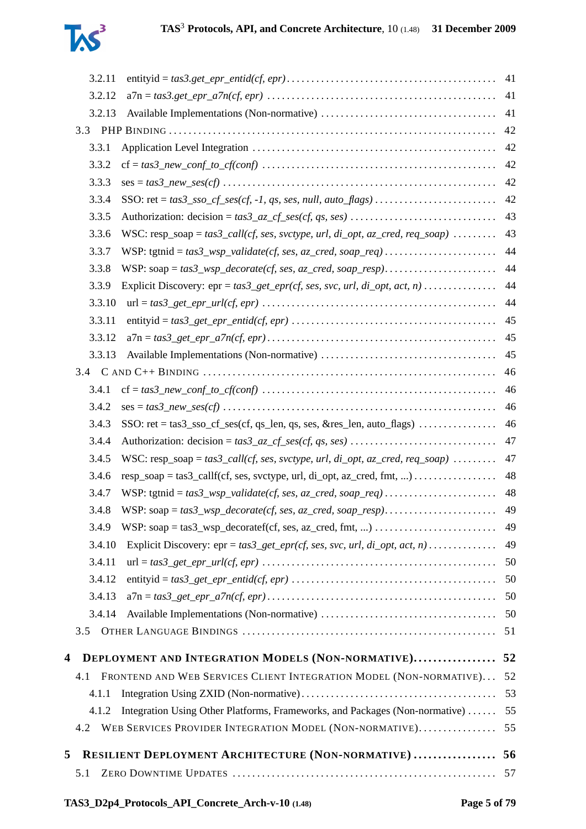

| 3.2.11                                                                                                                     | 41 |
|----------------------------------------------------------------------------------------------------------------------------|----|
| 3.2.12                                                                                                                     | 41 |
| 3.2.13                                                                                                                     | 41 |
|                                                                                                                            | 42 |
| 3.3.1                                                                                                                      | 42 |
| 3.3.2                                                                                                                      | 42 |
| 3.3.3                                                                                                                      | 42 |
| 3.3.4                                                                                                                      | 42 |
| 3.3.5<br>Authorization: $decision = tas3_az_c f_s \text{ess}(cf, qs, ses) \dots \dots \dots \dots \dots \dots \dots \dots$ | 43 |
| 3.3.6<br>WSC: resp_soap = $tas3_call(cf, ses, svctype, url, di_opt, az_cred, req_soop)$                                    | 43 |
| 3.3.7                                                                                                                      | 44 |
| 3.3.8                                                                                                                      | 44 |
| 3.3.9                                                                                                                      | 44 |
| 3.3.10                                                                                                                     | 44 |
| 3.3.11                                                                                                                     | 45 |
| 3.3.12                                                                                                                     | 45 |
| 3.3.13                                                                                                                     | 45 |
|                                                                                                                            | 46 |
| 3.4.1                                                                                                                      | 46 |
| 3.4.2                                                                                                                      | 46 |
| 3.4.3<br>SSO: $ret = tas3\_sso_c f_ses(cf, qs_len, qs, ses, & res_len, auto_flags) \dots \dots \dots \dots$                | 46 |
| 3.4.4                                                                                                                      | 47 |
| WSC: resp_soap = $tas3_call(cf, ses, svctype, url, di_opt, az_cred, req_soop)$<br>3.4.5                                    | 47 |
| 3.4.6<br>$resp\_soap = tas3\_callf(cf, ses, svctype, url, di\_opt, az\_cred, fmt, ) \dots \dots \dots \dots$               | 48 |
| 3.4.7                                                                                                                      | 48 |
| 3.4.8                                                                                                                      | 49 |
| 3.4.9                                                                                                                      | 49 |
| 3.4.10<br>Explicit Discovery: $epr = tas3.get\_epr(cf, ses, src, url, di\_opt, act, n)$                                    | 49 |
| 3.4.11                                                                                                                     | 50 |
| 3.4.12                                                                                                                     | 50 |
| 3.4.13                                                                                                                     | 50 |
| 3.4.14                                                                                                                     | 50 |
| 3.5                                                                                                                        | 51 |
| <b>DEPLOYMENT AND INTEGRATION MODELS (NON-NORMATIVE) 52</b><br>4                                                           |    |
| FRONTEND AND WEB SERVICES CLIENT INTEGRATION MODEL (NON-NORMATIVE)<br>4.1                                                  | 52 |
| 4.1.1                                                                                                                      | 53 |
| Integration Using Other Platforms, Frameworks, and Packages (Non-normative)<br>4.1.2                                       | 55 |
| WEB SERVICES PROVIDER INTEGRATION MODEL (NON-NORMATIVE)<br>4.2                                                             | 55 |
| <b>RESILIENT DEPLOYMENT ARCHITECTURE (NON-NORMATIVE)  56</b><br>5                                                          |    |
| 5.1                                                                                                                        | 57 |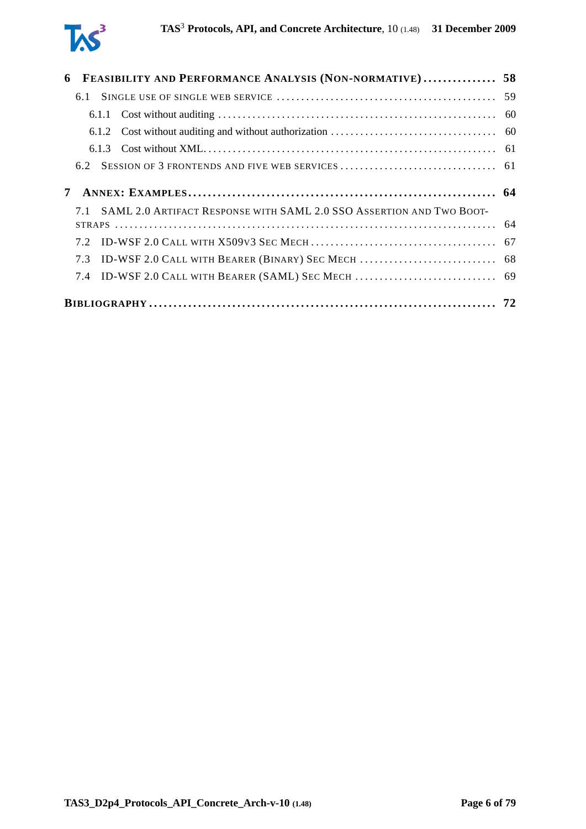

| 6 |     | <b>FEASIBILITY AND PERFORMANCE ANALYSIS (NON-NORMATIVE) 58</b>       |  |
|---|-----|----------------------------------------------------------------------|--|
|   | 6.1 |                                                                      |  |
|   |     |                                                                      |  |
|   |     |                                                                      |  |
|   |     |                                                                      |  |
|   | 6.2 |                                                                      |  |
|   |     |                                                                      |  |
|   |     | SAML 2.0 ARTIFACT RESPONSE WITH SAML 2.0 SSO ASSERTION AND TWO BOOT- |  |
|   |     |                                                                      |  |
|   | 7.3 |                                                                      |  |
|   | 7.4 |                                                                      |  |
|   |     |                                                                      |  |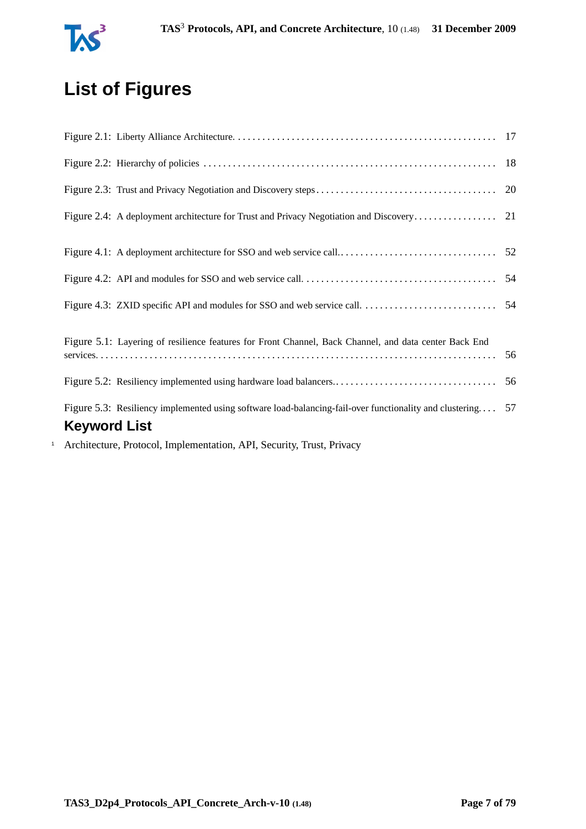

# **List of Figures**

<span id="page-6-0"></span>

|              | Figure 5.1: Layering of resilience features for Front Channel, Back Channel, and data center Back End      |  |
|--------------|------------------------------------------------------------------------------------------------------------|--|
|              |                                                                                                            |  |
|              | Figure 5.3: Resiliency implemented using software load-balancing-fail-over functionality and clustering 57 |  |
|              | <b>Keyword List</b>                                                                                        |  |
| $\mathbf{1}$ | Architecture, Protocol, Implementation, API, Security, Trust, Privacy                                      |  |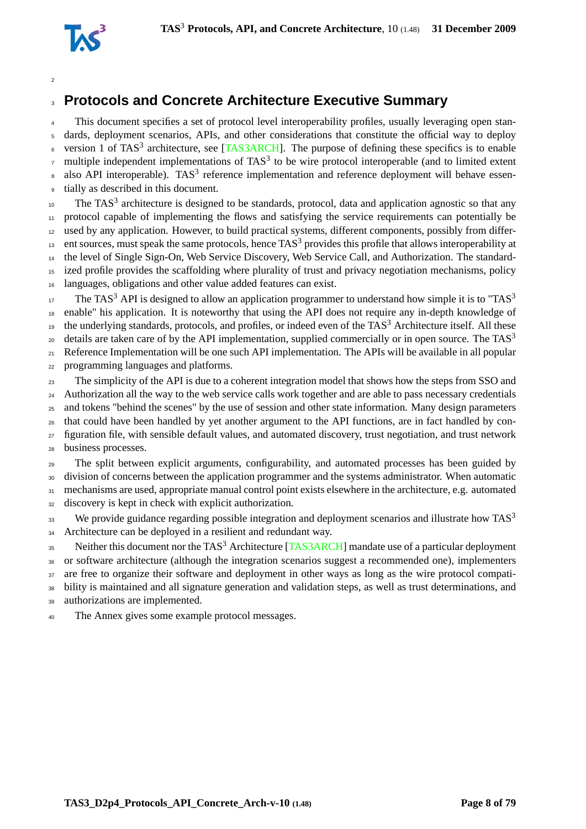

# **Protocols and Concrete Architecture Executive Summary**

This document specifies a set of protocol level interoperability profiles, usually leveraging open stan- dards, deployment scenarios, APIs, and other considerations that constitute the official way to deploy <sup>6</sup> version 1 of TAS<sup>3</sup> architecture, see [\[TAS3ARCH\]](#page-76-0). The purpose of defining these specifics is to enable  $\sigma$  multiple independent implementations of TAS<sup>3</sup> to be wire protocol interoperable (and to limited extent  $\alpha$  also API interoperable). TAS<sup>3</sup> reference implementation and reference deployment will behave essen-tially as described in this document.

 $10<sub>10</sub>$  The TAS<sup>3</sup> architecture is designed to be standards, protocol, data and application agnostic so that any protocol capable of implementing the flows and satisfying the service requirements can potentially be used by any application. However, to build practical systems, different components, possibly from differ- ent sources, must speak the same protocols, hence TAS<sup>3</sup> provides this profile that allows interoperability at the level of Single Sign-On, Web Service Discovery, Web Service Call, and Authorization. The standard- ized profile provides the scaffolding where plurality of trust and privacy negotiation mechanisms, policy languages, obligations and other value added features can exist.

The TAS<sup>3</sup> API is designed to allow an application programmer to understand how simple it is to "TAS<sup>3</sup> enable" his application. It is noteworthy that using the API does not require any in-depth knowledge of the underlying standards, protocols, and profiles, or indeed even of the TAS<sup>3</sup> Architecture itself. All these details are taken care of by the API implementation, supplied commercially or in open source. The  $TAS<sup>3</sup>$  Reference Implementation will be one such API implementation. The APIs will be available in all popular programming languages and platforms.

 The simplicity of the API is due to a coherent integration model that shows how the steps from SSO and <sup>24</sup> Authorization all the way to the web service calls work together and are able to pass necessary credentials and tokens "behind the scenes" by the use of session and other state information. Many design parameters that could have been handled by yet another argument to the API functions, are in fact handled by con- figuration file, with sensible default values, and automated discovery, trust negotiation, and trust network business processes.

 The split between explicit arguments, configurability, and automated processes has been guided by division of concerns between the application programmer and the systems administrator. When automatic mechanisms are used, appropriate manual control point exists elsewhere in the architecture, e.g. automated

discovery is kept in check with explicit authorization.

We provide guidance regarding possible integration and deployment scenarios and illustrate how  $TAS<sup>3</sup>$  34 Architecture can be deployed in a resilient and redundant way.

35 Neither this document nor the TAS<sup>3</sup> Architecture [\[TAS3ARCH\]](#page-76-0) mandate use of a particular deployment or software architecture (although the integration scenarios suggest a recommended one), implementers 37 are free to organize their software and deployment in other ways as long as the wire protocol compati- bility is maintained and all signature generation and validation steps, as well as trust determinations, and authorizations are implemented.

The Annex gives some example protocol messages.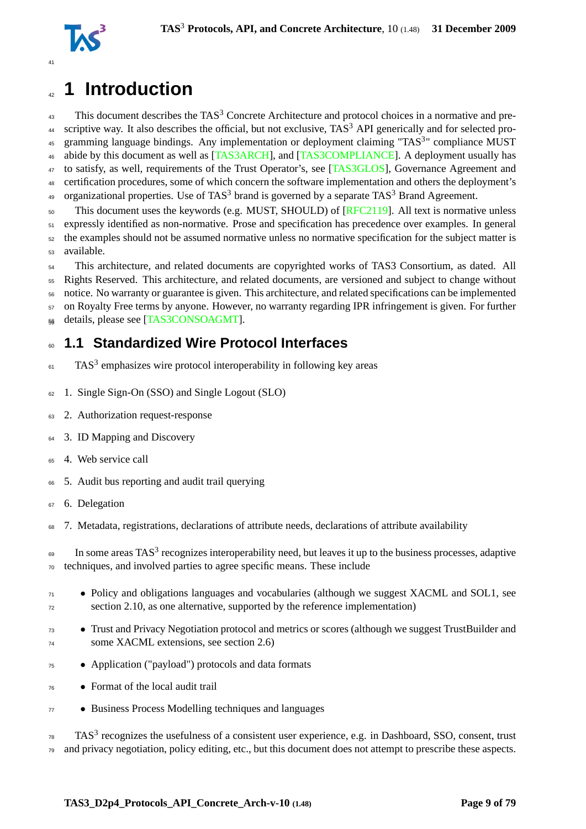

# <span id="page-8-0"></span><sup>42</sup> **1 Introduction**

 $43$  This document describes the TAS<sup>3</sup> Concrete Architecture and protocol choices in a normative and pre-<sup>44</sup> scriptive way. It also describes the official, but not exclusive,  $TAS<sup>3</sup>$  API generically and for selected pro-45 gramming language bindings. Any implementation or deployment claiming "TAS<sup>3</sup>" compliance MUST 46 abide by this document as well as [\[TAS3ARCH\]](#page-76-0), and [\[TAS3COMPLIANCE\]](#page-76-1). A deployment usually has 47 to satisfy, as well, requirements of the Trust Operator's, see [\[TAS3GLOS\]](#page-76-2), Governance Agreement and <sup>48</sup> certification procedures, some of which concern the software implementation and others the deployment's <sup>49</sup> organizational properties. Use of TAS<sup>3</sup> brand is governed by a separate TAS<sup>3</sup> Brand Agreement.

<sub>50</sub> This document uses the keywords (e.g. MUST, SHOULD) of [\[RFC2119\]](#page-74-0). All text is normative unless expressly identified as non-normative. Prose and specification has precedence over examples. In general the examples should not be assumed normative unless no normative specification for the subject matter is available.

<sup>54</sup> This architecture, and related documents are copyrighted works of TAS3 Consortium, as dated. All <sup>55</sup> Rights Reserved. This architecture, and related documents, are versioned and subject to change without <sup>56</sup> notice. No warranty or guarantee is given. This architecture, and related specifications can be implemented <sup>57</sup> on Royalty Free terms by anyone. However, no warranty regarding IPR infringement is given. For further 58 details, please see [\[TAS3CONSOAGMT\]](#page-76-3).

## <span id="page-8-1"></span><sup>60</sup> **1.1 Standardized Wire Protocol Interfaces**

- $F_{61}$  TAS<sup>3</sup> emphasizes wire protocol interoperability in following key areas
- <sup>62</sup> 1. Single Sign-On (SSO) and Single Logout (SLO)
- <sup>63</sup> 2. Authorization request-response
- <sup>64</sup> 3. ID Mapping and Discovery
- <sup>65</sup> 4. Web service call
- <sup>66</sup> 5. Audit bus reporting and audit trail querying
- <sup>67</sup> 6. Delegation
- <sup>68</sup> 7. Metadata, registrations, declarations of attribute needs, declarations of attribute availability

 $\epsilon_{\text{9}}$  In some areas TAS<sup>3</sup> recognizes interoperability need, but leaves it up to the business processes, adaptive <sup>70</sup> techniques, and involved parties to agree specific means. These include

- <sup>71</sup> Policy and obligations languages and vocabularies (although we suggest XACML and SOL1, see <sup>72</sup> section [2.10,](#page-21-0) as one alternative, supported by the reference implementation)
- Trust and Privacy Negotiation protocol and metrics or scores (although we suggest TrustBuilder and some XACML extensions, see section [2.6\)](#page-18-4)
- <sup>75</sup> Application ("payload") protocols and data formats
- <sup>76</sup> Format of the local audit trail
- <sup>77</sup> Business Process Modelling techniques and languages

 $78$  TAS<sup>3</sup> recognizes the usefulness of a consistent user experience, e.g. in Dashboard, SSO, consent, trust  $79$  and privacy negotiation, policy editing, etc., but this document does not attempt to prescribe these aspects.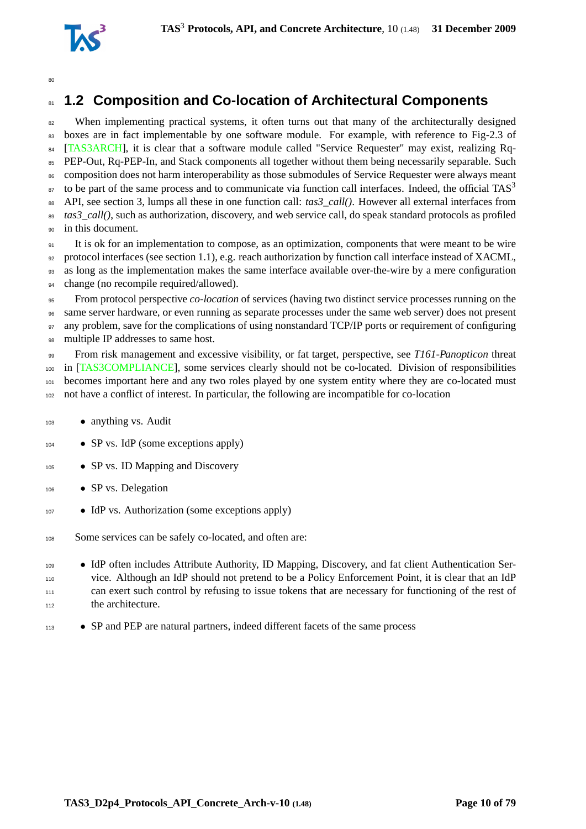

# <span id="page-9-0"></span>**1.2 Composition and Co-location of Architectural Components**

<sup>82</sup> When implementing practical systems, it often turns out that many of the architecturally designed boxes are in fact implementable by one software module. For example, with reference to Fig-2.3 of [\[TAS3ARCH\]](#page-76-0), it is clear that a software module called "Service Requester" may exist, realizing Rq- PEP-Out, Rq-PEP-In, and Stack components all together without them being necessarily separable. Such composition does not harm interoperability as those submodules of Service Requester were always meant to be part of the same process and to communicate via function call interfaces. Indeed, the official  $TAS<sup>3</sup>$  API, see section [3,](#page-29-0) lumps all these in one function call: *tas3\_call()*. However all external interfaces from *tas3\_call()*, such as authorization, discovery, and web service call, do speak standard protocols as profiled in this document.

 It is ok for an implementation to compose, as an optimization, components that were meant to be wire protocol interfaces (see section [1.1\)](#page-8-1), e.g. reach authorization by function call interface instead of XACML, as long as the implementation makes the same interface available over-the-wire by a mere configuration change (no recompile required/allowed).

 From protocol perspective *co-location* of services (having two distinct service processes running on the same server hardware, or even running as separate processes under the same web server) does not present 97 any problem, save for the complications of using nonstandard TCP/IP ports or requirement of configuring multiple IP addresses to same host.

 From risk management and excessive visibility, or fat target, perspective, see *T161-Panopticon* threat in [\[TAS3COMPLIANCE\]](#page-76-1), some services clearly should not be co-located. Division of responsibilities becomes important here and any two roles played by one system entity where they are co-located must not have a conflict of interest. In particular, the following are incompatible for co-location

- anything vs. Audit
- SP vs. IdP (some exceptions apply)
- 105 SP vs. ID Mapping and Discovery
- 106 SP vs. Delegation
- <sup>107</sup> IdP vs. Authorization (some exceptions apply)
- Some services can be safely co-located, and often are:
- IdP often includes Attribute Authority, ID Mapping, Discovery, and fat client Authentication Ser- vice. Although an IdP should not pretend to be a Policy Enforcement Point, it is clear that an IdP can exert such control by refusing to issue tokens that are necessary for functioning of the rest of the architecture.
- SP and PEP are natural partners, indeed different facets of the same process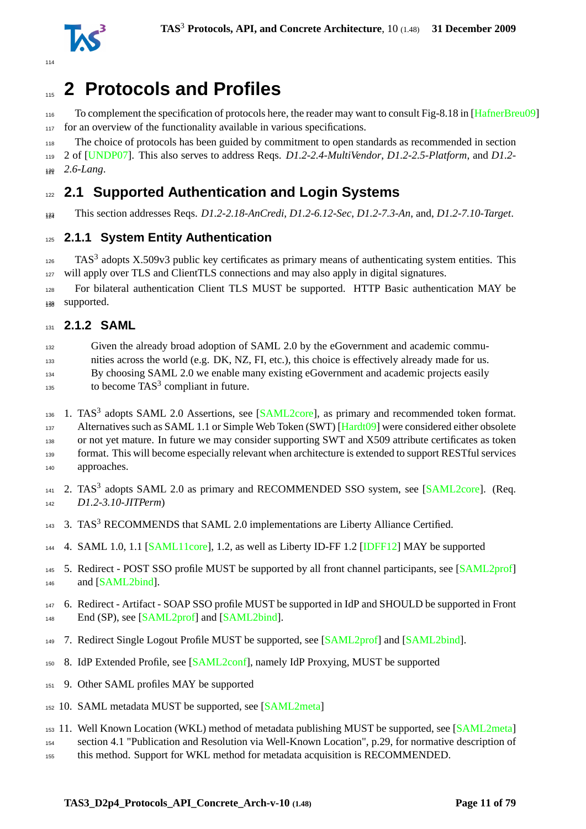

# <span id="page-10-0"></span>**2 Protocols and Profiles**

116 To complement the specification of protocols here, the reader may want to consult Fig-8.18 in [\[HafnerBreu09\]](#page-72-0) for an overview of the functionality available in various specifications.

The choice of protocols has been guided by commitment to open standards as recommended in section

 2 of [\[UNDP07\]](#page-77-0). This also serves to address Reqs. *D1.2-2.4-MultiVendor*, *D1.2-2.5-Platform*, and *D1.2-* 130 2.6-Lang.

# <span id="page-10-1"></span>**2.1 Supported Authentication and Login Systems**

This section addresses Reqs. *D1.2-2.18-AnCredi*, *D1.2-6.12-Sec*, *D1.2-7.3-An*, and, *D1.2-7.10-Target*. <sup>124</sup>

### <span id="page-10-2"></span>**2.1.1 System Entity Authentication**

 TAS<sup>3</sup> adopts X.509v3 public key certificates as primary means of authenticating system entities. This 127 will apply over TLS and ClientTLS connections and may also apply in digital signatures.

 For bilateral authentication Client TLS MUST be supported. HTTP Basic authentication MAY be 138 supported.

#### <span id="page-10-3"></span>**2.1.2 SAML**

Given the already broad adoption of SAML 2.0 by the eGovernment and academic commu-

nities across the world (e.g. DK, NZ, FI, etc.), this choice is effectively already made for us.

By choosing SAML 2.0 we enable many existing eGovernment and academic projects easily

 $_{135}$  to become TAS<sup>3</sup> compliant in future.

136 1. TAS<sup>3</sup> adopts SAML 2.0 Assertions, see [\[SAML2core\]](#page-75-0), as primary and recommended token format.

Alternatives such as SAML 1.1 or Simple Web Token (SWT) [\[Hardt09\]](#page-72-1) were considered either obsolete

or not yet mature. In future we may consider supporting SWT and X509 attribute certificates as token

format. This will become especially relevant when architecture is extended to support RESTful services

approaches.

141 2. TAS<sup>3</sup> adopts SAML 2.0 as primary and RECOMMENDED SSO system, see [\[SAML2core\]](#page-75-0). (Req. *D1.2-3.10-JITPerm*)

- 143 3. TAS<sup>3</sup> RECOMMENDS that SAML 2.0 implementations are Liberty Alliance Certified.
- 4. SAML 1.0, 1.1 [\[SAML11core\]](#page-75-1), 1.2, as well as Liberty ID-FF 1.2 [\[IDFF12\]](#page-72-2) MAY be supported
- 5. Redirect POST SSO profile MUST be supported by all front channel participants, see [\[SAML2prof\]](#page-75-2) and [\[SAML2bind\]](#page-75-3).
- 6. Redirect Artifact SOAP SSO profile MUST be supported in IdP and SHOULD be supported in Front End (SP), see [\[SAML2prof\]](#page-75-2) and [\[SAML2bind\]](#page-75-3).
- 7. Redirect Single Logout Profile MUST be supported, see [\[SAML2prof\]](#page-75-2) and [\[SAML2bind\]](#page-75-3).
- 8. IdP Extended Profile, see [\[SAML2conf\]](#page-75-4), namely IdP Proxying, MUST be supported
- 9. Other SAML profiles MAY be supported
- 10. SAML metadata MUST be supported, see [\[SAML2meta\]](#page-75-5)
- 11. Well Known Location (WKL) method of metadata publishing MUST be supported, see [\[SAML2meta\]](#page-75-5)
- section 4.1 "Publication and Resolution via Well-Known Location", p.29, for normative description of
- this method. Support for WKL method for metadata acquisition is RECOMMENDED.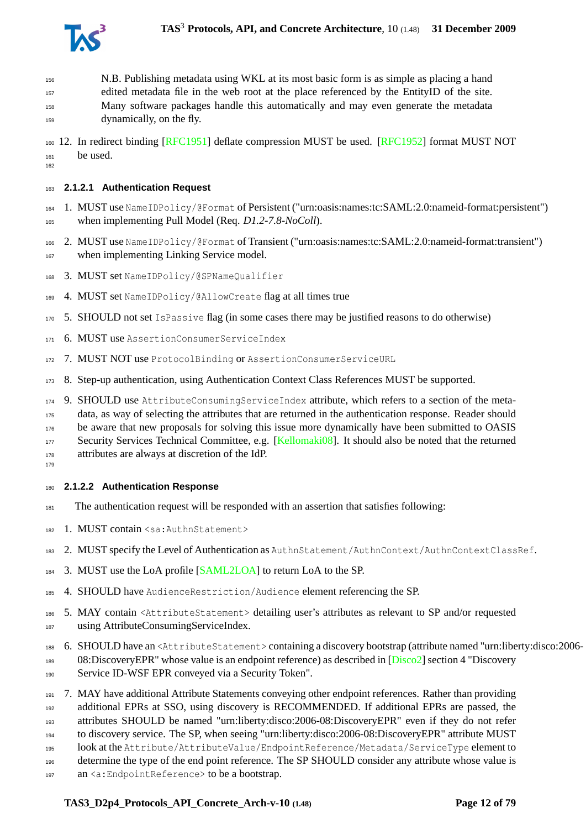

 N.B. Publishing metadata using WKL at its most basic form is as simple as placing a hand edited metadata file in the web root at the place referenced by the EntityID of the site. Many software packages handle this automatically and may even generate the metadata dynamically, on the fly.

 12. In redirect binding [\[RFC1951\]](#page-74-1) deflate compression MUST be used. [\[RFC1952\]](#page-74-2) format MUST NOT be used.

#### **2.1.2.1 Authentication Request**

 1. MUST use NameIDPolicy/@Format of Persistent ("urn:oasis:names:tc:SAML:2.0:nameid-format:persistent") when implementing Pull Model (Req. *D1.2-7.8-NoColl*).

 2. MUST use NameIDPolicy/@Format of Transient ("urn:oasis:names:tc:SAML:2.0:nameid-format:transient") when implementing Linking Service model.

- 3. MUST set NameIDPolicy/@SPNameQualifier
- 4. MUST set NameIDPolicy/@AllowCreate flag at all times true

5. SHOULD not set IsPassive flag (in some cases there may be justified reasons to do otherwise)

- 6. MUST use AssertionConsumerServiceIndex
- 7. MUST NOT use ProtocolBinding or AssertionConsumerServiceURL
- 8. Step-up authentication, using Authentication Context Class References MUST be supported.
- 9. SHOULD use AttributeConsumingServiceIndex attribute, which refers to a section of the meta-

data, as way of selecting the attributes that are returned in the authentication response. Reader should

be aware that new proposals for solving this issue more dynamically have been submitted to OASIS

Security Services Technical Committee, e.g. [\[Kellomaki08\]](#page-73-0). It should also be noted that the returned

attributes are always at discretion of the IdP.

#### **2.1.2.2 Authentication Response**

- The authentication request will be responded with an assertion that satisfies following:
- 182 1. MUST contain <sa: AuthnStatement>
- 2. MUST specify the Level of Authentication as AuthnStatement/AuthnContext/AuthnContextClassRef.
- 184 3. MUST use the LoA profile [\[SAML2LOA\]](#page-75-6) to return LoA to the SP.
- 4. SHOULD have AudienceRestriction/Audience element referencing the SP.
- 5. MAY contain <AttributeStatement> detailing user's attributes as relevant to SP and/or requested
- using AttributeConsumingServiceIndex.
- 6. SHOULD have an <AttributeStatement> containing a discovery bootstrap (attribute named "urn:liberty:disco:2006-
- 189 08:DiscoveryEPR" whose value is an endpoint reference) as described in [\[Disco2\]](#page-72-3) section 4 "Discovery Service ID-WSF EPR conveyed via a Security Token".
- 
- 7. MAY have additional Attribute Statements conveying other endpoint references. Rather than providing additional EPRs at SSO, using discovery is RECOMMENDED. If additional EPRs are passed, the

attributes SHOULD be named "urn:liberty:disco:2006-08:DiscoveryEPR" even if they do not refer

to discovery service. The SP, when seeing "urn:liberty:disco:2006-08:DiscoveryEPR" attribute MUST

look at the Attribute/AttributeValue/EndpointReference/Metadata/ServiceType element to

determine the type of the end point reference. The SP SHOULD consider any attribute whose value is

197 an <a: Endpoint Reference> to be a bootstrap.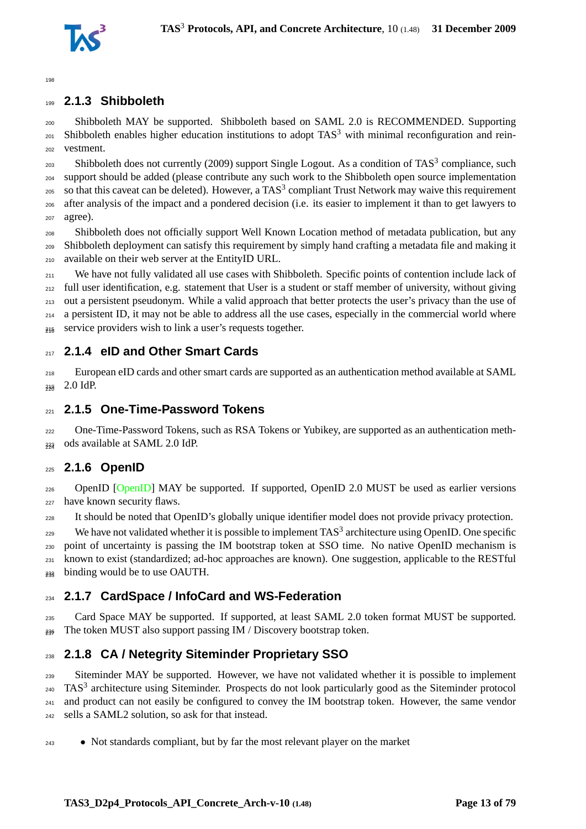

### <span id="page-12-0"></span>**2.1.3 Shibboleth**

 Shibboleth MAY be supported. Shibboleth based on SAML 2.0 is RECOMMENDED. Supporting 201 Shibboleth enables higher education institutions to adopt  $TAS<sup>3</sup>$  with minimal reconfiguration and rein-vestment.

 $_{203}$  Shibboleth does not currently (2009) support Single Logout. As a condition of TAS<sup>3</sup> compliance, such support should be added (please contribute any such work to the Shibboleth open source implementation 205 so that this caveat can be deleted). However, a TAS<sup>3</sup> compliant Trust Network may waive this requirement after analysis of the impact and a pondered decision (i.e. its easier to implement it than to get lawyers to agree).

 Shibboleth does not officially support Well Known Location method of metadata publication, but any Shibboleth deployment can satisfy this requirement by simply hand crafting a metadata file and making it available on their web server at the EntityID URL.

<sup>211</sup> We have not fully validated all use cases with Shibboleth. Specific points of contention include lack of  $_{212}$  full user identification, e.g. statement that User is a student or staff member of university, without giving out a persistent pseudonym. While a valid approach that better protects the user's privacy than the use of a persistent ID, it may not be able to address all the use cases, especially in the commercial world where  $_{245}$  service providers wish to link a user's requests together.

### <span id="page-12-1"></span>**2.1.4 eID and Other Smart Cards**

 European eID cards and other smart cards are supported as an authentication method available at SAML 238 2.0 IdP.

#### <span id="page-12-2"></span>**2.1.5 One-Time-Password Tokens**

 One-Time-Password Tokens, such as RSA Tokens or Yubikey, are supported as an authentication meth- $_{232}$  ods available at SAML 2.0 IdP.

### <span id="page-12-3"></span>**2.1.6 OpenID**

226 OpenID [\[OpenID\]](#page-74-3) MAY be supported. If supported, OpenID 2.0 MUST be used as earlier versions have known security flaws.

It should be noted that OpenID's globally unique identifier model does not provide privacy protection.

 We have not validated whether it is possible to implement TAS<sup>3</sup> architecture using OpenID. One specific point of uncertainty is passing the IM bootstrap token at SSO time. No native OpenID mechanism is known to exist (standardized; ad-hoc approaches are known). One suggestion, applicable to the RESTful <sup>233</sup> binding would be to use OAUTH.

### <span id="page-12-4"></span>**2.1.7 CardSpace / InfoCard and WS-Federation**

 Card Space MAY be supported. If supported, at least SAML 2.0 token format MUST be supported.  $_{236}$  The token MUST also support passing IM / Discovery bootstrap token.

### <span id="page-12-5"></span>**2.1.8 CA / Netegrity Siteminder Proprietary SSO**

 Siteminder MAY be supported. However, we have not validated whether it is possible to implement TAS<sup>3</sup> architecture using Siteminder. Prospects do not look particularly good as the Siteminder protocol and product can not easily be configured to convey the IM bootstrap token. However, the same vendor sells a SAML2 solution, so ask for that instead.

• Not standards compliant, but by far the most relevant player on the market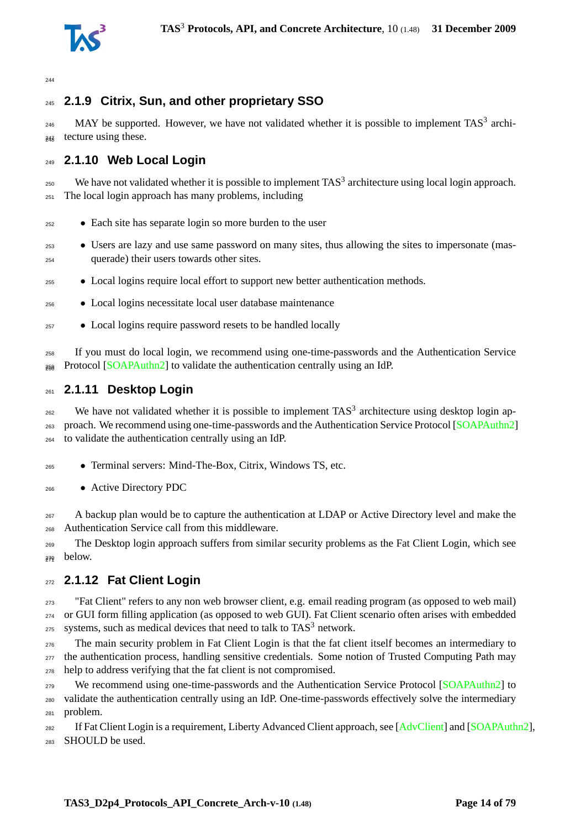

## <span id="page-13-0"></span>**2.1.9 Citrix, Sun, and other proprietary SSO**

 $_{246}$  MAY be supported. However, we have not validated whether it is possible to implement TAS<sup>3</sup> archi- $_{24\overline{8}}$  tecture using these.

## <span id="page-13-1"></span>**2.1.10 Web Local Login**

 $_{250}$  We have not validated whether it is possible to implement TAS<sup>3</sup> architecture using local login approach. The local login approach has many problems, including

- Each site has separate login so more burden to the user
- Users are lazy and use same password on many sites, thus allowing the sites to impersonate (mas-querade) their users towards other sites.
- Local logins require local effort to support new better authentication methods.
- Local logins necessitate local user database maintenance
- Local logins require password resets to be handled locally

 If you must do local login, we recommend using one-time-passwords and the Authentication Service  $_{268}$  Protocol [\[SOAPAuthn2\]](#page-75-7) to validate the authentication centrally using an IdP.

#### <span id="page-13-2"></span>**2.1.11 Desktop Login**

 We have not validated whether it is possible to implement TAS<sup>3</sup> architecture using desktop login ap- proach. We recommend using one-time-passwords and the Authentication Service Protocol [\[SOAPAuthn2\]](#page-75-7) to validate the authentication centrally using an IdP.

- Terminal servers: Mind-The-Box, Citrix, Windows TS, etc.
- Active Directory PDC

<sub>267</sub> A backup plan would be to capture the authentication at LDAP or Active Directory level and make the Authentication Service call from this middleware.

 The Desktop login approach suffers from similar security problems as the Fat Client Login, which see below.

### <span id="page-13-3"></span>**2.1.12 Fat Client Login**

 "Fat Client" refers to any non web browser client, e.g. email reading program (as opposed to web mail) or GUI form filling application (as opposed to web GUI). Fat Client scenario often arises with embedded systems, such as medical devices that need to talk to  $TAS<sup>3</sup>$  network.

 The main security problem in Fat Client Login is that the fat client itself becomes an intermediary to the authentication process, handling sensitive credentials. Some notion of Trusted Computing Path may help to address verifying that the fat client is not compromised.

<sup>279</sup> We recommend using one-time-passwords and the Authentication Service Protocol [\[SOAPAuthn2\]](#page-75-7) to validate the authentication centrally using an IdP. One-time-passwords effectively solve the intermediary problem.

<sup>282</sup> If Fat Client Login is a requirement, Liberty Advanced Client approach, see [\[AdvClient\]](#page-71-1) and [\[SOAPAuthn2\]](#page-75-7), SHOULD be used.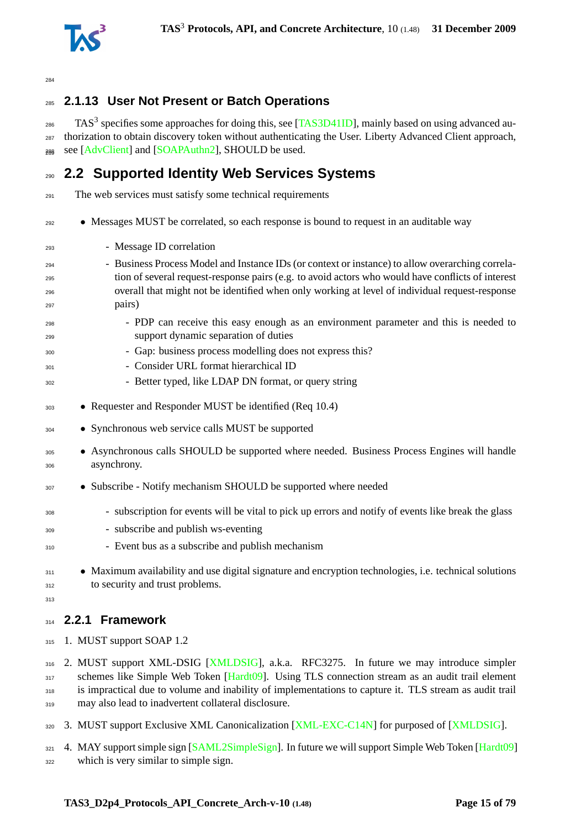

## <span id="page-14-0"></span>**2.1.13 User Not Present or Batch Operations**

 $_{286}$  TAS<sup>3</sup> specifies some approaches for doing this, see [\[TAS3D41ID\]](#page-76-4), mainly based on using advanced au- thorization to obtain discovery token without authenticating the User. Liberty Advanced Client approach, <sup>288</sup> see [\[AdvClient\]](#page-71-1) and [\[SOAPAuthn2\]](#page-75-7), SHOULD be used.

# <span id="page-14-1"></span>**2.2 Supported Identity Web Services Systems**

The web services must satisfy some technical requirements

- Messages MUST be correlated, so each response is bound to request in an auditable way
- Message ID correlation
- Business Process Model and Instance IDs (or context or instance) to allow overarching correla- tion of several request-response pairs (e.g. to avoid actors who would have conflicts of interest overall that might not be identified when only working at level of individual request-response pairs)
- PDP can receive this easy enough as an environment parameter and this is needed to support dynamic separation of duties
- Gap: business process modelling does not express this?
- Consider URL format hierarchical ID
- Better typed, like LDAP DN format, or query string
- Requester and Responder MUST be identified (Req 10.4)
- Synchronous web service calls MUST be supported
- Asynchronous calls SHOULD be supported where needed. Business Process Engines will handle asynchrony.
- Subscribe Notify mechanism SHOULD be supported where needed
- subscription for events will be vital to pick up errors and notify of events like break the glass
- subscribe and publish ws-eventing
- Event bus as a subscribe and publish mechanism
- <sup>311</sup> Maximum availability and use digital signature and encryption technologies, i.e. technical solutions to security and trust problems.
- <span id="page-14-2"></span>

#### **2.2.1 Framework**

315 1. MUST support SOAP 1.2

 2. MUST support XML-DSIG [\[XMLDSIG\]](#page-77-1), a.k.a. RFC3275. In future we may introduce simpler 317 schemes like Simple Web Token [\[Hardt09\]](#page-72-1). Using TLS connection stream as an audit trail element 318 is impractical due to volume and inability of implementations to capture it. TLS stream as audit trail may also lead to inadvertent collateral disclosure.

320 3. MUST support Exclusive XML Canonicalization [\[XML-EXC-C14N\]](#page-77-2) for purposed of [\[XMLDSIG\]](#page-77-1).

321 4. MAY support simple sign [\[SAML2SimpleSign\]](#page-75-8). In future we will support Simple Web Token [\[Hardt09\]](#page-72-1)

which is very similar to simple sign.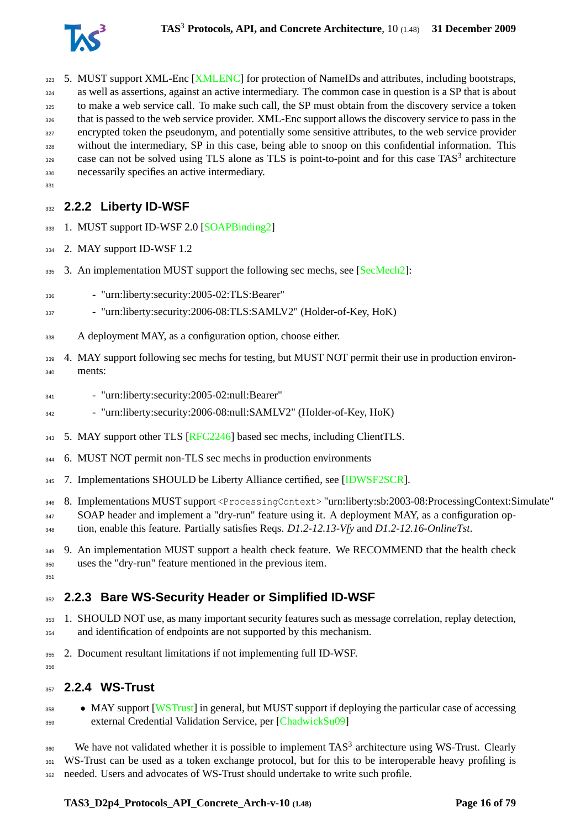

<span id="page-15-0"></span> $33<sup>1</sup>$ 

- 323 5. MUST support XML-Enc [\[XMLENC\]](#page-78-1) for protection of NameIDs and attributes, including bootstraps, as well as assertions, against an active intermediary. The common case in question is a SP that is about to make a web service call. To make such call, the SP must obtain from the discovery service a token that is passed to the web service provider. XML-Enc support allows the discovery service to pass in the encrypted token the pseudonym, and potentially some sensitive attributes, to the web service provider without the intermediary, SP in this case, being able to snoop on this confidential information. This case can not be solved using TLS alone as TLS is point-to-point and for this case TAS<sup>3</sup> architecture necessarily specifies an active intermediary.
- **2.2.2 Liberty ID-WSF**
- 1. MUST support ID-WSF 2.0 [\[SOAPBinding2\]](#page-75-9)
- 2. MAY support ID-WSF 1.2
- 3. An implementation MUST support the following sec mechs, see [\[SecMech2\]](#page-75-10):
- "urn:liberty:security:2005-02:TLS:Bearer"
- "urn:liberty:security:2006-08:TLS:SAMLV2" (Holder-of-Key, HoK)
- A deployment MAY, as a configuration option, choose either.
- 339 4. MAY support following sec mechs for testing, but MUST NOT permit their use in production environ-ments:
- "urn:liberty:security:2005-02:null:Bearer"
- <sup>342</sup> "urn:liberty:security:2006-08:null:SAMLV2" (Holder-of-Key, HoK)
- 343 5. MAY support other TLS [\[RFC2246\]](#page-74-4) based sec mechs, including ClientTLS.
- 6. MUST NOT permit non-TLS sec mechs in production environments
- 7. Implementations SHOULD be Liberty Alliance certified, see [\[IDWSF2SCR\]](#page-72-4).
- 8. Implementations MUST support <ProcessingContext> "urn:liberty:sb:2003-08:ProcessingContext:Simulate"
- SOAP header and implement a "dry-run" feature using it. A deployment MAY, as a configuration op-
- tion, enable this feature. Partially satisfies Reqs. *D1.2-12.13-Vfy* and *D1.2-12.16-OnlineTst*.
- 349 9. An implementation MUST support a health check feature. We RECOMMEND that the health check uses the "dry-run" feature mentioned in the previous item.
- <span id="page-15-1"></span> $35<sup>1</sup>$

<span id="page-15-2"></span>

### **2.2.3 Bare WS-Security Header or Simplified ID-WSF**

- 1. SHOULD NOT use, as many important security features such as message correlation, replay detection, and identification of endpoints are not supported by this mechanism.
- 2. Document resultant limitations if not implementing full ID-WSF.
- **2.2.4 WS-Trust**
- <sup>358</sup> MAY support [\[WSTrust\]](#page-77-3) in general, but MUST support if deploying the particular case of accessing external Credential Validation Service, per [\[ChadwickSu09\]](#page-71-2)

 We have not validated whether it is possible to implement TAS<sup>3</sup> architecture using WS-Trust. Clearly 361 WS-Trust can be used as a token exchange protocol, but for this to be interoperable heavy profiling is needed. Users and advocates of WS-Trust should undertake to write such profile.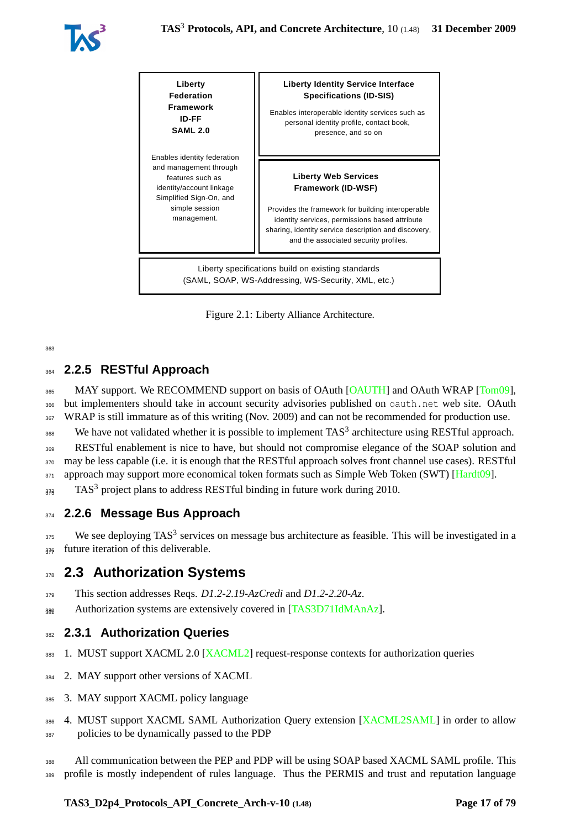



<span id="page-16-4"></span>Figure 2.1: Liberty Alliance Architecture.

## <span id="page-16-0"></span><sup>364</sup> **2.2.5 RESTful Approach**

365 MAY support. We RECOMMEND support on basis of OAuth [\[OAUTH\]](#page-74-5) and OAuth WRAP [\[Tom09\]](#page-77-4), <sup>366</sup> but implementers should take in account security advisories published on oauth.net web site. OAuth <sup>367</sup> WRAP is still immature as of this writing (Nov. 2009) and can not be recommended for production use.

368 We have not validated whether it is possible to implement  $TAS<sup>3</sup>$  architecture using RESTful approach.

<sup>369</sup> RESTful enablement is nice to have, but should not compromise elegance of the SOAP solution and <sup>370</sup> may be less capable (i.e. it is enough that the RESTful approach solves front channel use cases). RESTful

 $371$  approach may support more economical token formats such as Simple Web Token (SWT) [\[Hardt09\]](#page-72-1).

<span id="page-16-1"></span> $373$  TAS<sup>3</sup> project plans to address RESTful binding in future work during 2010.

### <sup>374</sup> **2.2.6 Message Bus Approach**

 $375$  We see deploying TAS<sup>3</sup> services on message bus architecture as feasible. This will be investigated in a 376 future iteration of this deliverable.

## <span id="page-16-2"></span><sup>378</sup> **2.3 Authorization Systems**

<sup>379</sup> This section addresses Reqs. *D1.2-2.19-AzCredi* and *D1.2-2.20-Az*.

<span id="page-16-3"></span> $_{389}$  Authorization systems are extensively covered in [\[TAS3D71IdMAnAz\]](#page-76-5).

### <sup>382</sup> **2.3.1 Authorization Queries**

- <sup>383</sup> 1. MUST support XACML 2.0 [\[XACML2\]](#page-77-5) request-response contexts for authorization queries
- <sup>384</sup> 2. MAY support other versions of XACML
- <sup>385</sup> 3. MAY support XACML policy language
- 386 4. MUST support XACML SAML Authorization Query extension [\[XACML2SAML\]](#page-77-6) in order to allow
- <sup>387</sup> policies to be dynamically passed to the PDP
- <sup>388</sup> All communication between the PEP and PDP will be using SOAP based XACML SAML profile. This
- <sup>389</sup> profile is mostly independent of rules language. Thus the PERMIS and trust and reputation language

#### **TAS3\_D2p4\_Protocols\_API\_Concrete\_Arch-v-10 (1.48) Page 17 of [79](#page-78-0)**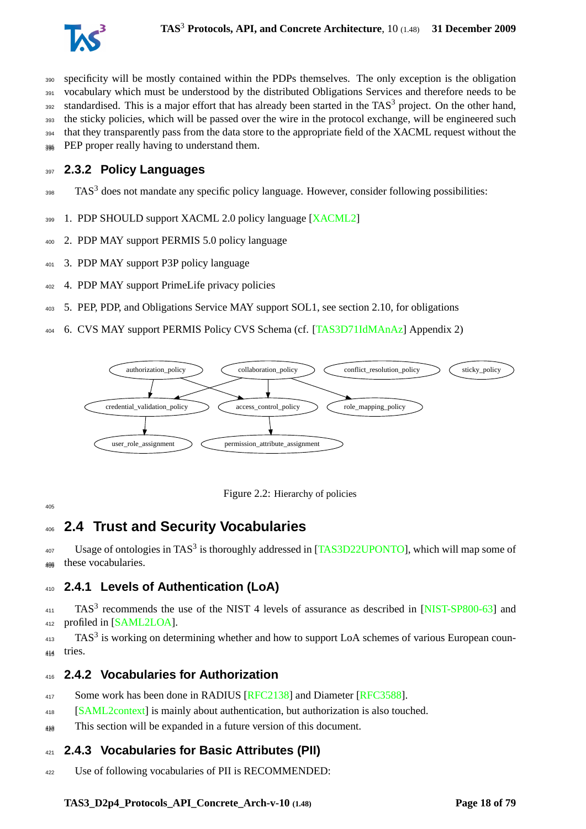

 specificity will be mostly contained within the PDPs themselves. The only exception is the obligation 391 vocabulary which must be understood by the distributed Obligations Services and therefore needs to be standardised. This is a major effort that has already been started in the TAS<sup>3</sup> project. On the other hand, 393 the sticky policies, which will be passed over the wire in the protocol exchange, will be engineered such that they transparently pass from the data store to the appropriate field of the XACML request without the <sup>396</sup> PEP proper really having to understand them.

#### <span id="page-17-0"></span>**2.3.2 Policy Languages**

- TAS<sup>3</sup> does not mandate any specific policy language. However, consider following possibilities:
- 1. PDP SHOULD support XACML 2.0 policy language [\[XACML2\]](#page-77-5)
- 2. PDP MAY support PERMIS 5.0 policy language
- 3. PDP MAY support P3P policy language
- 4. PDP MAY support PrimeLife privacy policies
- 5. PEP, PDP, and Obligations Service MAY support SOL1, see section [2.10,](#page-21-0) for obligations
- 6. CVS MAY support PERMIS Policy CVS Schema (cf. [\[TAS3D71IdMAnAz\]](#page-76-5) Appendix 2)



<span id="page-17-5"></span>

<span id="page-17-1"></span>

## **2.4 Trust and Security Vocabularies**

 $^{407}$  Usage of ontologies in TAS<sup>3</sup> is thoroughly addressed in [\[TAS3D22UPONTO\]](#page-76-6), which will map some of these vocabularies. <sup>409</sup>

### <span id="page-17-2"></span>**2.4.1 Levels of Authentication (LoA)**

 TAS<sup>3</sup> recommends the use of the NIST 4 levels of assurance as described in [\[NIST-SP800-63\]](#page-74-6) and profiled in [\[SAML2LOA\]](#page-75-6).

 TAS<sup>3</sup> is working on determining whether and how to support LoA schemes of various European coun-tries.

#### <span id="page-17-3"></span>**2.4.2 Vocabularies for Authorization**

- <sup>417</sup> Some work has been done in RADIUS [\[RFC2138\]](#page-74-7) and Diameter [\[RFC3588\]](#page-75-11).
- [\[SAML2context\]](#page-75-12) is mainly about authentication, but authorization is also touched.
- <span id="page-17-4"></span> $_{449}$  This section will be expanded in a future version of this document.

#### **2.4.3 Vocabularies for Basic Attributes (PII)**

Use of following vocabularies of PII is RECOMMENDED: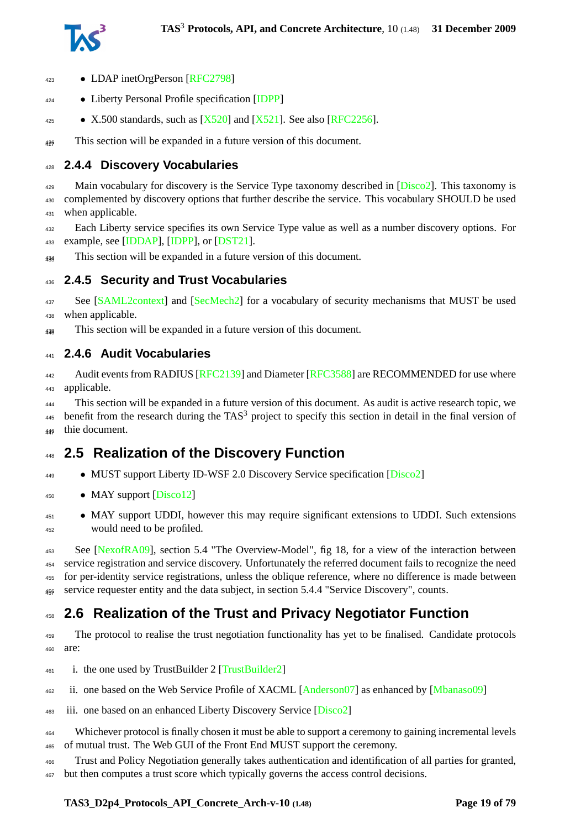

- LDAP inetOrgPerson [\[RFC2798\]](#page-74-8)
- Liberty Personal Profile specification [\[IDPP\]](#page-72-5)
- 425 X.500 standards, such as  $[X520]$  and  $[X521]$ . See also [\[RFC2256\]](#page-74-9).

<span id="page-18-0"></span> $_{496}$  This section will be expanded in a future version of this document.

## **2.4.4 Discovery Vocabularies**

429 Main vocabulary for discovery is the Service Type taxonomy described in [\[Disco2\]](#page-72-3). This taxonomy is complemented by discovery options that further describe the service. This vocabulary SHOULD be used when applicable.

 Each Liberty service specifies its own Service Type value as well as a number discovery options. For example, see [\[IDDAP\]](#page-72-6), [\[IDPP\]](#page-72-5), or [\[DST21\]](#page-72-7).

<span id="page-18-1"></span><sub>434</sub> This section will be expanded in a future version of this document.

### **2.4.5 Security and Trust Vocabularies**

<sup>437</sup> See [\[SAML2context\]](#page-75-12) and [\[SecMech2\]](#page-75-10) for a vocabulary of security mechanisms that MUST be used when applicable.

<span id="page-18-2"></span><sub>439</sub> This section will be expanded in a future version of this document.

### **2.4.6 Audit Vocabularies**

Audit events from RADIUS [\[RFC2139\]](#page-74-10) and Diameter [\[RFC3588\]](#page-75-11) are RECOMMENDED for use where applicable.

 This section will be expanded in a future version of this document. As audit is active research topic, we benefit from the research during the TAS<sup>3</sup> project to specify this section in detail in the final version of 446 thie document.

## <span id="page-18-3"></span>**2.5 Realization of the Discovery Function**

- <sup>449</sup> MUST support Liberty ID-WSF 2.0 Discovery Service specification [\[Disco2\]](#page-72-3)
- MAY support [\[Disco12\]](#page-72-8)
- MAY support UDDI, however this may require significant extensions to UDDI. Such extensions would need to be profiled.

 See [\[NexofRA09\]](#page-73-1), section 5.4 "The Overview-Model", fig 18, for a view of the interaction between service registration and service discovery. Unfortunately the referred document fails to recognize the need for per-identity service registrations, unless the oblique reference, where no difference is made between  $_{456}$  service requester entity and the data subject, in section 5.4.4 "Service Discovery", counts.

## <span id="page-18-4"></span>**2.6 Realization of the Trust and Privacy Negotiator Function**

 The protocol to realise the trust negotiation functionality has yet to be finalised. Candidate protocols are:

- $_{461}$  i. the one used by TrustBuilder 2 [\[TrustBuilder2\]](#page-77-9)
- ii. one based on the Web Service Profile of XACML [\[Anderson07\]](#page-71-3) as enhanced by [\[Mbanaso09\]](#page-73-2)
- <sup>463</sup> iii. one based on an enhanced Liberty Discovery Service [\[Disco2\]](#page-72-3)
- Whichever protocol is finally chosen it must be able to support a ceremony to gaining incremental levels of mutual trust. The Web GUI of the Front End MUST support the ceremony.
- Trust and Policy Negotiation generally takes authentication and identification of all parties for granted, but then computes a trust score which typically governs the access control decisions.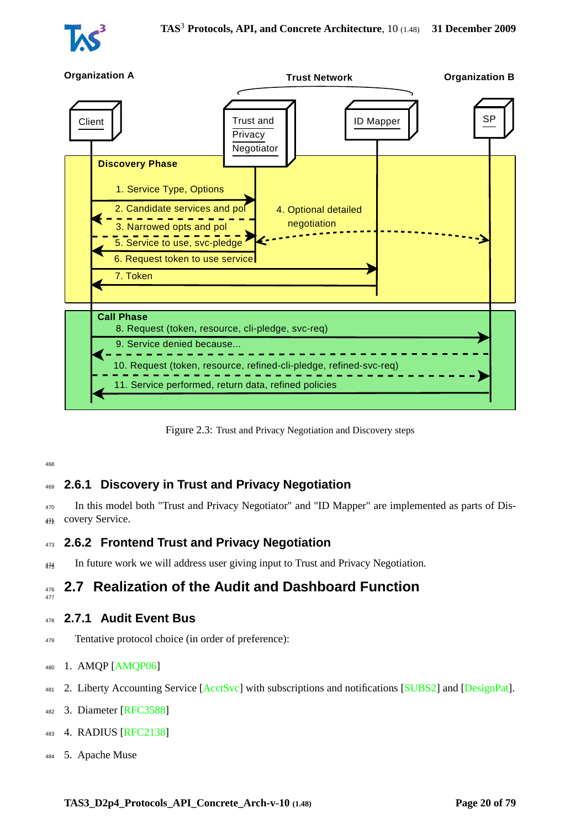



<span id="page-19-4"></span>Figure 2.3: Trust and Privacy Negotiation and Discovery steps

## <span id="page-19-0"></span><sup>469</sup> **2.6.1 Discovery in Trust and Privacy Negotiation**

<sup>470</sup> In this model both "Trust and Privacy Negotiator" and "ID Mapper" are implemented as parts of Dis-472 covery Service.

### <span id="page-19-1"></span><sup>473</sup> **2.6.2 Frontend Trust and Privacy Negotiation**

<span id="page-19-2"></span> $_{476}$  In future work we will address user giving input to Trust and Privacy Negotiation.

#### <sup>476</sup> **2.7 Realization of the Audit and Dashboard Function** 477

#### <span id="page-19-3"></span><sup>478</sup> **2.7.1 Audit Event Bus**

<sup>479</sup> Tentative protocol choice (in order of preference):

#### <sup>480</sup> 1. AMQP [\[AMQP06\]](#page-71-4)

- 481 2. Liberty Accounting Service [\[AcctSvc\]](#page-71-5) with subscriptions and notifications [\[SUBS2\]](#page-76-7) and [\[DesignPat\]](#page-72-9).
- <sup>482</sup> 3. Diameter [\[RFC3588\]](#page-75-11)
- <sup>483</sup> 4. RADIUS [\[RFC2138\]](#page-74-7)
- <sup>484</sup> 5. Apache Muse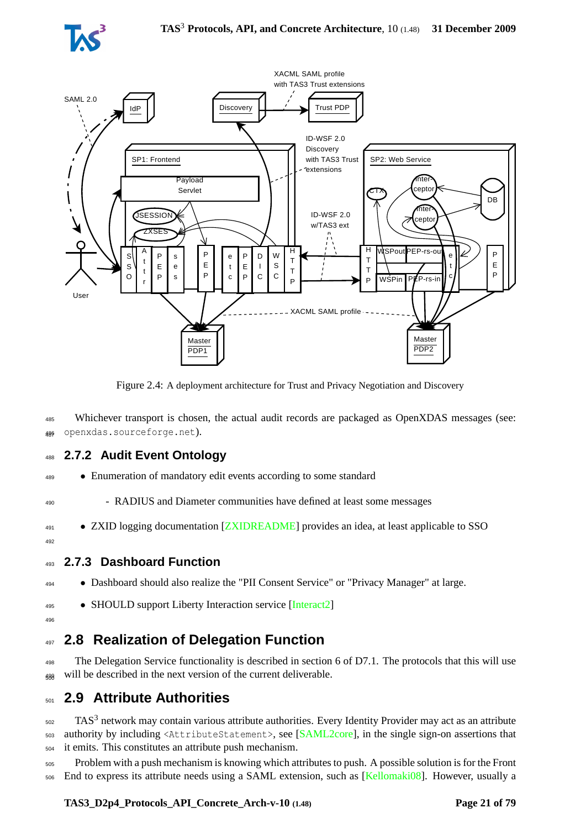



<span id="page-20-4"></span>Figure 2.4: A deployment architecture for Trust and Privacy Negotiation and Discovery

<sup>485</sup> Whichever transport is chosen, the actual audit records are packaged as OpenXDAS messages (see: <sup>486</sup> openxdas.sourceforge.net). <sup>487</sup>

### <span id="page-20-0"></span><sup>488</sup> **2.7.2 Audit Event Ontology**

<sup>489</sup> • Enumeration of mandatory edit events according to some standard

<sup>490</sup> - RADIUS and Diameter communities have defined at least some messages

- <sup>491</sup> ZXID logging documentation [\[ZXIDREADME\]](#page-78-2) provides an idea, at least applicable to SSO
- <span id="page-20-1"></span>49

## <sup>493</sup> **2.7.3 Dashboard Function**

<sup>494</sup> • Dashboard should also realize the "PII Consent Service" or "Privacy Manager" at large.

- <sup>495</sup> SHOULD support Liberty Interaction service [\[Interact2\]](#page-73-3)
- <span id="page-20-2"></span>496

# <sup>497</sup> **2.8 Realization of Delegation Function**

<sup>498</sup> The Delegation Service functionality is described in section 6 of D7.1. The protocols that this will use  $_{499}$  will be described in the next version of the current deliverable.

# <span id="page-20-3"></span><sup>501</sup> **2.9 Attribute Authorities**

502 TAS<sup>3</sup> network may contain various attribute authorities. Every Identity Provider may act as an attribute <sup>503</sup> authority by including <AttributeStatement>, see [\[SAML2core\]](#page-75-0), in the single sign-on assertions that <sup>504</sup> it emits. This constitutes an attribute push mechanism.

<sup>505</sup> Problem with a push mechanism is knowing which attributes to push. A possible solution is for the Front <sup>506</sup> End to express its attribute needs using a SAML extension, such as [\[Kellomaki08\]](#page-73-0). However, usually a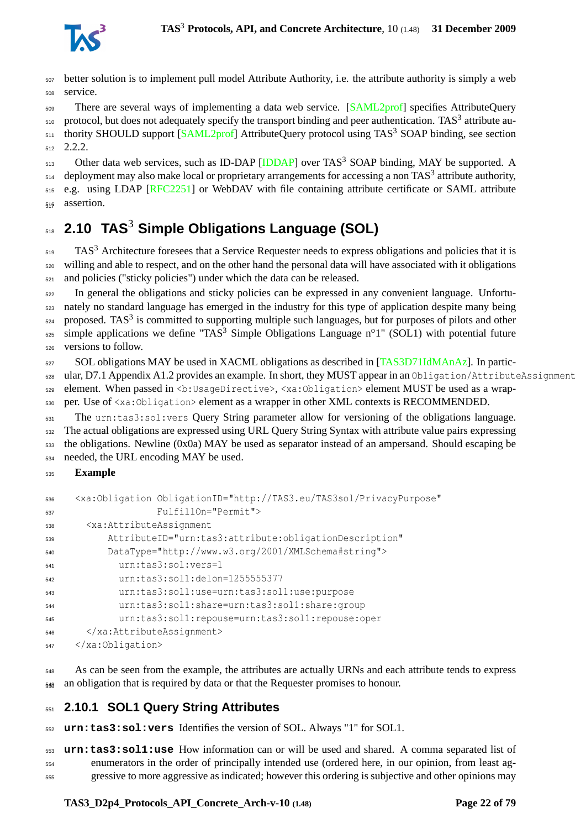

 better solution is to implement pull model Attribute Authority, i.e. the attribute authority is simply a web service.

<sub>509</sub> There are several ways of implementing a data web service. [\[SAML2prof\]](#page-75-2) specifies AttributeQuery protocol, but does not adequately specify the transport binding and peer authentication. TAS<sup>3</sup> attribute au-511 thority SHOULD support [\[SAML2prof\]](#page-75-2) AttributeQuery protocol using TAS<sup>3</sup> SOAP binding, see section  $512 \quad 2.2.2.$  $512 \quad 2.2.2.$ 

513 Other data web services, such as ID-DAP [\[IDDAP\]](#page-72-6) over TAS<sup>3</sup> SOAP binding, MAY be supported. A deployment may also make local or proprietary arrangements for accessing a non TAS<sup>3</sup> attribute authority, 515 e.g. using LDAP [\[RFC2251\]](#page-74-11) or WebDAV with file containing attribute certificate or SAML attribute 516 assertion.

# <span id="page-21-0"></span>**2.10 TAS**<sup>3</sup> **Simple Obligations Language (SOL)**

519 TAS<sup>3</sup> Architecture foresees that a Service Requester needs to express obligations and policies that it is willing and able to respect, and on the other hand the personal data will have associated with it obligations and policies ("sticky policies") under which the data can be released.

 In general the obligations and sticky policies can be expressed in any convenient language. Unfortu- nately no standard language has emerged in the industry for this type of application despite many being proposed. TAS<sup>3</sup> is committed to supporting multiple such languages, but for purposes of pilots and other simple applications we define "TAS<sup>3</sup> Simple Obligations Language n<sup>o</sup>1" (SOL1) with potential future versions to follow.

SOL obligations MAY be used in XACML obligations as described in [\[TAS3D71IdMAnAz\]](#page-76-5). In partic-

ular, D7.1 Appendix A1.2 provides an example. In short, they MUST appear in an Obligation/AttributeAssignment

element. When passed in <b:UsageDirective>, <xa:Obligation> element MUST be used as a wrap-

per. Use of <xa:Obligation> element as a wrapper in other XML contexts is RECOMMENDED.

 The urn:tas3:sol:vers Query String parameter allow for versioning of the obligations language. The actual obligations are expressed using URL Query String Syntax with attribute value pairs expressing the obligations. Newline (0x0a) MAY be used as separator instead of an ampersand. Should escaping be needed, the URL encoding MAY be used.

#### **Example**

| 536 | <xa:obligation <="" obligationid="http://TAS3.eu/TAS3sol/PrivacyPurpose" th=""></xa:obligation> |
|-----|-------------------------------------------------------------------------------------------------|
| 537 | FulfillOn="Permit">                                                                             |
| 538 | <xa:attributeassignment< td=""></xa:attributeassignment<>                                       |
| 539 | AttributeID="urn:tas3:attribute:obligationDescription"                                          |
| 540 | DataType="http://www.w3.org/2001/XMLSchema#string">                                             |
| 541 | urn:tas3:sol:vers=1                                                                             |
| 542 | urn:tas3:sol1:delon=1255555377                                                                  |
| 543 | urn:tas3:sol1:use=urn:tas3:sol1:use:purpose                                                     |
| 544 | urn:tas3:sol1:share=urn:tas3:sol1:share:group                                                   |
| 545 | urn:tas3:sol1:repouse=urn:tas3:sol1:repouse:oper                                                |
| 546 |                                                                                                 |
| 547 |                                                                                                 |
|     |                                                                                                 |

 As can be seen from the example, the attributes are actually URNs and each attribute tends to express  $_{549}$  an obligation that is required by data or that the Requester promises to honour.

### <span id="page-21-1"></span>**2.10.1 SOL1 Query String Attributes**

**urn:tas3:sol:vers** Identifies the version of SOL. Always "1" for SOL1.

 **urn:tas3:sol1:use** How information can or will be used and shared. A comma separated list of enumerators in the order of principally intended use (ordered here, in our opinion, from least ag-gressive to more aggressive as indicated; however this ordering is subjective and other opinions may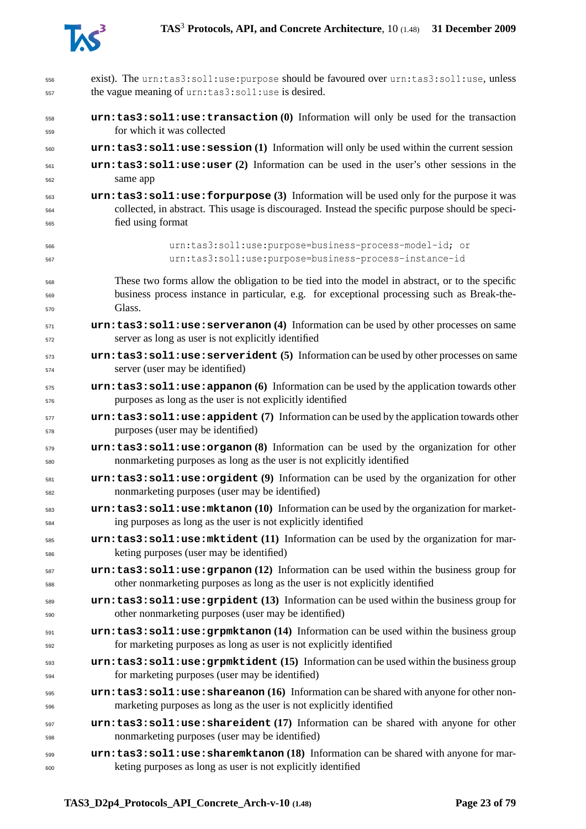

| 556        | exist). The urn:tas3:sol1:use:purpose should be favoured over urn:tas3:sol1:use, unless          |
|------------|--------------------------------------------------------------------------------------------------|
| 557        | the vague meaning of urn: tas3: soll: use is desired.                                            |
| 558        | urn: tas3: soll: use: transaction (0) Information will only be used for the transaction          |
| 559        | for which it was collected                                                                       |
| 560        | urn: tas3: soll: use: session (1) Information will only be used within the current session       |
| 561        | urn: tas3: soll: use: user (2) Information can be used in the user's other sessions in the       |
| 562        | same app                                                                                         |
| 563        | urn: tas3: soll: use: forpurpose (3) Information will be used only for the purpose it was        |
| 564        | collected, in abstract. This usage is discouraged. Instead the specific purpose should be speci- |
| 565        | fied using format                                                                                |
| 566        | urn:tas3:sol1:use:purpose=business-process-model-id; or                                          |
| 567        | urn:tas3:sol1:use:purpose=business-process-instance-id                                           |
| 568        | These two forms allow the obligation to be tied into the model in abstract, or to the specific   |
| 569        | business process instance in particular, e.g. for exceptional processing such as Break-the-      |
| 570        | Glass.                                                                                           |
| 571        | urn: tas3: soll: use: serveranon (4) Information can be used by other processes on same          |
| 572        | server as long as user is not explicitly identified                                              |
| 573        | urn: tas3: sol1:use: serverident (5) Information can be used by other processes on same          |
| 574        | server (user may be identified)                                                                  |
| 575        | $urn:$ tas3:sol1:use:appanon (6) Information can be used by the application towards other        |
| 576        | purposes as long as the user is not explicitly identified                                        |
| 577        | urn: tas3: soll: use: appident (7) Information can be used by the application towards other      |
| 578        | purposes (user may be identified)                                                                |
| 579        | urn: tas3: soll: use: organon (8) Information can be used by the organization for other          |
| 580        | nonmarketing purposes as long as the user is not explicitly identified                           |
| 581        | urn:tas3:sol1:use:orgident (9) Information can be used by the organization for other             |
| 582        | nonmarketing purposes (user may be identified)                                                   |
| 583        | urn: tas3: sol1:use: mktanon (10) Information can be used by the organization for market-        |
| 584        | ing purposes as long as the user is not explicitly identified                                    |
| 585        | urn: tas3: soll: use: mktident (11) Information can be used by the organization for mar-         |
| 586        | keting purposes (user may be identified)                                                         |
| 587        | $urn:$ tas3:sol1:use:grpanon (12) Information can be used within the business group for          |
| 588        | other nonmarketing purposes as long as the user is not explicitly identified                     |
| 589        | urn: tas3: soll: use: grpident (13) Information can be used within the business group for        |
| 590        | other nonmarketing purposes (user may be identified)                                             |
| 591        | urn: tas3: soll: use: grpmktanon (14) Information can be used within the business group          |
| 592        | for marketing purposes as long as user is not explicitly identified                              |
| 593        | urn: tas3: soll: use: grpmktident (15) Information can be used within the business group         |
| 594        | for marketing purposes (user may be identified)                                                  |
| 595        | $urn:$ tas3:sol1:use:shareanon (16) Information can be shared with anyone for other non-         |
| 596        | marketing purposes as long as the user is not explicitly identified                              |
|            | urn: tas3: soll: use: shareident (17) Information can be shared with anyone for other            |
| 597<br>598 | nonmarketing purposes (user may be identified)                                                   |
| 599        | urn: tas3: soll: use: sharemktanon (18) Information can be shared with anyone for mar-           |
| 600        | keting purposes as long as user is not explicitly identified                                     |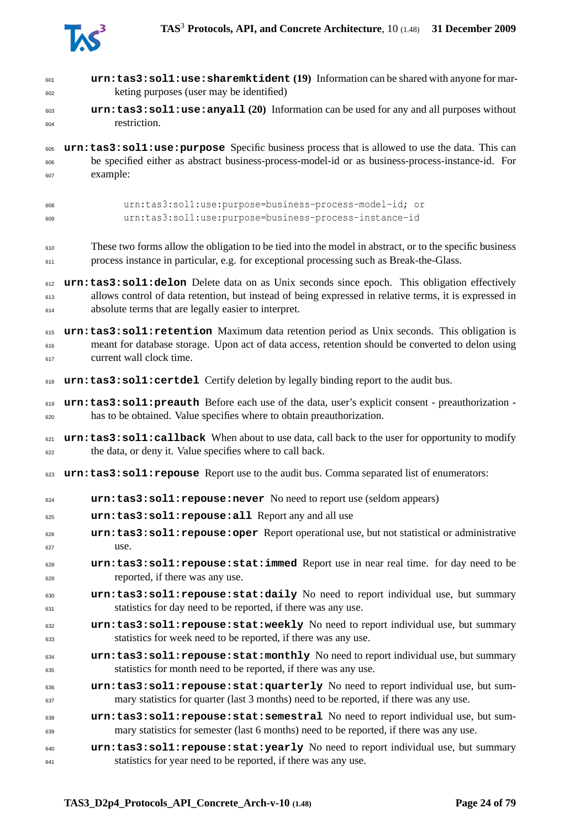

| 601 | urn: tas3: soll: use: sharemktident (19) Information can be shared with anyone for mar-                 |
|-----|---------------------------------------------------------------------------------------------------------|
| 602 | keting purposes (user may be identified)                                                                |
| 603 | urn: tas3: soll: use: anyall (20) Information can be used for any and all purposes without              |
| 604 | restriction.                                                                                            |
| 605 | urn: tas3: sol1: use: purpose Specific business process that is allowed to use the data. This can       |
| 606 | be specified either as abstract business-process-model-id or as business-process-instance-id. For       |
| 607 | example:                                                                                                |
| 608 | urn:tas3:sol1:use:purpose=business-process-model-id; or                                                 |
| 609 | urn:tas3:sol1:use:purpose=business-process-instance-id                                                  |
| 610 | These two forms allow the obligation to be tied into the model in abstract, or to the specific business |
| 611 | process instance in particular, e.g. for exceptional processing such as Break-the-Glass.                |
| 612 | urn: tas3: sol1: delon Delete data on as Unix seconds since epoch. This obligation effectively          |
| 613 | allows control of data retention, but instead of being expressed in relative terms, it is expressed in  |
| 614 | absolute terms that are legally easier to interpret.                                                    |
| 615 | urn: tas3: sol1: retention Maximum data retention period as Unix seconds. This obligation is            |
| 616 | meant for database storage. Upon act of data access, retention should be converted to delon using       |
| 617 | current wall clock time.                                                                                |
| 618 | urn: tas3: sol1: certdel Certify deletion by legally binding report to the audit bus.                   |
| 619 | urn: tas3: sol1: preauth Before each use of the data, user's explicit consent - preauthorization -      |
| 620 | has to be obtained. Value specifies where to obtain preauthorization.                                   |
| 621 | urn: tas3: sol1: callback When about to use data, call back to the user for opportunity to modify       |
| 622 | the data, or deny it. Value specifies where to call back.                                               |
| 623 | urn: tas3: sol1: repouse Report use to the audit bus. Comma separated list of enumerators:              |
| 624 | urn: tas3: sol1: repouse: never No need to report use (seldom appears)                                  |
| 625 | urn:tas3:sol1:repouse:all Report any and all use                                                        |
| 626 | urn:tas3:sol1:repouse:oper Report operational use, but not statistical or administrative                |
| 627 | use.                                                                                                    |
| 628 | urn: tas3: soll: repouse: stat: immed Report use in near real time. for day need to be                  |
| 629 | reported, if there was any use.                                                                         |
| 630 | urn: tas3: soll: repouse: stat: daily No need to report individual use, but summary                     |
| 631 | statistics for day need to be reported, if there was any use.                                           |
| 632 | urn: tas3: soll: repouse: stat: weekly No need to report individual use, but summary                    |
| 633 | statistics for week need to be reported, if there was any use.                                          |
| 634 | urn: tas3: soll: repouse: stat: monthly No need to report individual use, but summary                   |
| 635 | statistics for month need to be reported, if there was any use.                                         |
| 636 | urn: tas3: soll: repouse: stat: quarterly No need to report individual use, but sum-                    |
| 637 | mary statistics for quarter (last 3 months) need to be reported, if there was any use.                  |
| 638 | urn: tas3: soll: repouse: stat: semestral No need to report individual use, but sum-                    |
| 639 | mary statistics for semester (last 6 months) need to be reported, if there was any use.                 |
| 640 | urn:tas3:sol1:repouse:stat:yearly No need to report individual use, but summary                         |
| 641 | statistics for year need to be reported, if there was any use.                                          |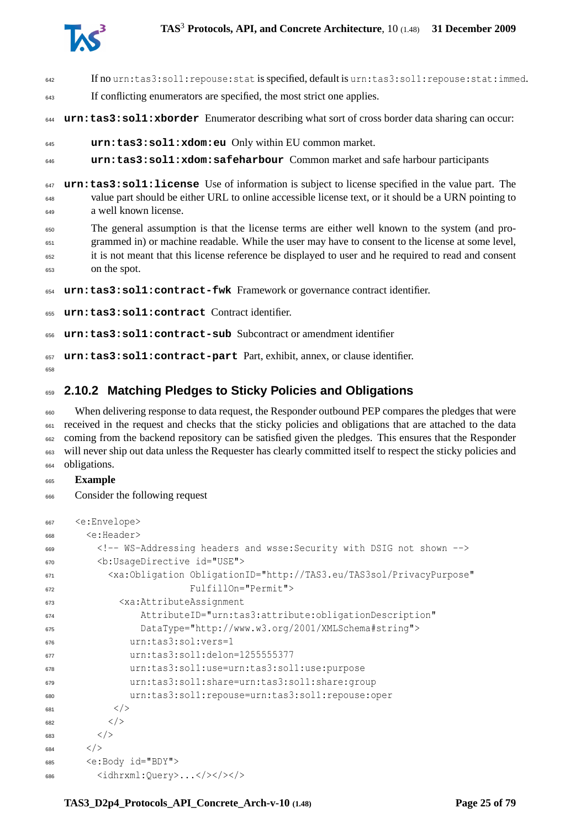

| 642                      | If no urn:tas3:soll:repouse:stat is specified, default is urn:tas3:soll:repouse:stat:immed.                                                                                                                                                                                                                                 |
|--------------------------|-----------------------------------------------------------------------------------------------------------------------------------------------------------------------------------------------------------------------------------------------------------------------------------------------------------------------------|
| 643                      | If conflicting enumerators are specified, the most strict one applies.                                                                                                                                                                                                                                                      |
| 644                      | urn: tas3: sol1: xborder Enumerator describing what sort of cross border data sharing can occur:                                                                                                                                                                                                                            |
| 645                      | urn:tas3:sol1:xdom:eu Only within EU common market.                                                                                                                                                                                                                                                                         |
| 646                      | urn:tas3:sol1:xdom:safeharbour Common market and safe harbour participants                                                                                                                                                                                                                                                  |
| 647<br>648<br>649        | urn: tas3: sol1: license Use of information is subject to license specified in the value part. The<br>value part should be either URL to online accessible license text, or it should be a URN pointing to<br>a well known license.                                                                                         |
| 650<br>651<br>652<br>653 | The general assumption is that the license terms are either well known to the system (and pro-<br>grammed in) or machine readable. While the user may have to consent to the license at some level,<br>it is not meant that this license reference be displayed to user and he required to read and consent<br>on the spot. |
| 654                      | urn: tas3: soll: contract-fwk Framework or governance contract identifier.                                                                                                                                                                                                                                                  |
| 655                      | urn: tas3: sol1: contract Contract identifier.                                                                                                                                                                                                                                                                              |
| 656                      | urn: tas3: sol1: contract-sub Subcontract or amendment identifier                                                                                                                                                                                                                                                           |
| 657                      | urn: tas3: sol1: contract-part Part, exhibit, annex, or clause identifier.                                                                                                                                                                                                                                                  |

## <span id="page-24-0"></span>**2.10.2 Matching Pledges to Sticky Policies and Obligations**

 When delivering response to data request, the Responder outbound PEP compares the pledges that were <sub>661</sub> received in the request and checks that the sticky policies and obligations that are attached to the data <sub>662</sub> coming from the backend repository can be satisfied given the pledges. This ensures that the Responder will never ship out data unless the Requester has clearly committed itself to respect the sticky policies and obligations.

#### **Example**

Consider the following request

```
667 <e:Envelope>
668 <e:Header>
669 <!-- WS-Addressing headers and wsse:Security with DSIG not shown -->
670 <b:UsageDirective id="USE">
671 <xa:Obligation ObligationID="http://TAS3.eu/TAS3sol/PrivacyPurpose"
672 FulfillOn="Permit">
673 <xa:AttributeAssignment
674 AttributeID="urn:tas3:attribute:obligationDescription"
675 DataType="http://www.w3.org/2001/XMLSchema#string">
676 urn:tas3:sol:vers=1
677 urn:tas3:sol1:delon=1255555377
678 urn:tas3:sol1:use=urn:tas3:sol1:use:purpose
679 urn:tas3:sol1:share=urn:tas3:sol1:share:group
680 urn:tas3:sol1:repouse=urn:tas3:sol1:repouse:oper
681 < /682 \langle/>
683 \langle/>
684 \langle/>
685 <e:Body id="BDY">
686 <idhrxml:Query>...</></>></></>
```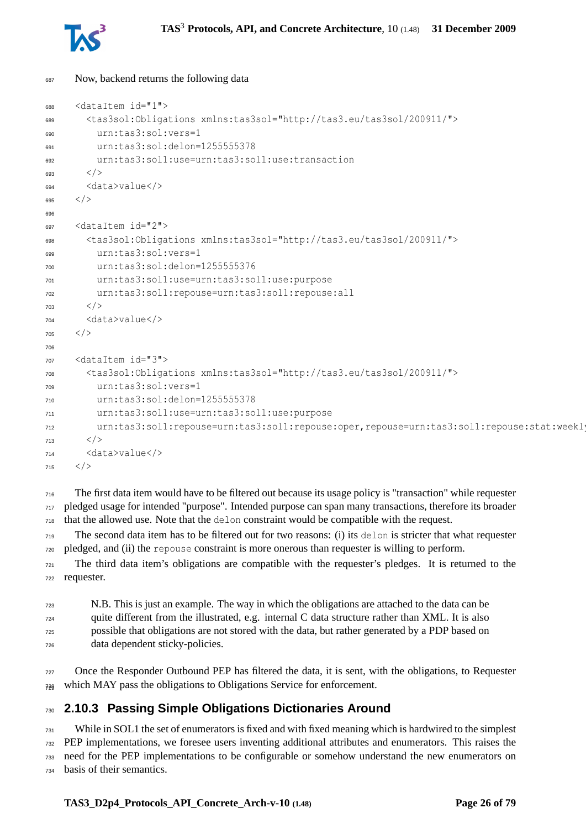

```
687 Now, backend returns the following data
```

```
688 <dataItem id="1">
689 <tas3sol:Obligations xmlns:tas3sol="http://tas3.eu/tas3sol/200911/">
690 urn:tas3:sol:vers=1
691 urn:tas3:sol:delon=1255555378
692 urn:tas3:sol1:use=urn:tas3:sol1:use:transaction
693 \langle/>
694 <data>value</>
695 \lt/696
697 <dataItem id="2">
698 <tas3sol:Obligations xmlns:tas3sol="http://tas3.eu/tas3sol/200911/">
        urn:tas3:sol:vers=1
700 urn:tas3:sol:delon=1255555376
701 urn:tas3:sol1:use=urn:tas3:sol1:use:purpose
702 urn:tas3:sol1:repouse=urn:tas3:sol1:repouse:all
703 < />
704 <data>value</>
705 < /706
707 <dataItem id="3">
708 <tas3sol:Obligations xmlns:tas3sol="http://tas3.eu/tas3sol/200911/">
709 urn:tas3:sol:vers=1
710 urn:tas3:sol:delon=1255555378
        urn:tas3:sol1:use=urn:tas3:sol1:use:purpose
712 urn:tas3:sol1:repouse=urn:tas3:sol1:repouse:oper,repouse=urn:tas3:sol1:repouse:stat:weekly
713 < />
714 <data>value</>
715 < / >
```
 The first data item would have to be filtered out because its usage policy is "transaction" while requester pledged usage for intended "purpose". Intended purpose can span many transactions, therefore its broader that the allowed use. Note that the delon constraint would be compatible with the request.

 The second data item has to be filtered out for two reasons: (i) its delon is stricter that what requester pledged, and (ii) the repouse constraint is more onerous than requester is willing to perform.

 The third data item's obligations are compatible with the requester's pledges. It is returned to the requester.

```
723 N.B. This is just an example. The way in which the obligations are attached to the data can be
724 quite different from the illustrated, e.g. internal C data structure rather than XML. It is also
725 possible that obligations are not stored with the data, but rather generated by a PDP based on
726 data dependent sticky-policies.
```

```
727 Once the Responder Outbound PEP has filtered the data, it is sent, with the obligations, to Requester
728 which MAY pass the obligations to Obligations Service for enforcement. 729
```
## <span id="page-25-0"></span>**2.10.3 Passing Simple Obligations Dictionaries Around**

 While in SOL1 the set of enumerators is fixed and with fixed meaning which is hardwired to the simplest PEP implementations, we foresee users inventing additional attributes and enumerators. This raises the need for the PEP implementations to be configurable or somehow understand the new enumerators on basis of their semantics.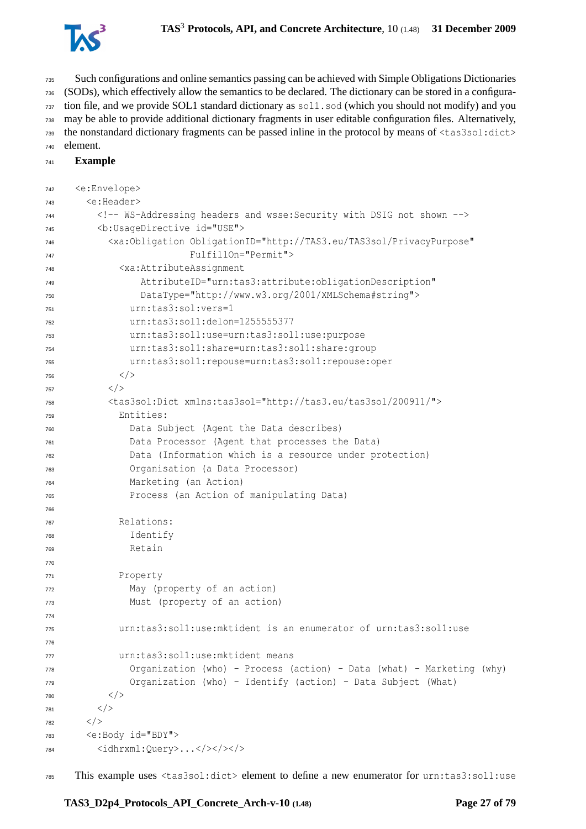

 Such configurations and online semantics passing can be achieved with Simple Obligations Dictionaries (SODs), which effectively allow the semantics to be declared. The dictionary can be stored in a configura- tion file, and we provide SOL1 standard dictionary as  $\frac{1.50d}{1.50d}$  (which you should not modify) and you may be able to provide additional dictionary fragments in user editable configuration files. Alternatively, the nonstandard dictionary fragments can be passed inline in the protocol by means of <tas3sol:dict> element.

```
741 Example
```

```
742 <e:Envelope>
743 <e:Header>
744 <!-- WS-Addressing headers and wsse:Security with DSIG not shown -->
745 <b:UsageDirective id="USE">
746 <xa:Obligation ObligationID="http://TAS3.eu/TAS3sol/PrivacyPurpose"
747 FulfillOn="Permit">
748 <xa:AttributeAssignment
749 AttributeID="urn:tas3:attribute:obligationDescription"
750 DataType="http://www.w3.org/2001/XMLSchema#string">
751 urn:tas3:sol:vers=1
752 urn:tas3:sol1:delon=1255555377
753 urn:tas3:sol1:use=urn:tas3:sol1:use:purpose
754 urn:tas3:sol1:share=urn:tas3:sol1:share:group
755 urn:tas3:sol1:repouse=urn:tas3:sol1:repouse:oper
756 < /757 < / >758 <tas3sol:Dict xmlns:tas3sol="http://tas3.eu/tas3sol/200911/">
759 Entities:
760 Data Subject (Agent the Data describes)
761 Data Processor (Agent that processes the Data)
762 Data (Information which is a resource under protection)
763 Organisation (a Data Processor)
764 Marketing (an Action)
765 Process (an Action of manipulating Data)
766
767 Relations:
768 Identify
769 Retain
770
771 Property
772 May (property of an action)
773 Must (property of an action)
774
          urn:tas3:sol1:use:mktident is an enumerator of urn:tas3:sol1:use
776
777 urn:tas3:sol1:use:mktident means
778 Organization (who) - Process (action) - Data (what) - Marketing (why)
779 Organization (who) - Identify (action) - Data Subject (What)
780 </781 < />
782 < /783 <e:Body id="BDY">
784 <idhrxml:Query>...</></>></></>
```
This example uses <tas3sol:dict> element to define a new enumerator for urn:tas3:sol1:use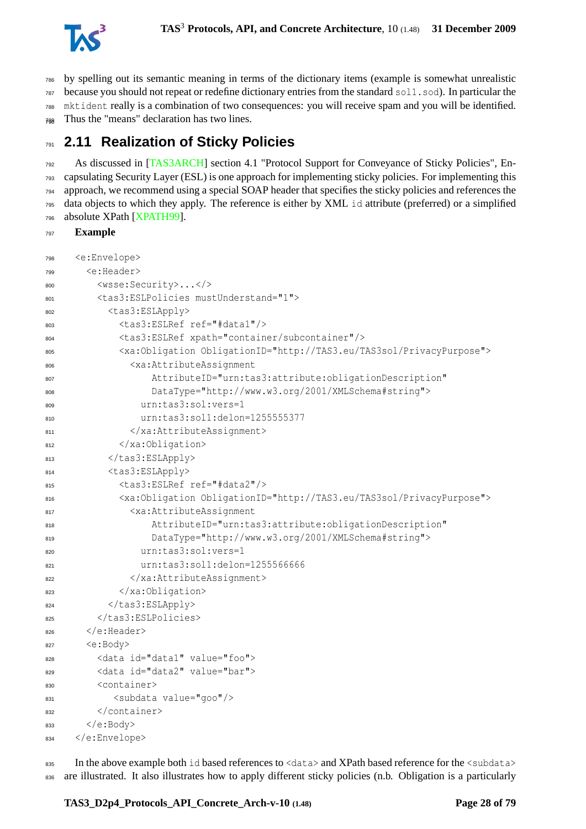

 by spelling out its semantic meaning in terms of the dictionary items (example is somewhat unrealistic because you should not repeat or redefine dictionary entries from the standard sol1.sod). In particular the mktident really is a combination of two consequences: you will receive spam and you will be identified.  $_{788}$  Thus the "means" declaration has two lines.

# <span id="page-27-0"></span>**2.11 Realization of Sticky Policies**

 As discussed in [\[TAS3ARCH\]](#page-76-0) section 4.1 "Protocol Support for Conveyance of Sticky Policies", En- capsulating Security Layer (ESL) is one approach for implementing sticky policies. For implementing this approach, we recommend using a special SOAP header that specifies the sticky policies and references the data objects to which they apply. The reference is either by XML id attribute (preferred) or a simplified absolute XPath [\[XPATH99\]](#page-78-3).

#### **Example**

| 798 | <e:envelope></e:envelope>                                                            |
|-----|--------------------------------------------------------------------------------------|
| 799 | <e:header></e:header>                                                                |
| 800 | <wsse:security></wsse:security>                                                      |
| 801 | <tas3:eslpolicies mustunderstand="1"></tas3:eslpolicies>                             |
| 802 | <tas3:eslapply></tas3:eslapply>                                                      |
| 803 | <tas3:eslref ref="#data1"></tas3:eslref>                                             |
| 804 | <tas3:eslref xpath="container/subcontainer"></tas3:eslref>                           |
| 805 | <xa:obligation obligationid="http://TAS3.eu/TAS3sol/PrivacyPurpose"></xa:obligation> |
| 806 | <xa:attributeassignment< th=""></xa:attributeassignment<>                            |
| 807 | AttributeID="urn:tas3:attribute:obligationDescription"                               |
| 808 | DataType="http://www.w3.org/2001/XMLSchema#string">                                  |
| 809 | urn:tas3:sol:vers=1                                                                  |
| 810 | urn:tas3:sol1:delon=1255555377                                                       |
| 811 |                                                                                      |
| 812 |                                                                                      |
| 813 |                                                                                      |
| 814 | <tas3:eslapply></tas3:eslapply>                                                      |
| 815 | <tas3:eslref ref="#data2"></tas3:eslref>                                             |
| 816 | <xa:obligation obligationid="http://TAS3.eu/TAS3sol/PrivacyPurpose"></xa:obligation> |
| 817 | <xa:attributeassignment< th=""></xa:attributeassignment<>                            |
| 818 | AttributeID="urn:tas3:attribute:obligationDescription"                               |
| 819 | DataType="http://www.w3.org/2001/XMLSchema#string">                                  |
| 820 | urn:tas3:sol:vers=1                                                                  |
| 821 | urn:tas3:sol1:delon=1255566666                                                       |
| 822 |                                                                                      |
| 823 |                                                                                      |
| 824 |                                                                                      |
| 825 |                                                                                      |
| 826 | $\langle e: \text{Header} \rangle$                                                   |
| 827 | <e:body></e:body>                                                                    |
| 828 | <data id="data1" value="foo"></data>                                                 |
| 829 | <data id="data2" value="bar"></data>                                                 |
| 830 | <container></container>                                                              |
| 831 | <subdata value="goo"></subdata>                                                      |
| 832 |                                                                                      |
| 833 |                                                                                      |
| 834 |                                                                                      |

835 In the above example both id based references to <data> and XPath based reference for the <subdata> 836 are illustrated. It also illustrates how to apply different sticky policies (n.b. Obligation is a particularly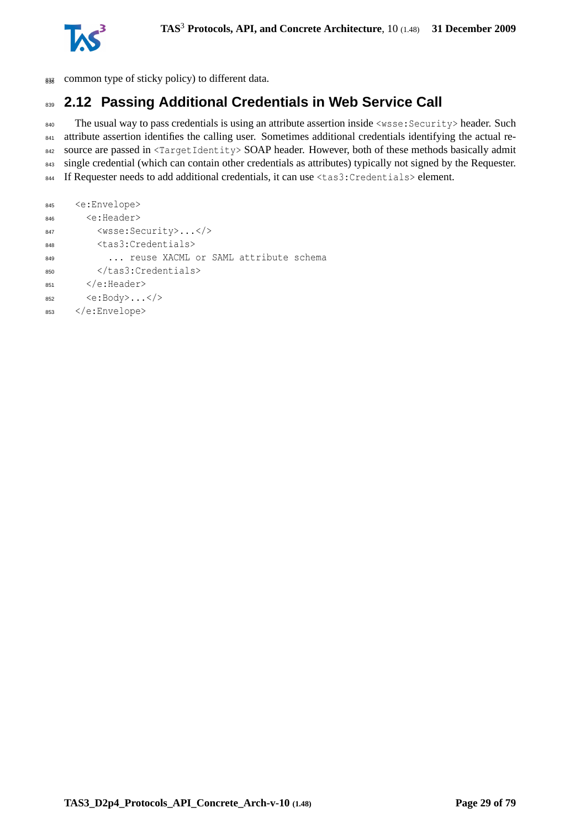

838 common type of sticky policy) to different data.

# <span id="page-28-0"></span>839 **2.12 Passing Additional Credentials in Web Service Call**

840 The usual way to pass credentials is using an attribute assertion inside <wsse: Security> header. Such 841 attribute assertion identifies the calling user. Sometimes additional credentials identifying the actual re-842 source are passed in <TargetIdentity> SOAP header. However, both of these methods basically admit 843 single credential (which can contain other credentials as attributes) typically not signed by the Requester. <sup>844</sup> If Requester needs to add additional credentials, it can use <tas3:Credentials> element.

```
845 <e:Envelope>
846 <e:Header>
847 <wsse:Security>...</>
848 <tas3:Credentials>
849 ... reuse XACML or SAML attribute schema
850 </tas3:Credentials>
851 </e:Header>
852 <e:Body>...</>
853 </e:Envelope>
```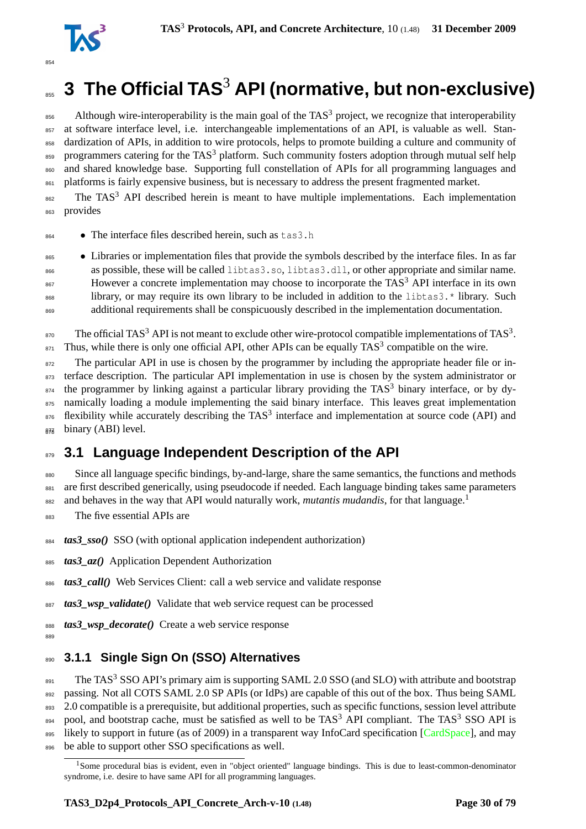

# <span id="page-29-0"></span> $_{\textrm{\tiny{365}}}$  3 The Official TAS $^3$  API (normative, but non-exclusive)

 $_{856}$  Although wire-interoperability is the main goal of the TAS<sup>3</sup> project, we recognize that interoperability <sup>857</sup> at software interface level, i.e. interchangeable implementations of an API, is valuable as well. Standardization of APIs, in addition to wire protocols, helps to promote building a culture and community of  $_{859}$  programmers catering for the TAS<sup>3</sup> platform. Such community fosters adoption through mutual self help <sup>860</sup> and shared knowledge base. Supporting full constellation of APIs for all programming languages and 861 platforms is fairly expensive business, but is necessary to address the present fragmented market.

 $862$  The TAS<sup>3</sup> API described herein is meant to have multiple implementations. Each implementation <sup>863</sup> provides

<sup>864</sup> • The interface files described herein, such as tas3.h

 • Libraries or implementation files that provide the symbols described by the interface files. In as far as possible, these will be called libtas3.so, libtas3.dll, or other appropriate and similar name.  $_{867}$  However a concrete implementation may choose to incorporate the TAS<sup>3</sup> API interface in its own library, or may require its own library to be included in addition to the libtas3.\* library. Such additional requirements shall be conspicuously described in the implementation documentation.

<sup>870</sup> The official TAS<sup>3</sup> API is not meant to exclude other wire-protocol compatible implementations of TAS<sup>3</sup>.  $\sigma_{\text{B71}}$  Thus, while there is only one official API, other APIs can be equally TAS<sup>3</sup> compatible on the wire.

<sup>872</sup> The particular API in use is chosen by the programmer by including the appropriate header file or in-873 terface description. The particular API implementation in use is chosen by the system administrator or  $1874$  the programmer by linking against a particular library providing the TAS<sup>3</sup> binary interface, or by dy-875 namically loading a module implementing the said binary interface. This leaves great implementation  $876$  flexibility while accurately describing the TAS<sup>3</sup> interface and implementation at source code (API) and  $_{87\frac{7}{10}}$  binary (ABI) level.

## <span id="page-29-1"></span>879 **3.1 Language Independent Description of the API**

880 Since all language specific bindings, by-and-large, share the same semantics, the functions and methods 881 are first described generically, using pseudocode if needed. Each language binding takes same parameters and behaves in the way that API would naturally work, *mutantis mudandis*, for that language.[1](#page-29-3) 882

<sup>883</sup> The five essential APIs are

<span id="page-29-2"></span>889

<sup>884</sup> *tas3\_sso()* SSO (with optional application independent authorization)

<sup>885</sup> *tas3\_az()* Application Dependent Authorization

<sup>886</sup> *tas3\_call()* Web Services Client: call a web service and validate response

<sup>887</sup> *tas3\_wsp\_validate()* Validate that web service request can be processed

<sup>888</sup> *tas3\_wsp\_decorate()* Create a web service response

## <sup>890</sup> **3.1.1 Single Sign On (SSO) Alternatives**

 $\mu_{\text{B91}}$  The TAS<sup>3</sup> SSO API's primary aim is supporting SAML 2.0 SSO (and SLO) with attribute and bootstrap 892 passing. Not all COTS SAML 2.0 SP APIs (or IdPs) are capable of this out of the box. Thus being SAML 893 2.0 compatible is a prerequisite, but additional properties, such as specific functions, session level attribute  $_{894}$  pool, and bootstrap cache, must be satisfied as well to be TAS<sup>3</sup> API compliant. The TAS<sup>3</sup> SSO API is 895 likely to support in future (as of 2009) in a transparent way InfoCard specification [\[CardSpace\]](#page-71-6), and may 896 be able to support other SSO specifications as well.

<span id="page-29-3"></span><sup>&</sup>lt;sup>1</sup>Some procedural bias is evident, even in "object oriented" language bindings. This is due to least-common-denominator syndrome, i.e. desire to have same API for all programming languages.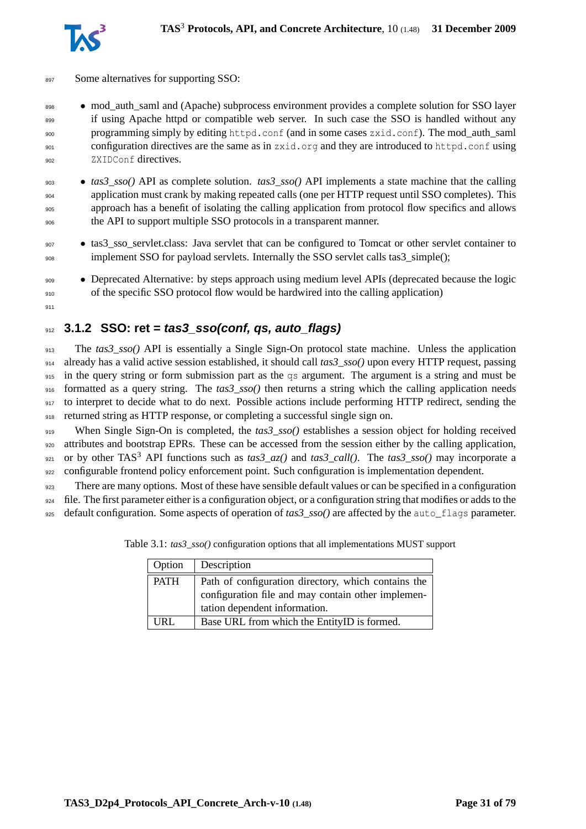



- 897 Some alternatives for supporting SSO:
- 898 mod auth saml and (Apache) subprocess environment provides a complete solution for SSO layer 899 if using Apache httpd or compatible web server. In such case the SSO is handled without any 900 programming simply by editing httpd.conf (and in some cases zxid.conf). The mod\_auth\_saml <sup>901</sup> configuration directives are the same as in zxid.org and they are introduced to httpd.conf using <sup>902</sup> ZXIDConf directives.
- <sup>903</sup> *tas3\_sso()* API as complete solution. *tas3\_sso()* API implements a state machine that the calling <sup>904</sup> application must crank by making repeated calls (one per HTTP request until SSO completes). This approach has a benefit of isolating the calling application from protocol flow specifics and allows <sup>906</sup> the API to support multiple SSO protocols in a transparent manner.
- <sup>907</sup> tas3\_sso\_servlet.class: Java servlet that can be configured to Tomcat or other servlet container to 908 implement SSO for payload servlets. Internally the SSO servlet calls tas3\_simple();
- <sup>909</sup> Deprecated Alternative: by steps approach using medium level APIs (deprecated because the logic <sup>910</sup> of the specific SSO protocol flow would be hardwired into the calling application)
- 911

## <span id="page-30-0"></span><sup>912</sup> **3.1.2 SSO: ret = tas3\_sso(conf, qs, auto\_flags)**

 The *tas3\_sso()* API is essentially a Single Sign-On protocol state machine. Unless the application already has a valid active session established, it should call *tas3\_sso()* upon every HTTP request, passing 915 in the query string or form submission part as the qs argument. The argument is a string and must be formatted as a query string. The *tas3\_sso()* then returns a string which the calling application needs 917 to interpret to decide what to do next. Possible actions include performing HTTP redirect, sending the returned string as HTTP response, or completing a successful single sign on.

<sup>919</sup> When Single Sign-On is completed, the *tas3\_sso()* establishes a session object for holding received <sup>920</sup> attributes and bootstrap EPRs. These can be accessed from the session either by the calling application,  $_{921}$  or by other TAS<sup>3</sup> API functions such as  $\text{tas3\_az}()$  and  $\text{ tas3\_call}()$ . The  $\text{tas3\_ss}o()$  may incorporate a 922 configurable frontend policy enforcement point. Such configuration is implementation dependent.

<sup>923</sup> There are many options. Most of these have sensible default values or can be specified in a configuration  $924$  file. The first parameter either is a configuration object, or a configuration string that modifies or adds to the <sup>925</sup> default configuration. Some aspects of operation of *tas3\_sso()* are affected by the auto\_flags parameter.

| Option      | Description                                                                                                                                |
|-------------|--------------------------------------------------------------------------------------------------------------------------------------------|
| <b>PATH</b> | Path of configuration directory, which contains the<br>configuration file and may contain other implemen-<br>tation dependent information. |
| URL         | Base URL from which the EntityID is formed.                                                                                                |

Table 3.1: *tas3\_sso()* configuration options that all implementations MUST support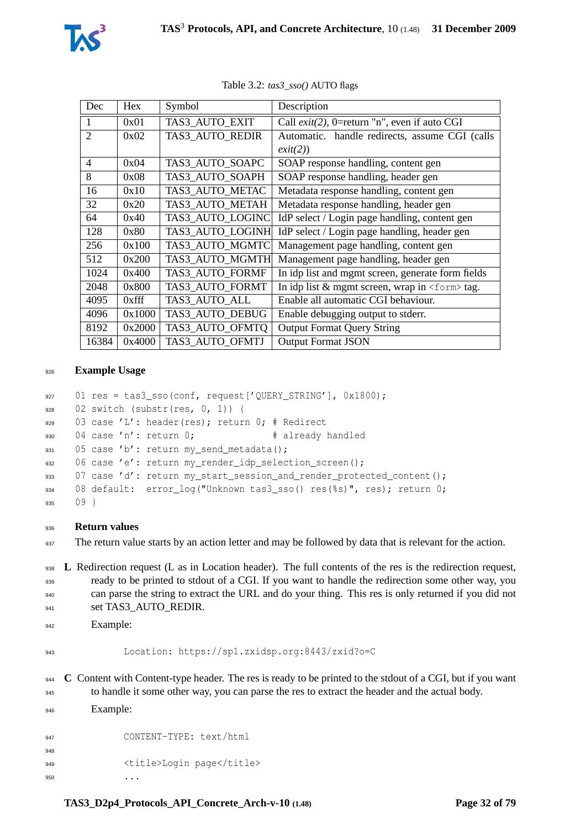| Dec   | Hex      | Symbol           | Description                                         |
|-------|----------|------------------|-----------------------------------------------------|
| 1     | 0x01     | TAS3 AUTO EXIT   | Call $exit(2)$ , 0=return "n", even if auto CGI     |
| 2     | 0x02     | TAS3 AUTO REDIR  | Automatic. handle redirects, assume CGI (calls      |
|       |          |                  | exit(2))                                            |
| 4     | 0x04     | TAS3 AUTO SOAPC  | SOAP response handling, content gen                 |
| 8     | 0x08     | TAS3 AUTO SOAPH  | SOAP response handling, header gen                  |
| 16    | 0x10     | TAS3 AUTO METAC  | Metadata response handling, content gen             |
| 32    | 0x20     | TAS3 AUTO METAH  | Metadata response handling, header gen              |
| 64    | 0x40     | TAS3_AUTO_LOGINC | IdP select / Login page handling, content gen       |
| 128   | 0x80     | TAS3 AUTO LOGINH | IdP select / Login page handling, header gen        |
| 256   | 0x100    | TAS3 AUTO MGMTC  | Management page handling, content gen               |
| 512   | 0x200    | TAS3 AUTO MGMTH  | Management page handling, header gen                |
| 1024  | 0x400    | TAS3 AUTO FORMF  | In idp list and mgmt screen, generate form fields   |
| 2048  | 0x800    | TAS3 AUTO FORMT  | In idp list $&$ mgmt screen, wrap in $<$ form> tag. |
| 4095  | $0x$ fff | TAS3 AUTO ALL    | Enable all automatic CGI behaviour.                 |
| 4096  | 0x1000   | TAS3 AUTO DEBUG  | Enable debugging output to stderr.                  |
| 8192  | 0x2000   | TAS3_AUTO_OFMTQ  | <b>Output Format Query String</b>                   |
| 16384 | 0x4000   | TAS3 AUTO OFMTJ  | <b>Output Format JSON</b>                           |

Table 3.2: *tas3\_sso()* AUTO flags

#### **Example Usage**

```
927 01 res = tas3 sso(conf, request['OUERY_STRING'], 0x1800);
928 02 switch (substr(res, 0, 1)) {
929 03 case 'L': header(res); return 0; # Redirect
930 04 case 'n': return 0; # already handled
931 05 case 'b': return my send metadata();
932 06 case 'e': return my_render_idp_selection_screen();
933 07 case 'd': return my_start_session_and_render_protected_content();
934 08 default: error_log("Unknown tas3_sso() res(%s)", res); return 0;
935 09 }
```
#### **Return values**

937 The return value starts by an action letter and may be followed by data that is relevant for the action.

938 L Redirection request (L as in Location header). The full contents of the res is the redirection request, ready to be printed to stdout of a CGI. If you want to handle the redirection some other way, you can parse the string to extract the URL and do your thing. This res is only returned if you did not 941 set TAS3\_AUTO\_REDIR.

```
942 Example:
```

```
943 Location: https://sp1.zxidsp.org:8443/zxid?o=C
```
**C** Content with Content-type header. The res is ready to be printed to the stdout of a CGI, but if you want to handle it some other way, you can parse the res to extract the header and the actual body. Example:

 CONTENT-TYPE: text/html 949 <title>Login page</title>  $\cdots$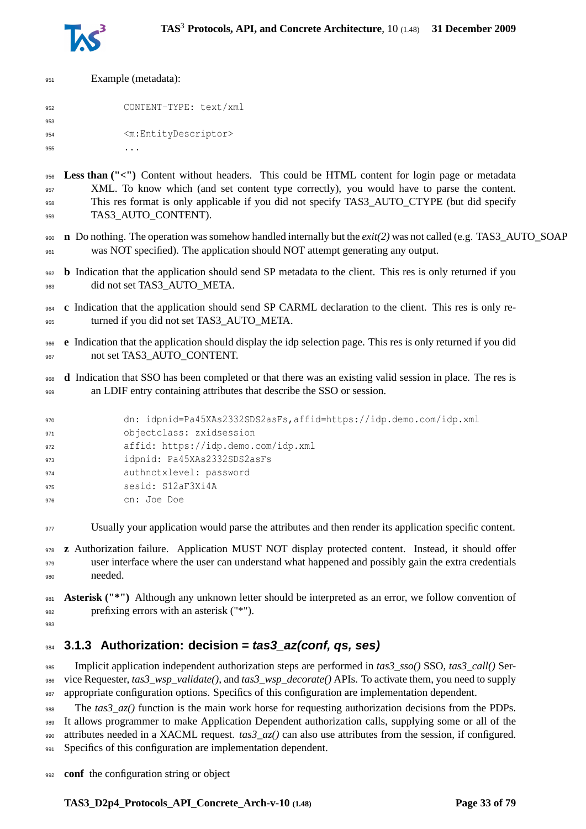

| 951 | Example (metadata):                                                                                   |
|-----|-------------------------------------------------------------------------------------------------------|
| 952 | CONTENT-TYPE: text/xml                                                                                |
| 953 |                                                                                                       |
| 954 | <m:entitydescriptor></m:entitydescriptor>                                                             |
| 955 | .                                                                                                     |
|     |                                                                                                       |
| 956 | <b>Less than</b> ("<") Content without headers. This could be HTML content for login page or metadata |
| 957 | XML. To know which (and set content type correctly), you would have to parse the content.             |
| 958 | This res format is only applicable if you did not specify TAS3_AUTO_CTYPE (but did specify            |
| 959 | TAS3 AUTO CONTENT).                                                                                   |

- **n** Do nothing. The operation was somehow handled internally but the *exit(2)* was not called (e.g. TAS3\_AUTO\_SOAP was NOT specified). The application should NOT attempt generating any output.
- **b** Indication that the application should send SP metadata to the client. This res is only returned if you 963 did not set TAS3 AUTO META.
- **c** Indication that the application should send SP CARML declaration to the client. This res is only re-965 turned if you did not set TAS3 AUTO META.
- **e** Indication that the application should display the idp selection page. This res is only returned if you did 967 not set TAS3\_AUTO\_CONTENT.
- **d** Indication that SSO has been completed or that there was an existing valid session in place. The res is an LDIF entry containing attributes that describe the SSO or session.

```
970 dn: idpnid=Pa45XAs2332SDS2asFs,affid=https://idp.demo.com/idp.xml
971 objectclass: zxidsession
972 affid: https://idp.demo.com/idp.xml
973 idpnid: Pa45XAs2332SDS2asFs
974 authnctxlevel: password
975 sesid: S12aF3Xi4A
976 cn: Joe Doe
```
Usually your application would parse the attributes and then render its application specific content.

 **z** Authorization failure. Application MUST NOT display protected content. Instead, it should offer user interface where the user can understand what happened and possibly gain the extra credentials needed.

 **Asterisk ("\*")** Although any unknown letter should be interpreted as an error, we follow convention of prefixing errors with an asterisk ("\*").

### **3.1.3 Authorization: decision = tas3\_az(conf, qs, ses)**

 Implicit application independent authorization steps are performed in *tas3\_sso()* SSO, *tas3\_call()* Ser- vice Requester, *tas3\_wsp\_validate()*, and *tas3\_wsp\_decorate()* APIs. To activate them, you need to supply appropriate configuration options. Specifics of this configuration are implementation dependent.

 The *tas3\_az()* function is the main work horse for requesting authorization decisions from the PDPs. It allows programmer to make Application Dependent authorization calls, supplying some or all of the attributes needed in a XACML request. *tas3\_az()* can also use attributes from the session, if configured. 991 Specifics of this configuration are implementation dependent.

**conf** the configuration string or object

<span id="page-32-0"></span>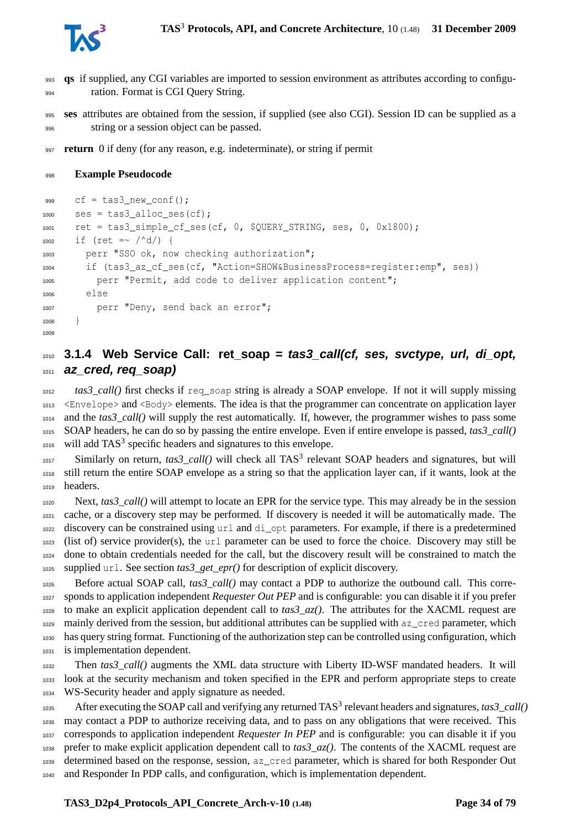

 **qs** if supplied, any CGI variables are imported to session environment as attributes according to configu-ration. Format is CGI Query String.

 **ses** attributes are obtained from the session, if supplied (see also CGI). Session ID can be supplied as a string or a session object can be passed.

**return** 0 if deny (for any reason, e.g. indeterminate), or string if permit

#### **Example Pseudocode**

```
999 cf = tas3 new conf();1000 ses = \text{tas3}_\text{alloc\_ses}(\text{cf});
1001 ret = tas3_simple_cf_ses(cf, 0, $QUERY_STRING, ses, 0, 0x1800);
1002 if (ret =~ /\text{^d}) {
1003 perr "SSO ok, now checking authorization";
1004 if (tas3 az cf ses(cf, "Action=SHOW&BusinessProcess=register:emp", ses))
          perr "Permit, add code to deliver application content";
1006 else
1007 perr "Deny, send back an error";
1008
1009
```
## <span id="page-33-0"></span> **3.1.4 Web Service Call: ret\_soap = tas3\_call(cf, ses, svctype, url, di\_opt, az\_cred, req\_soap)**

 *tas3\_call()* first checks if req\_soap string is already a SOAP envelope. If not it will supply missing <Envelope> and <Body> elements. The idea is that the programmer can concentrate on application layer and the *tas3\_call()* will supply the rest automatically. If, however, the programmer wishes to pass some SOAP headers, he can do so by passing the entire envelope. Even if entire envelope is passed, *tas3\_call()* will add TAS<sup>3</sup> specific headers and signatures to this envelope.

 Similarly on return,  $\text{tas3\_call}()$  will check all TAS<sup>3</sup> relevant SOAP headers and signatures, but will still return the entire SOAP envelope as a string so that the application layer can, if it wants, look at the headers.

 Next, *tas3\_call()* will attempt to locate an EPR for the service type. This may already be in the session cache, or a discovery step may be performed. If discovery is needed it will be automatically made. The discovery can be constrained using url and di\_opt parameters. For example, if there is a predetermined (list of) service provider(s), the url parameter can be used to force the choice. Discovery may still be done to obtain credentials needed for the call, but the discovery result will be constrained to match the supplied url. See section *tas3\_get\_epr()* for description of explicit discovery.

 Before actual SOAP call, *tas3\_call()* may contact a PDP to authorize the outbound call. This corre- sponds to application independent *Requester Out PEP* and is configurable: you can disable it if you prefer to make an explicit application dependent call to *tas3*  $az()$ . The attributes for the XACML request are mainly derived from the session, but additional attributes can be supplied with az\_cred parameter, which has query string format. Functioning of the authorization step can be controlled using configuration, which is implementation dependent.

 Then *tas3\_call()* augments the XML data structure with Liberty ID-WSF mandated headers. It will look at the security mechanism and token specified in the EPR and perform appropriate steps to create WS-Security header and apply signature as needed.

1035 After executing the SOAP call and verifying any returned TAS<sup>3</sup> relevant headers and signatures, *tas3\_call()*  may contact a PDP to authorize receiving data, and to pass on any obligations that were received. This corresponds to application independent *Requester In PEP* and is configurable: you can disable it if you prefer to make explicit application dependent call to *tas3\_az()*. The contents of the XACML request are determined based on the response, session, az\_cred parameter, which is shared for both Responder Out and Responder In PDP calls, and configuration, which is implementation dependent.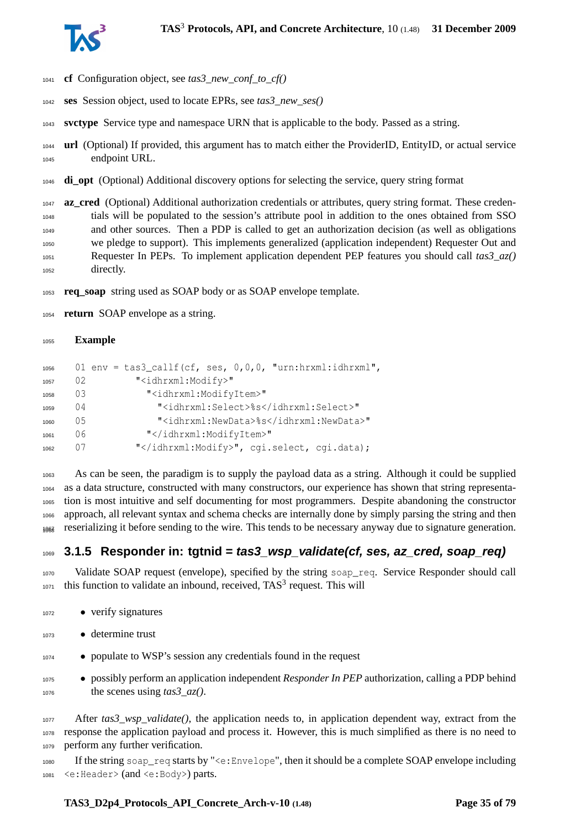

- **cf** Configuration object, see *tas3\_new\_conf\_to\_cf()*
- **ses** Session object, used to locate EPRs, see *tas3\_new\_ses()*
- **svctype** Service type and namespace URN that is applicable to the body. Passed as a string.
- **url** (Optional) If provided, this argument has to match either the ProviderID, EntityID, or actual service endpoint URL.
- **di\_opt** (Optional) Additional discovery options for selecting the service, query string format

**az\_cred** (Optional) Additional authorization credentials or attributes, query string format. These creden- tials will be populated to the session's attribute pool in addition to the ones obtained from SSO and other sources. Then a PDP is called to get an authorization decision (as well as obligations we pledge to support). This implements generalized (application independent) Requester Out and Requester In PEPs. To implement application dependent PEP features you should call *tas3\_az()* directly.

**req\_soap** string used as SOAP body or as SOAP envelope template.

**return** SOAP envelope as a string.

#### **Example**

| 1056 |    | 01 env = tas3_callf(cf, ses, $0,0,0$ , "urn:hrxml:idhrxml", |
|------|----|-------------------------------------------------------------|
| 1057 | 02 | " <idhrxml:modify>"</idhrxml:modify>                        |
| 1058 | 03 | " <idhrxml:modifyitem>"</idhrxml:modifyitem>                |
| 1059 | 04 | " <idhrxml:select>%s</idhrxml:select> "                     |
| 1060 | 05 | " <idhrxml:newdata>%s</idhrxml:newdata> "                   |
| 1061 | 06 | ""                                                          |
| 1062 | () | "", cgi.select, cgi.data);                                  |

 As can be seen, the paradigm is to supply the payload data as a string. Although it could be supplied as a data structure, constructed with many constructors, our experience has shown that string representa- tion is most intuitive and self documenting for most programmers. Despite abandoning the constructor approach, all relevant syntax and schema checks are internally done by simply parsing the string and then reserializing it before sending to the wire. This tends to be necessary anyway due to signature generation. <sup>1068</sup>

### <span id="page-34-0"></span>**3.1.5 Responder in: tgtnid = tas3\_wsp\_validate(cf, ses, az\_cred, soap\_req)**

 Validate SOAP request (envelope), specified by the string soap\_req. Service Responder should call this function to validate an inbound, received, TAS<sup>3</sup> request. This will

- 1072 verify signatures
- determine trust
- populate to WSP's session any credentials found in the request
- possibly perform an application independent *Responder In PEP* authorization, calling a PDP behind the scenes using *tas3\_az()*.

 After *tas3\_wsp\_validate()*, the application needs to, in application dependent way, extract from the response the application payload and process it. However, this is much simplified as there is no need to perform any further verification.

 If the string soap\_req starts by "<e:Envelope", then it should be a complete SOAP envelope including <e:Header> (and <e:Body>) parts.

#### **TAS3\_D2p4\_Protocols\_API\_Concrete\_Arch-v-10 (1.48) Page 35 of [79](#page-78-0)**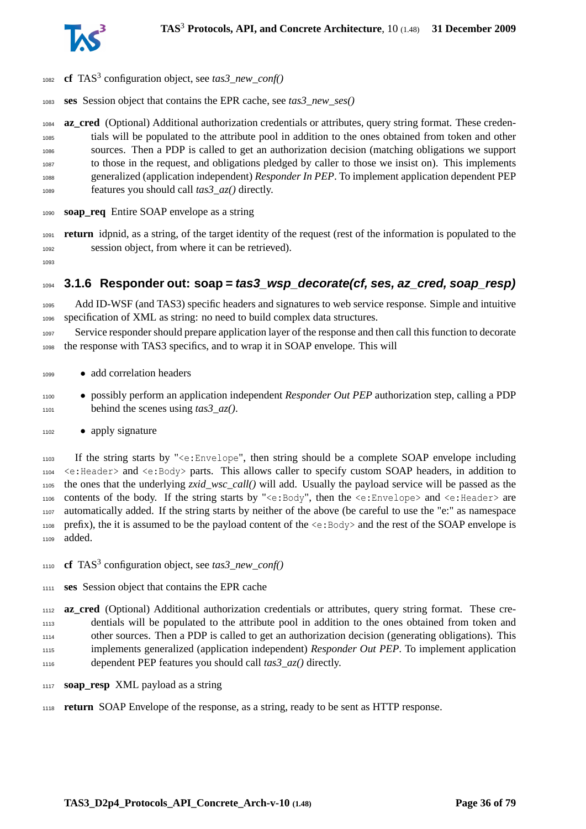

- 1082 **cf** TAS<sup>3</sup> configuration object, see *tas3\_new\_conf()*
- **ses** Session object that contains the EPR cache, see *tas3\_new\_ses()*

 **az\_cred** (Optional) Additional authorization credentials or attributes, query string format. These creden- tials will be populated to the attribute pool in addition to the ones obtained from token and other sources. Then a PDP is called to get an authorization decision (matching obligations we support to those in the request, and obligations pledged by caller to those we insist on). This implements generalized (application independent) *Responder In PEP*. To implement application dependent PEP features you should call *tas3\_az()* directly.

- **soap\_req** Entire SOAP envelope as a string
- **return** idpnid, as a string, of the target identity of the request (rest of the information is populated to the session object, from where it can be retrieved).
- <span id="page-35-0"></span>

#### **3.1.6 Responder out: soap = tas3\_wsp\_decorate(cf, ses, az\_cred, soap\_resp)**

 Add ID-WSF (and TAS3) specific headers and signatures to web service response. Simple and intuitive specification of XML as string: no need to build complex data structures.

 Service responder should prepare application layer of the response and then call this function to decorate the response with TAS3 specifics, and to wrap it in SOAP envelope. This will

- add correlation headers
- possibly perform an application independent *Responder Out PEP* authorization step, calling a PDP behind the scenes using *tas3\_az()*.

#### • apply signature

 If the string starts by "<e:Envelope", then string should be a complete SOAP envelope including <e:Header> and <e:Body> parts. This allows caller to specify custom SOAP headers, in addition to the ones that the underlying *zxid\_wsc\_call()* will add. Usually the payload service will be passed as the contents of the body. If the string starts by "<e:Body", then the <e:Envelope> and <e:Header> are automatically added. If the string starts by neither of the above (be careful to use the "e:" as namespace 1108 prefix), the it is assumed to be the payload content of the  $\leq e : \text{Body} >$  and the rest of the SOAP envelope is added.

- **cf** TAS<sup>3</sup> configuration object, see *tas3\_new\_conf()*
- **ses** Session object that contains the EPR cache

 **az\_cred** (Optional) Additional authorization credentials or attributes, query string format. These cre- dentials will be populated to the attribute pool in addition to the ones obtained from token and other sources. Then a PDP is called to get an authorization decision (generating obligations). This implements generalized (application independent) *Responder Out PEP*. To implement application dependent PEP features you should call *tas3\_az()* directly.

- **soap\_resp** XML payload as a string
- **return** SOAP Envelope of the response, as a string, ready to be sent as HTTP response.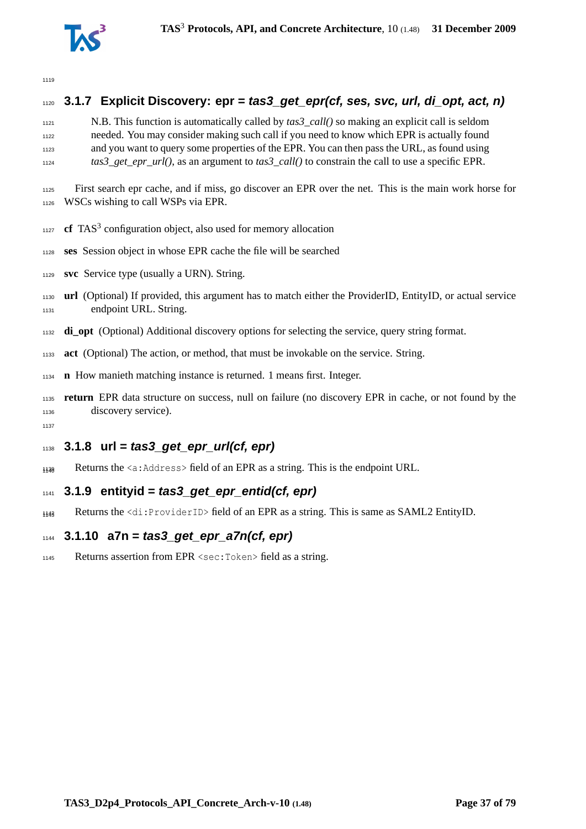

# **3.1.7 Explicit Discovery: epr = tas3\_get\_epr(cf, ses, svc, url, di\_opt, act, n)** N.B. This function is automatically called by *tas3\_call()* so making an explicit call is seldom needed. You may consider making such call if you need to know which EPR is actually found and you want to query some properties of the EPR. You can then pass the URL, as found using *tas3\_get\_epr\_url()*, as an argument to *tas3\_call()* to constrain the call to use a specific EPR. First search epr cache, and if miss, go discover an EPR over the net. This is the main work horse for WSCs wishing to call WSPs via EPR. **cf** TAS<sup>3</sup> configuration object, also used for memory allocation **ses** Session object in whose EPR cache the file will be searched **svc** Service type (usually a URN). String. **url** (Optional) If provided, this argument has to match either the ProviderID, EntityID, or actual service endpoint URL. String. **di\_opt** (Optional) Additional discovery options for selecting the service, query string format. **act** (Optional) The action, or method, that must be invokable on the service. String. **n** How manieth matching instance is returned. 1 means first. Integer.

- **return** EPR data structure on success, null on failure (no discovery EPR in cache, or not found by the discovery service).
- 

# **3.1.8 url = tas3\_get\_epr\_url(cf, epr)**

1140 Returns the <a:Address> field of an EPR as a string. This is the endpoint URL.

# **3.1.9 entityid = tas3\_get\_epr\_entid(cf, epr)**

1148 Returns the <di:ProviderID> field of an EPR as a string. This is same as SAML2 EntityID.

# **3.1.10 a7n = tas3\_get\_epr\_a7n(cf, epr)**

Returns assertion from EPR <sec:Token> field as a string.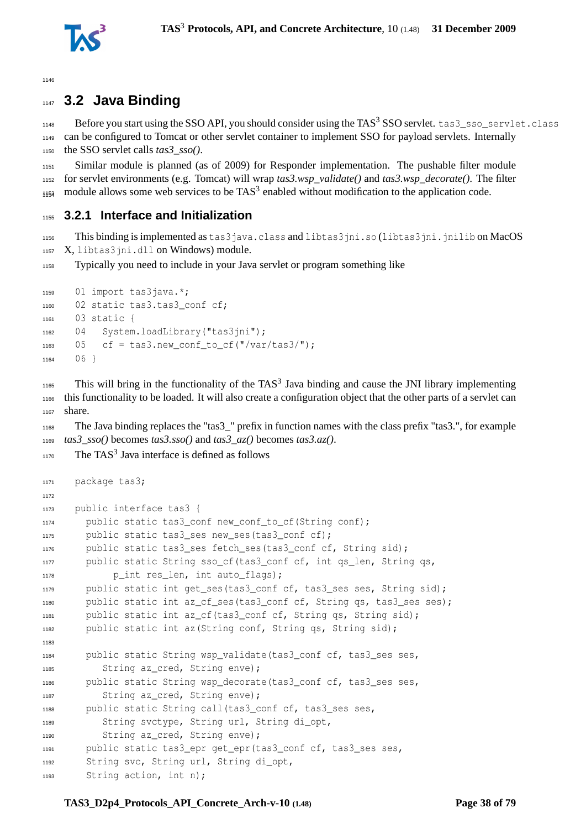

# **3.2 Java Binding**

1148 Before you start using the SSO API, you should consider using the TAS<sup>3</sup> SSO servlet. tas3\_sso\_servlet.class can be configured to Tomcat or other servlet container to implement SSO for payload servlets. Internally the SSO servlet calls *tas3\_sso()*.

 Similar module is planned (as of 2009) for Responder implementation. The pushable filter module for servlet environments (e.g. Tomcat) will wrap *tas3.wsp\_validate()* and *tas3.wsp\_decorate()*. The filter  $_{1154}$  module allows some web services to be TAS<sup>3</sup> enabled without modification to the application code.

# **3.2.1 Interface and Initialization**

 This binding is implemented as tas3java.class and libtas3jni.so (libtas3jni.jnilib on MacOS 1157 X, libtas3jni.dll on Windows) module.

Typically you need to include in your Java servlet or program something like

```
1159 01 import tas3java.*;
1160 02 static tas3.tas3_conf cf;
1161 03 static {
1162 04 System.loadLibrary("tas3jni");
1163 05 cf = tas3.new conf to cf("/var/tas3/");
1164 06 }
```
 This will bring in the functionality of the TAS<sup>3</sup> Java binding and cause the JNI library implementing this functionality to be loaded. It will also create a configuration object that the other parts of a servlet can share.

 The Java binding replaces the "tas3\_" prefix in function names with the class prefix "tas3.", for example *tas3\_sso()* becomes *tas3.sso()* and *tas3\_az()* becomes *tas3.az()*.

```
1170 The TAS<sup>3</sup> Java interface is defined as follows
```

```
1171 package tas3;
1172
1173 public interface tas3 {
1174 public static tas3_conf new_conf_to_cf(String conf);
       public static tas3 ses new ses(tas3 conf cf);
1176 public static tas3_ses fetch_ses(tas3_conf cf, String sid);
1177 public static String sso_cf(tas3_conf cf, int qs_len, String qs,
1178 p_int res_len, int auto_flags);
1179 public static int get ses(tas3 conf cf, tas3 ses ses, String sid);
1180 public static int az_cf_ses(tas3_conf cf, String qs, tas3_ses ses);
1181 public static int az cf(tas3 conf cf, String qs, String sid);
1182 public static int az(String conf, String qs, String sid);
1183
1184 public static String wsp_validate(tas3_conf cf, tas3_ses ses,
1185 String az cred, String enve);
1186 public static String wsp_decorate(tas3_conf cf, tas3_ses ses,
1187 String az_cred, String enve);
1188 public static String call(tas3_conf cf, tas3_ses ses,
1189 String svctype, String url, String di_opt,
1190 String az_cred, String enve);
1191 public static tas3_epr get_epr(tas3_conf cf, tas3_ses ses,
1192 String svc, String url, String di_opt,
1193 String action, int n);
```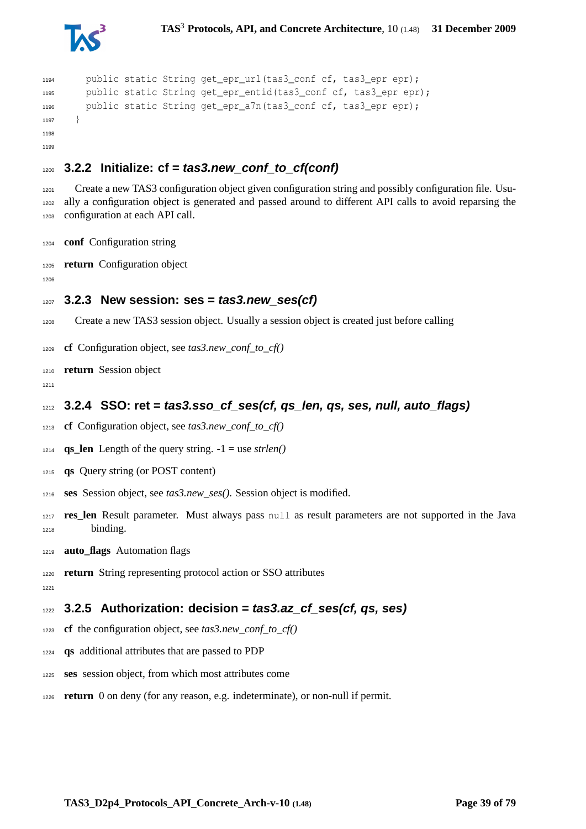

```
1194 public static String get epr url(tas3 conf cf, tas3 epr epr);
1195 public static String get_epr_entid(tas3_conf cf, tas3_epr epr);
1196 public static String get epr a7n(tas3 conf cf, tas3 epr epr);
1197 }
1198
1199
```
# **3.2.2 Initialize: cf = tas3.new\_conf\_to\_cf(conf)**

1201 Create a new TAS3 configuration object given configuration string and possibly configuration file. Usu- ally a configuration object is generated and passed around to different API calls to avoid reparsing the configuration at each API call.

- **conf** Configuration string
- **return** Configuration object
- 

```
1207 3.2.3 New session: ses = tas3.new_ses(cf)
```
- Create a new TAS3 session object. Usually a session object is created just before calling
- **cf** Configuration object, see *tas3.new\_conf\_to\_cf()*
- **return** Session object
- 
- **3.2.4 SSO: ret = tas3.sso\_cf\_ses(cf, qs\_len, qs, ses, null, auto\_flags)**
- **cf** Configuration object, see *tas3.new\_conf\_to\_cf()*
- 1214 **qs** len Length of the query string.  $-1 =$  use *strlen()*
- **qs** Query string (or POST content)
- **ses** Session object, see *tas3.new\_ses()*. Session object is modified.
- **res\_len** Result parameter. Must always pass null as result parameters are not supported in the Java binding.
- **auto\_flags** Automation flags
- **return** String representing protocol action or SSO attributes
- $122'$

**3.2.5 Authorization: decision = tas3.az\_cf\_ses(cf, qs, ses)**

- **cf** the configuration object, see *tas3.new\_conf\_to\_cf()*
- **qs** additional attributes that are passed to PDP
- **ses** session object, from which most attributes come
- **return** 0 on deny (for any reason, e.g. indeterminate), or non-null if permit.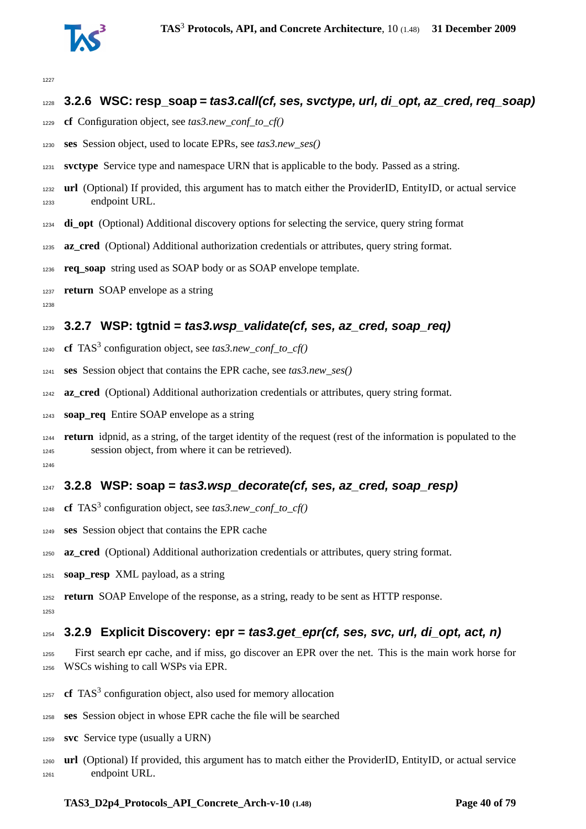

```
1227
```
# **3.2.6 WSC: resp\_soap = tas3.call(cf, ses, svctype, url, di\_opt, az\_cred, req\_soap)**

- **cf** Configuration object, see *tas3.new\_conf\_to\_cf()*
- **ses** Session object, used to locate EPRs, see *tas3.new\_ses()*
- **svctype** Service type and namespace URN that is applicable to the body. Passed as a string.
- **url** (Optional) If provided, this argument has to match either the ProviderID, EntityID, or actual service endpoint URL.
- **di\_opt** (Optional) Additional discovery options for selecting the service, query string format
- **az\_cred** (Optional) Additional authorization credentials or attributes, query string format.
- **req\_soap** string used as SOAP body or as SOAP envelope template.
- **return** SOAP envelope as a string
- 

# **3.2.7 WSP: tgtnid = tas3.wsp\_validate(cf, ses, az\_cred, soap\_req)**

- 1240 **cf** TAS<sup>3</sup> configuration object, see *tas3.new\_conf\_to\_cf()*
- **ses** Session object that contains the EPR cache, see *tas3.new\_ses()*
- **az\_cred** (Optional) Additional authorization credentials or attributes, query string format.
- **soap\_req** Entire SOAP envelope as a string
- **return** idpnid, as a string, of the target identity of the request (rest of the information is populated to the session object, from where it can be retrieved).

# **3.2.8 WSP: soap = tas3.wsp\_decorate(cf, ses, az\_cred, soap\_resp)**

- **cf** TAS<sup>3</sup> configuration object, see *tas3.new\_conf\_to\_cf()*
- **ses** Session object that contains the EPR cache
- **az\_cred** (Optional) Additional authorization credentials or attributes, query string format.
- **soap\_resp** XML payload, as a string
- **return** SOAP Envelope of the response, as a string, ready to be sent as HTTP response.

# **3.2.9 Explicit Discovery: epr = tas3.get\_epr(cf, ses, svc, url, di\_opt, act, n)**

- First search epr cache, and if miss, go discover an EPR over the net. This is the main work horse for WSCs wishing to call WSPs via EPR.
- **cf** TAS<sup>3</sup> configuration object, also used for memory allocation
- **ses** Session object in whose EPR cache the file will be searched
- **svc** Service type (usually a URN)
- **url** (Optional) If provided, this argument has to match either the ProviderID, EntityID, or actual service endpoint URL.

#### **TAS3\_D2p4\_Protocols\_API\_Concrete\_Arch-v-10 (1.48) Page 40 of [79](#page-78-0)**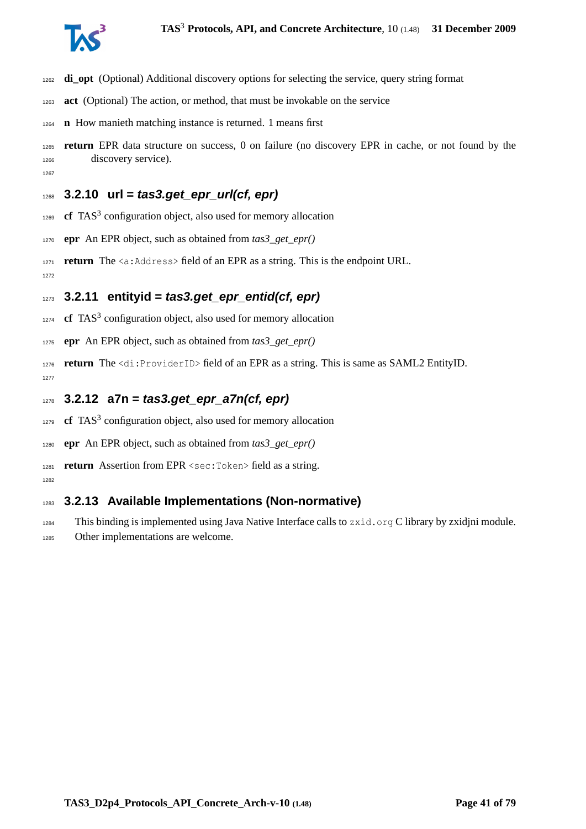

- **di\_opt** (Optional) Additional discovery options for selecting the service, query string format
- **act** (Optional) The action, or method, that must be invokable on the service
- **n** How manieth matching instance is returned. 1 means first
- **return** EPR data structure on success, 0 on failure (no discovery EPR in cache, or not found by the discovery service).

# **3.2.10 url = tas3.get\_epr\_url(cf, epr)**

- **cf** TAS<sup>3</sup> configuration object, also used for memory allocation
- **epr** An EPR object, such as obtained from *tas3\_get\_epr()*
- 1271 **return** The  $\langle a:Adcrems\rangle$  field of an EPR as a string. This is the endpoint URL.  $127'$

## **3.2.11 entityid = tas3.get\_epr\_entid(cf, epr)**

- **cf** TAS<sup>3</sup> configuration object, also used for memory allocation
- **epr** An EPR object, such as obtained from *tas3\_get\_epr()*
- **return** The <di:ProviderID> field of an EPR as a string. This is same as SAML2 EntityID.
- **3.2.12 a7n = tas3.get\_epr\_a7n(cf, epr)**
- **cf** TAS<sup>3</sup> configuration object, also used for memory allocation
- **epr** An EPR object, such as obtained from *tas3\_get\_epr()*
- **return** Assertion from EPR <sec:Token> field as a string.
- 

# **3.2.13 Available Implementations (Non-normative)**

- This binding is implemented using Java Native Interface calls to zxid.org C library by zxidjni module.
- Other implementations are welcome.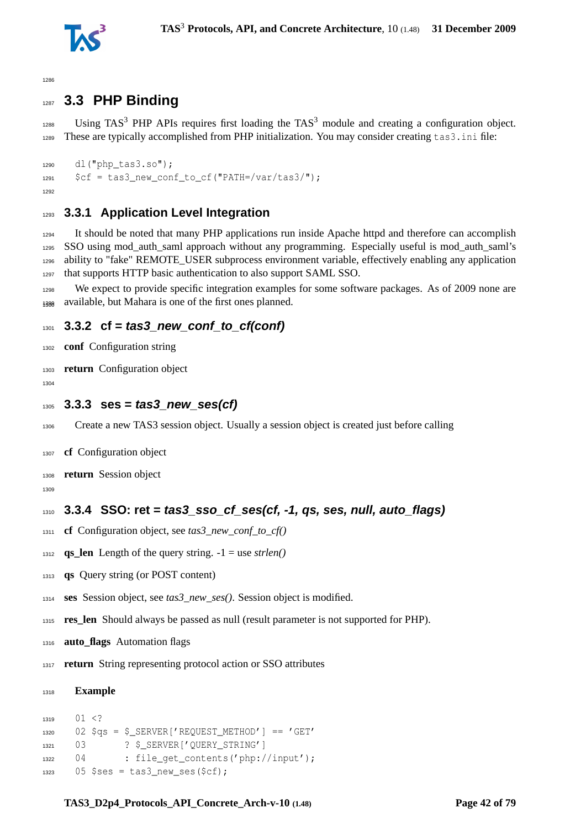

# **3.3 PHP Binding**

 Using TAS<sup>3</sup> PHP APIs requires first loading the TAS<sup>3</sup> module and creating a configuration object. These are typically accomplished from PHP initialization. You may consider creating tas3.ini file:

```
1290 dl("php_tas3.so");
1291 \text{Set} = \text{tas3 new conf to cf("PATH='var/tas3/");}1292
```
# **3.3.1 Application Level Integration**

 It should be noted that many PHP applications run inside Apache httpd and therefore can accomplish SSO using mod\_auth\_saml approach without any programming. Especially useful is mod\_auth\_saml's ability to "fake" REMOTE\_USER subprocess environment variable, effectively enabling any application that supports HTTP basic authentication to also support SAML SSO.

 We expect to provide specific integration examples for some software packages. As of 2009 none are 1399 available, but Mahara is one of the first ones planned.

# **3.3.2 cf = tas3\_new\_conf\_to\_cf(conf)**

- **conf** Configuration string
- **return** Configuration object
- 
- **3.3.3 ses = tas3\_new\_ses(cf)**
- Create a new TAS3 session object. Usually a session object is created just before calling
- **cf** Configuration object
- **return** Session object
- 

# **3.3.4 SSO: ret = tas3\_sso\_cf\_ses(cf, -1, qs, ses, null, auto\_flags)**

- **cf** Configuration object, see *tas3\_new\_conf\_to\_cf()*
- 1312 **qs\_len** Length of the query string.  $-1 =$  use *strlen()*
- **qs** Query string (or POST content)
- **ses** Session object, see *tas3\_new\_ses()*. Session object is modified.
- **res\_len** Should always be passed as null (result parameter is not supported for PHP).
- **auto\_flags** Automation flags
- **return** String representing protocol action or SSO attributes

#### **Example**

```
1319 01 <?
1320 02 $as = $ SERVER['REQUEST METHOD'] == 'GET'
1321 03 ? $ SERVER['QUERY_STRING']
1322 04 : file_get_contents('php://input');
1323 05 $ses = tas3_new\_ses(Scf);
```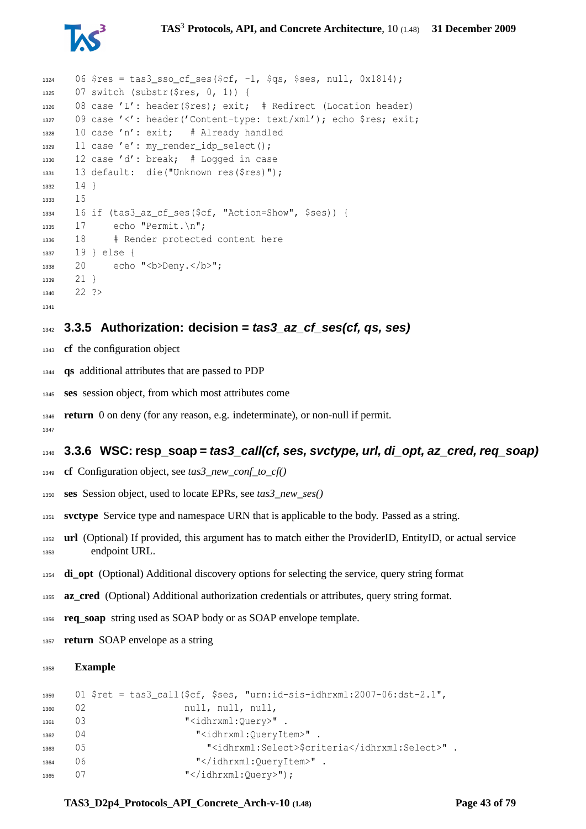

```
1324 06 $res = tas3 sso cf ses($cf, -1, $qs, $ses, null, 0x1814);
1325 07 switch (substr($res, 0, 1)) {
1326 08 case 'L': header($res); exit; # Redirect (Location header)
1327 09 case '<': header('Content-type: text/xml'); echo $res; exit;
1328 10 case 'n': exit; # Already handled
1329 11 case 'e': my_render_idp_select();
1330 12 case 'd': break; # Logged in case
1331 13 default: die("Unknown res($res)");
1332 \t141333 15
1334 16 if (tas3 az cf ses($cf, "Action=Show", $ses)) {
1335 17 echo "Permit. \n";
1336 18 # Render protected content here
1337 19 } else {
1338 20 echo "<br/>b>Deny.</b>";
1339 21 }
1340 22 ?>
1341
```
## **3.3.5 Authorization: decision = tas3\_az\_cf\_ses(cf, qs, ses)**

- **cf** the configuration object
- **qs** additional attributes that are passed to PDP
- **ses** session object, from which most attributes come
- **return** 0 on deny (for any reason, e.g. indeterminate), or non-null if permit.

# **3.3.6 WSC: resp\_soap = tas3\_call(cf, ses, svctype, url, di\_opt, az\_cred, req\_soap)**

- **cf** Configuration object, see *tas3\_new\_conf\_to\_cf()*
- **ses** Session object, used to locate EPRs, see *tas3\_new\_ses()*
- **svctype** Service type and namespace URN that is applicable to the body. Passed as a string.
- **url** (Optional) If provided, this argument has to match either the ProviderID, EntityID, or actual service endpoint URL.
- **di\_opt** (Optional) Additional discovery options for selecting the service, query string format
- **az\_cred** (Optional) Additional authorization credentials or attributes, query string format.
- **req\_soap** string used as SOAP body or as SOAP envelope template.
- **return** SOAP envelope as a string

#### **Example**

```
1359 01 $ret = tas3_call($cf, $ses, "urn:id-sis-idhrxml:2007-06:dst-2.1",
1360 02 null, null, null, null,
1361 03 "<idhrxml:Ouery>".
1362 04 "<idhrxml:QueryItem>".
1363 05 "<idhrxml:Select>$criteria</idhrxml:Select>".
1364 06 "</idhrxml:QueryItem>".
1365 07 "</idhrxml:Query>");
```
#### **TAS3\_D2p4\_Protocols\_API\_Concrete\_Arch-v-10 (1.48) Page 43 of [79](#page-78-0)**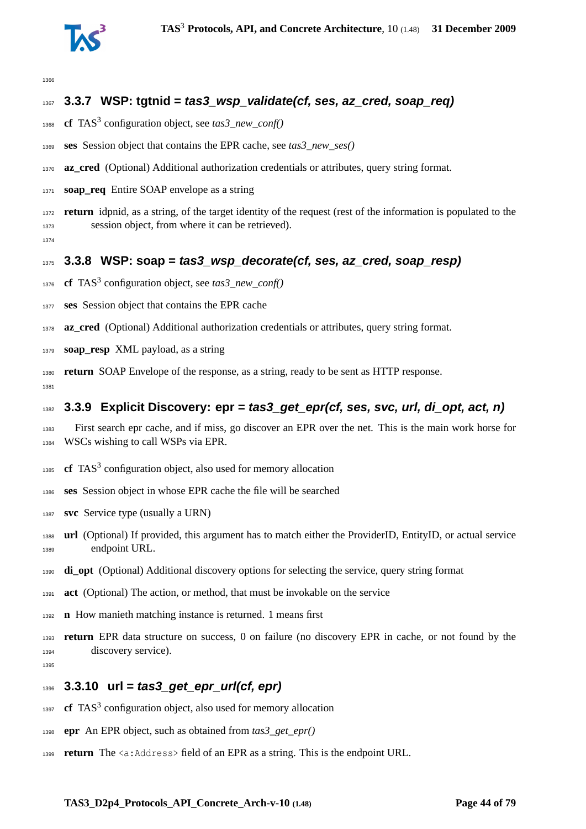

# **3.3.7 WSP: tgtnid = tas3\_wsp\_validate(cf, ses, az\_cred, soap\_req)**

- **cf** TAS<sup>3</sup> configuration object, see *tas3\_new\_conf()*
- **ses** Session object that contains the EPR cache, see *tas3\_new\_ses()*
- **az cred** (Optional) Additional authorization credentials or attributes, query string format.
- **soap\_req** Entire SOAP envelope as a string
- **return** idpnid, as a string, of the target identity of the request (rest of the information is populated to the session object, from where it can be retrieved).
- **3.3.8 WSP: soap = tas3\_wsp\_decorate(cf, ses, az\_cred, soap\_resp)**
- 1376 **cf** TAS<sup>3</sup> configuration object, see *tas3\_new\_conf()*
- **ses** Session object that contains the EPR cache
- **az\_cred** (Optional) Additional authorization credentials or attributes, query string format.
- **soap\_resp** XML payload, as a string
- **return** SOAP Envelope of the response, as a string, ready to be sent as HTTP response.
- **3.3.9 Explicit Discovery: epr = tas3\_get\_epr(cf, ses, svc, url, di\_opt, act, n)**
- First search epr cache, and if miss, go discover an EPR over the net. This is the main work horse for WSCs wishing to call WSPs via EPR.
- **cf** TAS<sup>3</sup> configuration object, also used for memory allocation
- **ses** Session object in whose EPR cache the file will be searched
- **svc** Service type (usually a URN)
- **url** (Optional) If provided, this argument has to match either the ProviderID, EntityID, or actual service endpoint URL.
- **di\_opt** (Optional) Additional discovery options for selecting the service, query string format
- **act** (Optional) The action, or method, that must be invokable on the service
- **n** How manieth matching instance is returned. 1 means first
- **return** EPR data structure on success, 0 on failure (no discovery EPR in cache, or not found by the discovery service).
- 

# **3.3.10 url = tas3\_get\_epr\_url(cf, epr)**

- 1397 **cf** TAS<sup>3</sup> configuration object, also used for memory allocation
- **epr** An EPR object, such as obtained from *tas3\_get\_epr()*
- **return** The <a:Address> field of an EPR as a string. This is the endpoint URL.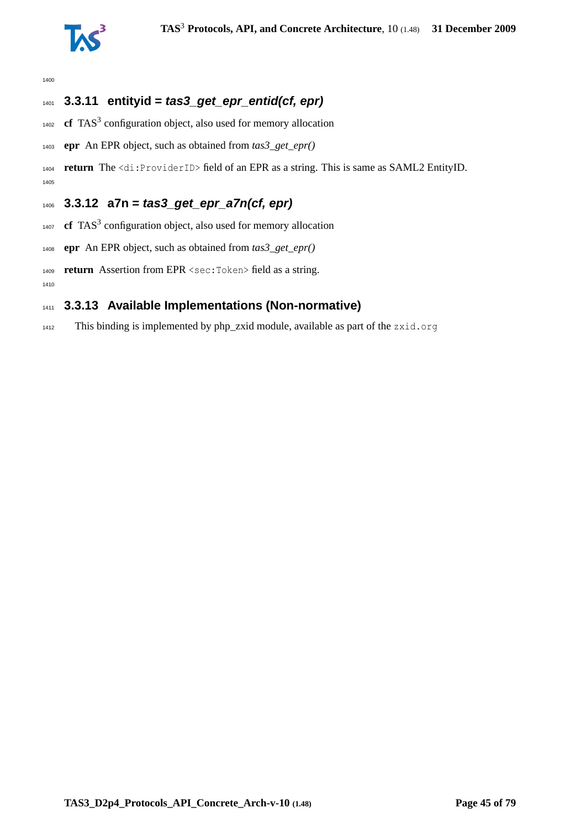

# **3.3.11 entityid = tas3\_get\_epr\_entid(cf, epr)**

- **cf** TAS<sup>3</sup> configuration object, also used for memory allocation
- **epr** An EPR object, such as obtained from *tas3\_get\_epr()*

 **return** The <di:ProviderID> field of an EPR as a string. This is same as SAML2 EntityID. 

# **3.3.12 a7n = tas3\_get\_epr\_a7n(cf, epr)**

- **cf** TAS<sup>3</sup> configuration object, also used for memory allocation
- **epr** An EPR object, such as obtained from *tas3\_get\_epr()*
- **return** Assertion from EPR <sec:Token> field as a string.

# **3.3.13 Available Implementations (Non-normative)**

This binding is implemented by php\_zxid module, available as part of the zxid.org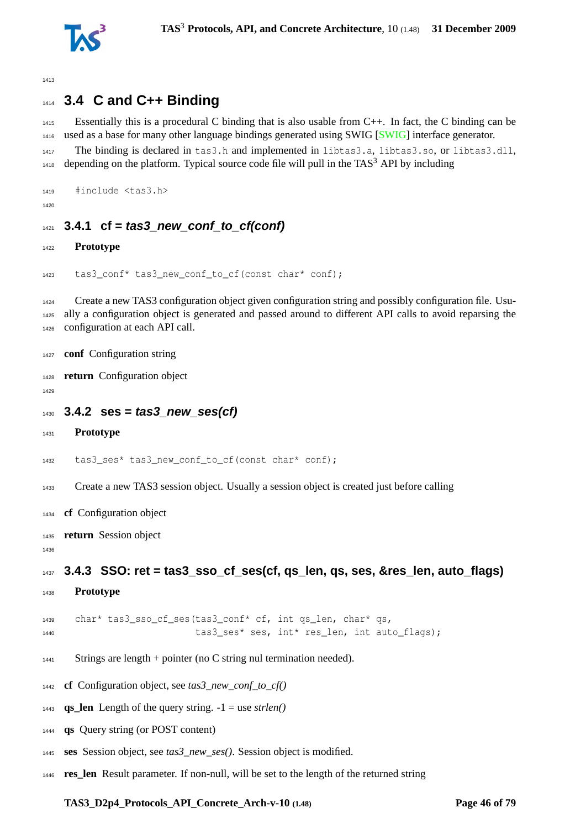

# **3.4 C and C++ Binding**

 Essentially this is a procedural C binding that is also usable from C++. In fact, the C binding can be used as a base for many other language bindings generated using SWIG [\[SWIG\]](#page-76-0) interface generator. The binding is declared in tas3.h and implemented in libtas3.a, libtas3.so, or libtas3.dll, depending on the platform. Typical source code file will pull in the TAS<sup>3</sup> API by including

```
1419 #include <tas3.h>
```
# **3.4.1 cf = tas3\_new\_conf\_to\_cf(conf)**

### **Prototype**

```
1423 tas3 conf* tas3 new conf to cf(const char* conf);
```
 Create a new TAS3 configuration object given configuration string and possibly configuration file. Usu- ally a configuration object is generated and passed around to different API calls to avoid reparsing the configuration at each API call.

```
1427 conf Configuration string
```

```
1428 return Configuration object
```

```
1430 3.4.2 ses = tas3_new_ses(cf)
```

```
1431 Prototype
```

```
1432 tas3_ses* tas3_new_conf_to_cf(const char* conf);
```
Create a new TAS3 session object. Usually a session object is created just before calling

- **cf** Configuration object
- **return** Session object

```
1437 3.4.3 SSO: ret = tas3_sso_cf_ses(cf, qs_len, qs, ses, &res_len, auto_flags)
```
**Prototype**

```
1439 char* tas3 sso cf ses(tas3 conf* cf, int qs len, char* qs,
1440 tas3 ses* ses, int* res len, int auto flags);
```
- 1441 Strings are length + pointer (no C string nul termination needed).
- **cf** Configuration object, see *tas3\_new\_conf\_to\_cf()*
- 1443 **qs\_len** Length of the query string.  $-1 =$  use *strlen()*
- **qs** Query string (or POST content)
- **ses** Session object, see *tas3\_new\_ses()*. Session object is modified.
- **res\_len** Result parameter. If non-null, will be set to the length of the returned string

# **TAS3\_D2p4\_Protocols\_API\_Concrete\_Arch-v-10 (1.48) Page 46 of [79](#page-78-0)**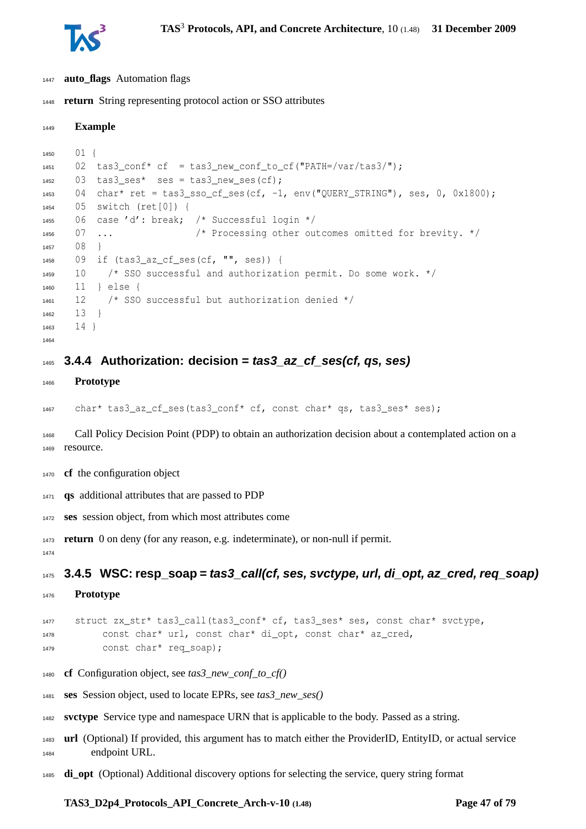

**Example**

- **auto\_flags** Automation flags
- **return** String representing protocol action or SSO attributes

```
1450 01 {
1451 02 tas3_conf* cf = tas3_new_conf_to_cf("PATH=/var/tas3/");
1452 03 tas3 ses* ses = tas3 new ses(cf);
1453 04 char* ret = tas3_sso_cf_ses(cf, -1, env("QUERY_STRING"), ses, 0, 0x1800);
1454 05 switch (ret[0]) {
1455 06 case 'd': break; /* Successful login */
1456 07 ... /* Processing other outcomes omitted for brevity. */
1457 08 }
1458 09 if (tas3_az_cf_ses(cf, "", ses)) {
1459 10 /* SSO successful and authorization permit. Do some work. */
1460 11 } else {
1461 12 /* SSO successful but authorization denied */
1462 13 }
1463 141464
```
## **3.4.4 Authorization: decision = tas3\_az\_cf\_ses(cf, qs, ses)**

**Prototype**

char\* tas3\_az\_cf\_ses(tas3\_conf\* cf, const char\* qs, tas3\_ses\* ses);

 Call Policy Decision Point (PDP) to obtain an authorization decision about a contemplated action on a resource.

- **cf** the configuration object
- **qs** additional attributes that are passed to PDP
- **ses** session object, from which most attributes come

**return** 0 on deny (for any reason, e.g. indeterminate), or non-null if permit.

**3.4.5 WSC: resp\_soap = tas3\_call(cf, ses, svctype, url, di\_opt, az\_cred, req\_soap)**

**Prototype**

```
1477 struct zx_str* tas3_call(tas3_conf* cf, tas3_ses* ses, const char* svctype,
1478 const char* url, const char* di_opt, const char* az_cred,
1479 const char* req_soap);
```
- **cf** Configuration object, see *tas3\_new\_conf\_to\_cf()*
- **ses** Session object, used to locate EPRs, see *tas3\_new\_ses()*
- **svctype** Service type and namespace URN that is applicable to the body. Passed as a string.
- **url** (Optional) If provided, this argument has to match either the ProviderID, EntityID, or actual service endpoint URL.
- **di\_opt** (Optional) Additional discovery options for selecting the service, query string format

#### **TAS3\_D2p4\_Protocols\_API\_Concrete\_Arch-v-10 (1.48) Page 47 of [79](#page-78-0)**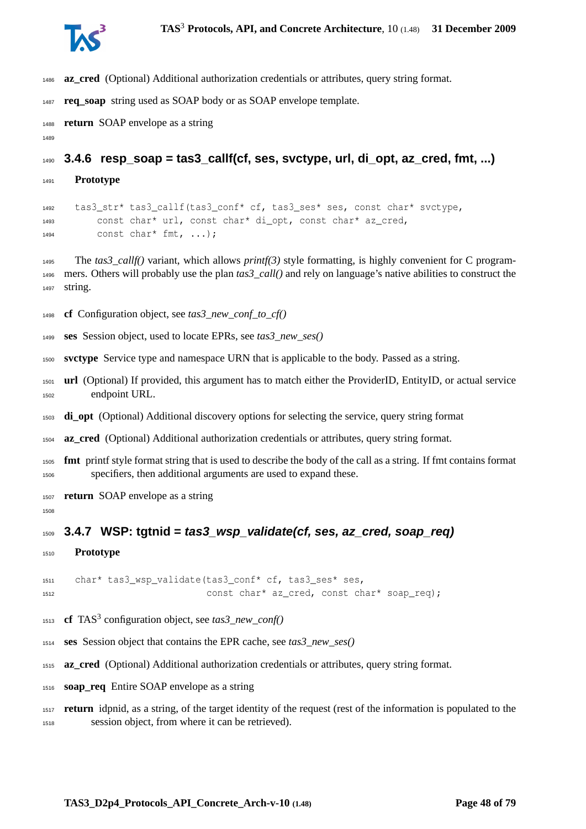

- **az\_cred** (Optional) Additional authorization credentials or attributes, query string format.
- **req\_soap** string used as SOAP body or as SOAP envelope template.
- **return** SOAP envelope as a string
- 

**3.4.6 resp\_soap = tas3\_callf(cf, ses, svctype, url, di\_opt, az\_cred, fmt, ...)**

**Prototype**

 tas3\_str\* tas3\_callf(tas3\_conf\* cf, tas3\_ses\* ses, const char\* svctype, const char\* url, const char\* di\_opt, const char\* az\_cred, const char\* fmt, ...);

 The *tas3\_callf()* variant, which allows *printf(3)* style formatting, is highly convenient for C program- mers. Others will probably use the plan *tas3\_call()* and rely on language's native abilities to construct the string.

- **cf** Configuration object, see *tas3\_new\_conf\_to\_cf()*
- **ses** Session object, used to locate EPRs, see *tas3\_new\_ses()*
- **svctype** Service type and namespace URN that is applicable to the body. Passed as a string.
- **url** (Optional) If provided, this argument has to match either the ProviderID, EntityID, or actual service endpoint URL.
- **di\_opt** (Optional) Additional discovery options for selecting the service, query string format
- **az\_cred** (Optional) Additional authorization credentials or attributes, query string format.
- **fmt** printf style format string that is used to describe the body of the call as a string. If fmt contains format specifiers, then additional arguments are used to expand these.
- **return** SOAP envelope as a string
- 

# **3.4.7 WSP: tgtnid = tas3\_wsp\_validate(cf, ses, az\_cred, soap\_req)**

**Prototype**

 char\* tas3\_wsp\_validate(tas3\_conf\* cf, tas3\_ses\* ses, const char\* az\_cred, const char\* soap\_req);

- **cf** TAS<sup>3</sup> configuration object, see *tas3\_new\_conf()*
- **ses** Session object that contains the EPR cache, see *tas3\_new\_ses()*
- **az\_cred** (Optional) Additional authorization credentials or attributes, query string format.
- **soap\_req** Entire SOAP envelope as a string
- **return** idpnid, as a string, of the target identity of the request (rest of the information is populated to the session object, from where it can be retrieved).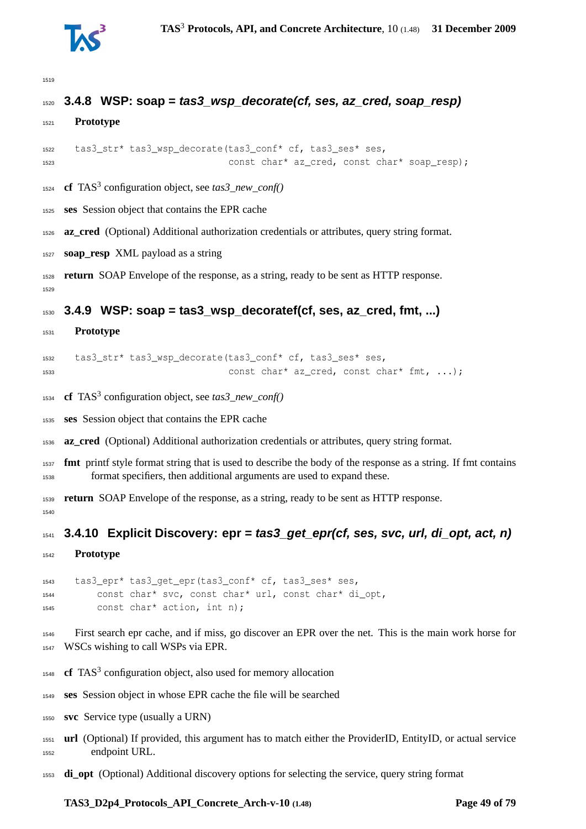

# **3.4.8 WSP: soap = tas3\_wsp\_decorate(cf, ses, az\_cred, soap\_resp)**

```
1521 Prototype
```

```
1522 tas3_str* tas3_wsp_decorate(tas3_conf* cf, tas3_ses* ses,
1523 const char* az_cred, const char* soap_resp);
```
- **cf** TAS<sup>3</sup> configuration object, see *tas3\_new\_conf()*
- **ses** Session object that contains the EPR cache
- **az\_cred** (Optional) Additional authorization credentials or attributes, query string format.
- **soap\_resp** XML payload as a string

 **return** SOAP Envelope of the response, as a string, ready to be sent as HTTP response. 

#### **3.4.9 WSP: soap = tas3\_wsp\_decoratef(cf, ses, az\_cred, fmt, ...)**

**Prototype**

```
1532 tas3_str* tas3_wsp_decorate(tas3_conf* cf, tas3_ses* ses,
1533 const char* az_cred, const char* fmt, ...);
```
- 1534 **cf** TAS<sup>3</sup> configuration object, see *tas3\_new\_conf()*
- **ses** Session object that contains the EPR cache

**az\_cred** (Optional) Additional authorization credentials or attributes, query string format.

 **fmt** printf style format string that is used to describe the body of the response as a string. If fmt contains format specifiers, then additional arguments are used to expand these.

 **return** SOAP Envelope of the response, as a string, ready to be sent as HTTP response. 

**3.4.10 Explicit Discovery: epr = tas3\_get\_epr(cf, ses, svc, url, di\_opt, act, n)**

**Prototype**

 tas3\_epr\* tas3\_get\_epr(tas3\_conf\* cf, tas3\_ses\* ses, const char\* svc, const char\* url, const char\* di\_opt, const char\* action, int n);

 First search epr cache, and if miss, go discover an EPR over the net. This is the main work horse for WSCs wishing to call WSPs via EPR.

- 1548 **cf** TAS<sup>3</sup> configuration object, also used for memory allocation
- **ses** Session object in whose EPR cache the file will be searched
- **svc** Service type (usually a URN)
- **url** (Optional) If provided, this argument has to match either the ProviderID, EntityID, or actual service endpoint URL.
- **di\_opt** (Optional) Additional discovery options for selecting the service, query string format

#### **TAS3\_D2p4\_Protocols\_API\_Concrete\_Arch-v-10 (1.48) Page 49 of [79](#page-78-0)**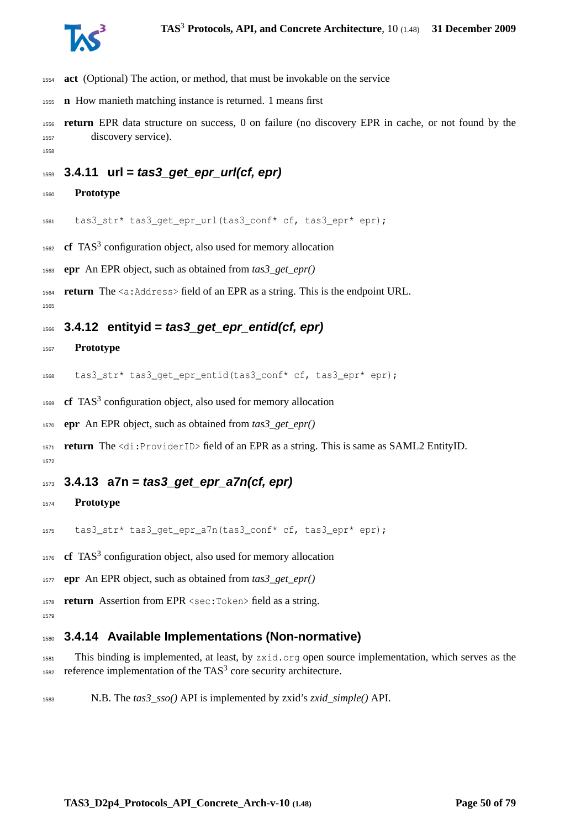

- **act** (Optional) The action, or method, that must be invokable on the service
- **n** How manieth matching instance is returned. 1 means first
- **return** EPR data structure on success, 0 on failure (no discovery EPR in cache, or not found by the discovery service).
- 

# **3.4.11 url = tas3\_get\_epr\_url(cf, epr)**

**Prototype**

tas3\_str\* tas3\_get\_epr\_url(tas3\_conf\* cf, tas3\_epr\* epr);

1562 **cf** TAS<sup>3</sup> configuration object, also used for memory allocation

**epr** An EPR object, such as obtained from *tas3\_get\_epr()*

**return** The <a:Address> field of an EPR as a string. This is the endpoint URL.

## **3.4.12 entityid = tas3\_get\_epr\_entid(cf, epr)**

#### **Prototype**

1568 tas3 str\* tas3 get epr entid(tas3 conf\* cf, tas3 epr\* epr);

1569 **cf** TAS<sup>3</sup> configuration object, also used for memory allocation

**epr** An EPR object, such as obtained from *tas3\_get\_epr()*

 **return** The <di:ProviderID> field of an EPR as a string. This is same as SAML2 EntityID. 

## **3.4.13 a7n = tas3\_get\_epr\_a7n(cf, epr)**

#### **Prototype**

tas3\_str\* tas3\_get\_epr\_a7n(tas3\_conf\* cf, tas3\_epr\* epr);

**cf** TAS<sup>3</sup> configuration object, also used for memory allocation

**epr** An EPR object, such as obtained from *tas3\_get\_epr()*

**return** Assertion from EPR <sec:Token> field as a string.

```
1579
```
### **3.4.14 Available Implementations (Non-normative)**

 This binding is implemented, at least, by zxid.org open source implementation, which serves as the 1582 reference implementation of the TAS<sup>3</sup> core security architecture.

N.B. The *tas3\_sso()* API is implemented by zxid's *zxid\_simple()* API.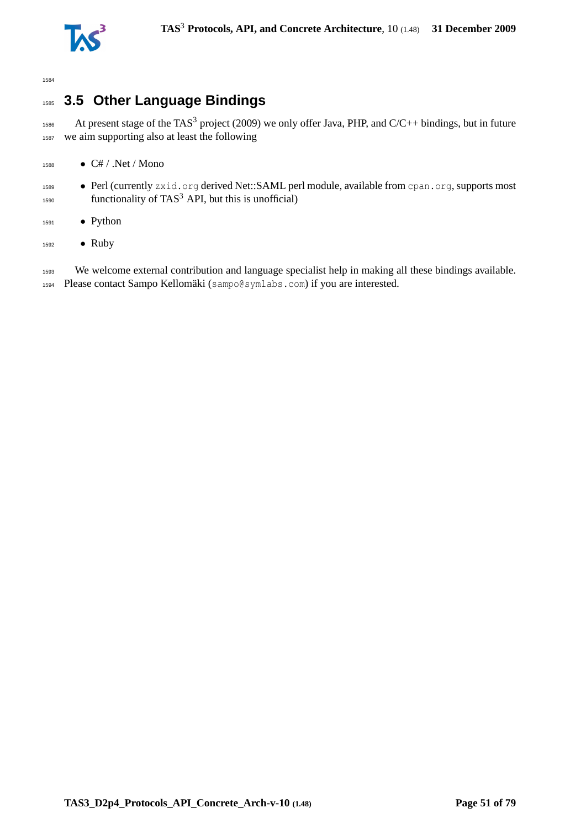

# <sup>1585</sup> **3.5 Other Language Bindings**

<sup>1586</sup> At present stage of the TAS<sup>3</sup> project (2009) we only offer Java, PHP, and C/C++ bindings, but in future <sup>1587</sup> we aim supporting also at least the following

- $1588$  C# / .Net / Mono
- 1589 Perl (currently zxid.org derived Net::SAML perl module, available from cpan.org, supports most  $f_{1590}$  functionality of TAS<sup>3</sup> API, but this is unofficial)
- <sup>1591</sup> Python
- <sup>1592</sup> Ruby

1593 We welcome external contribution and language specialist help in making all these bindings available. <sup>1594</sup> Please contact Sampo Kellomäki (sampo@symlabs.com) if you are interested.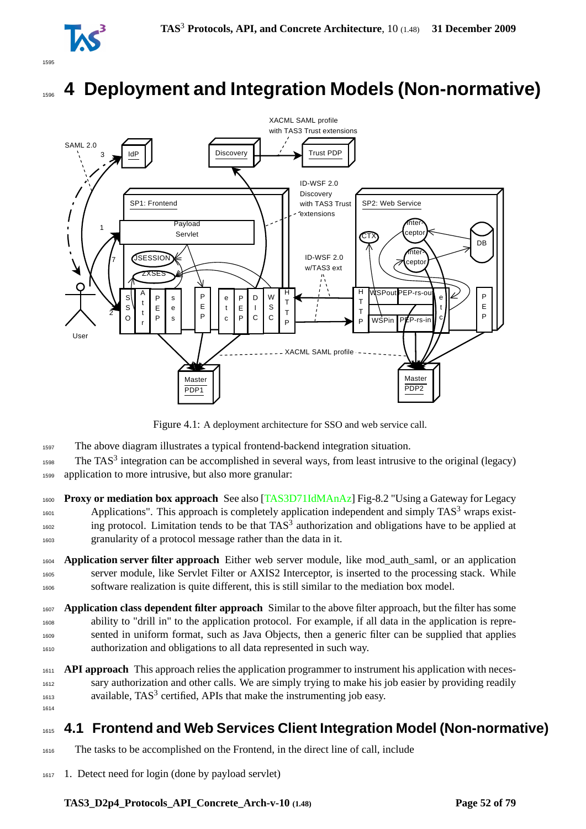

# <sup>1596</sup> **4 Deployment and Integration Models (Non-normative)**



Figure 4.1: A deployment architecture for SSO and web service call.

- <sup>1597</sup> The above diagram illustrates a typical frontend-backend integration situation.
- $1598$  The TAS<sup>3</sup> integration can be accomplished in several ways, from least intrusive to the original (legacy) <sup>1599</sup> application to more intrusive, but also more granular:
- <sup>1600</sup> **Proxy or mediation box approach** See also [\[TAS3D71IdMAnAz\]](#page-76-1) Fig-8.2 "Using a Gateway for Legacy  $A_{601}$  Applications". This approach is completely application independent and simply TAS<sup>3</sup> wraps exist- $\frac{1}{1602}$  ing protocol. Limitation tends to be that TAS<sup>3</sup> authorization and obligations have to be applied at <sup>1603</sup> granularity of a protocol message rather than the data in it.
- <sup>1604</sup> **Application server filter approach** Either web server module, like mod\_auth\_saml, or an application <sup>1605</sup> server module, like Servlet Filter or AXIS2 Interceptor, is inserted to the processing stack. While <sup>1606</sup> software realization is quite different, this is still similar to the mediation box model.
- <sup>1607</sup> **Application class dependent filter approach** Similar to the above filter approach, but the filter has some <sup>1608</sup> ability to "drill in" to the application protocol. For example, if all data in the application is repre-<sup>1609</sup> sented in uniform format, such as Java Objects, then a generic filter can be supplied that applies <sup>1610</sup> authorization and obligations to all data represented in such way.
- <sup>1611</sup> **API approach** This approach relies the application programmer to instrument his application with neces-<sup>1612</sup> sary authorization and other calls. We are simply trying to make his job easier by providing readily  $1613$  available, TAS<sup>3</sup> certified, APIs that make the instrumenting job easy. 1614

# <sup>1615</sup> **4.1 Frontend and Web Services Client Integration Model (Non-normative)**

- <sup>1616</sup> The tasks to be accomplished on the Frontend, in the direct line of call, include
- <sup>1617</sup> 1. Detect need for login (done by payload servlet)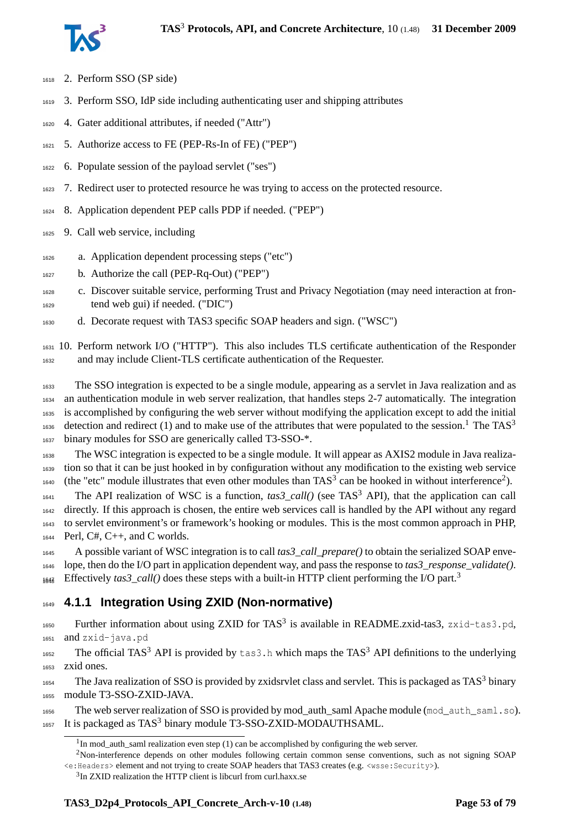

- 2. Perform SSO (SP side)
- 3. Perform SSO, IdP side including authenticating user and shipping attributes
- 4. Gater additional attributes, if needed ("Attr")
- 5. Authorize access to FE (PEP-Rs-In of FE) ("PEP")
- 6. Populate session of the payload servlet ("ses")
- 7. Redirect user to protected resource he was trying to access on the protected resource.
- 8. Application dependent PEP calls PDP if needed. ("PEP")
- 9. Call web service, including
- a. Application dependent processing steps ("etc")
- b. Authorize the call (PEP-Rq-Out) ("PEP")
- c. Discover suitable service, performing Trust and Privacy Negotiation (may need interaction at fron-tend web gui) if needed. ("DIC")
- d. Decorate request with TAS3 specific SOAP headers and sign. ("WSC")

 10. Perform network I/O ("HTTP"). This also includes TLS certificate authentication of the Responder and may include Client-TLS certificate authentication of the Requester.

 The SSO integration is expected to be a single module, appearing as a servlet in Java realization and as an authentication module in web server realization, that handles steps 2-7 automatically. The integration is accomplished by configuring the web server without modifying the application except to add the initial detection and redirect ([1](#page-52-0)) and to make use of the attributes that were populated to the session.<sup>1</sup> The TAS<sup>3</sup> 1637 binary modules for SSO are generically called T3-SSO-\*.

 The WSC integration is expected to be a single module. It will appear as AXIS2 module in Java realiza- tion so that it can be just hooked in by configuration without any modification to the existing web service 1640 (the "etc" module illustrates that even other modules than  $TAS<sup>3</sup>$  can be hooked in without interference<sup>[2](#page-52-1)</sup>).

The API realization of WSC is a function,  $\text{tas3\_call}()$  (see TAS<sup>3</sup> API), that the application can call 1642 directly. If this approach is chosen, the entire web services call is handled by the API without any regard to servlet environment's or framework's hooking or modules. This is the most common approach in PHP, Perl, C#, C++, and C worlds.

 A possible variant of WSC integration is to call *tas3\_call\_prepare()* to obtain the serialized SOAP enve- lope, then do the I/O part in application dependent way, and pass the response to *tas3\_response\_validate()*. Effectively *tas[3](#page-52-2)\_call()* does these steps with a built-in HTTP client performing the I/O part.<sup>3</sup> 1648

# **4.1.1 Integration Using ZXID (Non-normative)**

1650 Further information about using ZXID for TAS<sup>3</sup> is available in README.zxid-tas3, zxid-tas3.pd, and zxid-java.pd

1652 The official TAS<sup>3</sup> API is provided by  $\tan 3$ . h which maps the TAS<sup>3</sup> API definitions to the underlying zxid ones.

1654 The Java realization of SSO is provided by zxidsrvlet class and servlet. This is packaged as TAS<sup>3</sup> binary module T3-SSO-ZXID-JAVA.

 The web server realization of SSO is provided by mod\_auth\_saml Apache module (mod\_auth\_saml.so). It is packaged as TAS<sup>3</sup> binary module T3-SSO-ZXID-MODAUTHSAML.

<span id="page-52-1"></span><span id="page-52-0"></span>In mod\_auth\_saml realization even step (1) can be accomplished by configuring the web server.

Non-interference depends on other modules following certain common sense conventions, such as not signing SOAP <e:Headers> element and not trying to create SOAP headers that TAS3 creates (e.g. <wsse:Security>).

<span id="page-52-2"></span><sup>&</sup>lt;sup>3</sup>In ZXID realization the HTTP client is libcurl from curl.haxx.se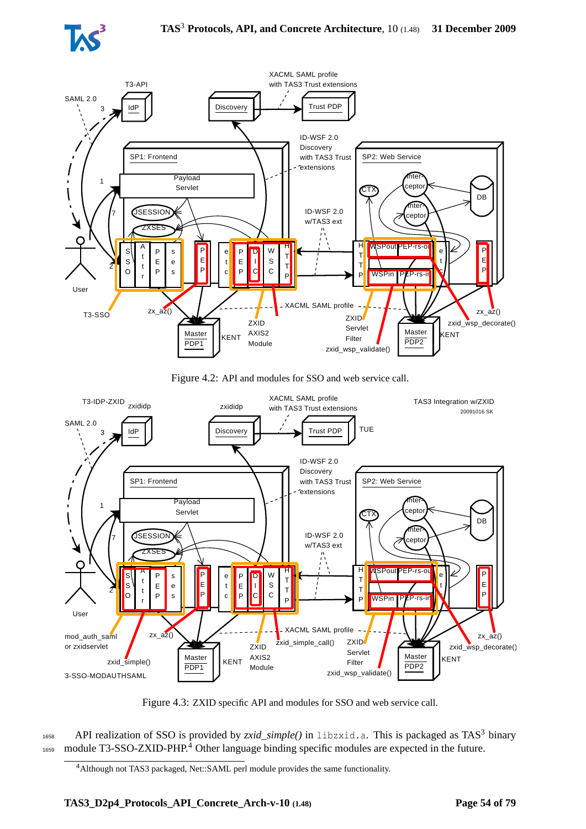



Figure 4.2: API and modules for SSO and web service call.



Figure 4.3: ZXID specific API and modules for SSO and web service call.

1658 API realization of SSO is provided by *zxid\_simple()* in libzxid.a. This is packaged as TAS<sup>3</sup> binary  $1659 \text{ module } T3\text{-SSO-ZXID-PHP}.$ <sup>[4](#page-53-0)</sup> Other language binding specific modules are expected in the future.

<span id="page-53-0"></span><sup>4</sup>Although not TAS3 packaged, Net::SAML perl module provides the same functionality.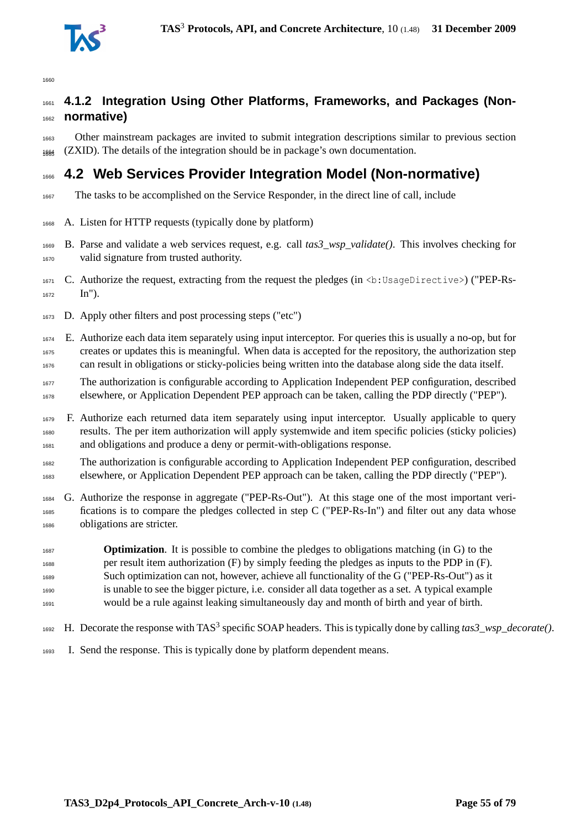

# **4.1.2 Integration Using Other Platforms, Frameworks, and Packages (Non-normative)**

 Other mainstream packages are invited to submit integration descriptions similar to previous section (ZXID). The details of the integration should be in package's own documentation.

# **4.2 Web Services Provider Integration Model (Non-normative)**

- The tasks to be accomplished on the Service Responder, in the direct line of call, include
- A. Listen for HTTP requests (typically done by platform)
- B. Parse and validate a web services request, e.g. call *tas3\_wsp\_validate()*. This involves checking for valid signature from trusted authority.
- C. Authorize the request, extracting from the request the pledges (in <b:UsageDirective>) ("PEP-Rs-In").
- D. Apply other filters and post processing steps ("etc")
- E. Authorize each data item separately using input interceptor. For queries this is usually a no-op, but for creates or updates this is meaningful. When data is accepted for the repository, the authorization step can result in obligations or sticky-policies being written into the database along side the data itself.
- The authorization is configurable according to Application Independent PEP configuration, described elsewhere, or Application Dependent PEP approach can be taken, calling the PDP directly ("PEP").
- F. Authorize each returned data item separately using input interceptor. Usually applicable to query results. The per item authorization will apply systemwide and item specific policies (sticky policies) and obligations and produce a deny or permit-with-obligations response.
- The authorization is configurable according to Application Independent PEP configuration, described elsewhere, or Application Dependent PEP approach can be taken, calling the PDP directly ("PEP").
- G. Authorize the response in aggregate ("PEP-Rs-Out"). At this stage one of the most important veri- fications is to compare the pledges collected in step C ("PEP-Rs-In") and filter out any data whose obligations are stricter.
- **Optimization**. It is possible to combine the pledges to obligations matching (in G) to the per result item authorization (F) by simply feeding the pledges as inputs to the PDP in (F). Such optimization can not, however, achieve all functionality of the G ("PEP-Rs-Out") as it is unable to see the bigger picture, i.e. consider all data together as a set. A typical example would be a rule against leaking simultaneously day and month of birth and year of birth.
- 1692 H. Decorate the response with TAS<sup>3</sup> specific SOAP headers. This is typically done by calling *tas3\_wsp\_decorate()*.
- I. Send the response. This is typically done by platform dependent means.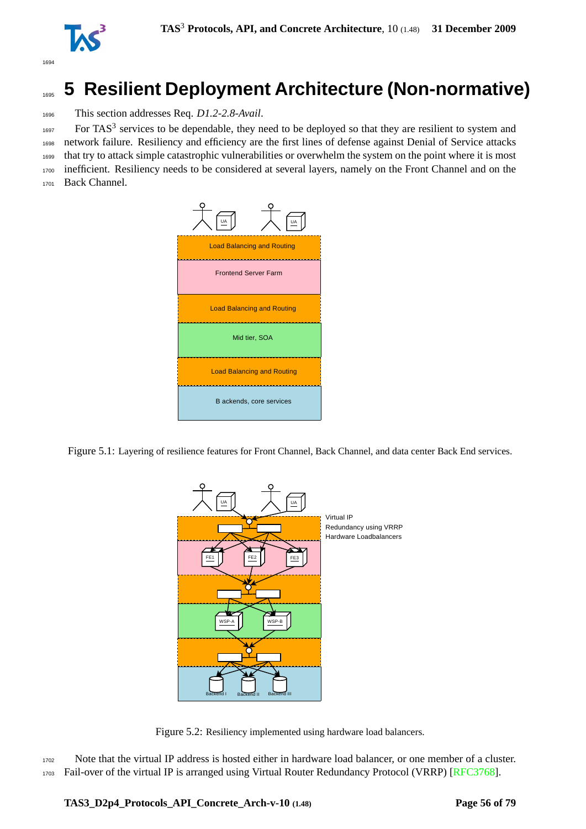

# <sup>1695</sup> **5 Resilient Deployment Architecture (Non-normative)**

<sup>1696</sup> This section addresses Req. *D1.2-2.8-Avail*.

 For TAS<sup>3</sup> services to be dependable, they need to be deployed so that they are resilient to system and network failure. Resiliency and efficiency are the first lines of defense against Denial of Service attacks that try to attack simple catastrophic vulnerabilities or overwhelm the system on the point where it is most inefficient. Resiliency needs to be considered at several layers, namely on the Front Channel and on the Back Channel.



Figure 5.1: Layering of resilience features for Front Channel, Back Channel, and data center Back End services.



Figure 5.2: Resiliency implemented using hardware load balancers.

<sup>1702</sup> Note that the virtual IP address is hosted either in hardware load balancer, or one member of a cluster. <sup>1703</sup> Fail-over of the virtual IP is arranged using Virtual Router Redundancy Protocol (VRRP) [\[RFC3768\]](#page-75-0).

**TAS3\_D2p4\_Protocols\_API\_Concrete\_Arch-v-10 (1.48) Page 56 of [79](#page-78-0)**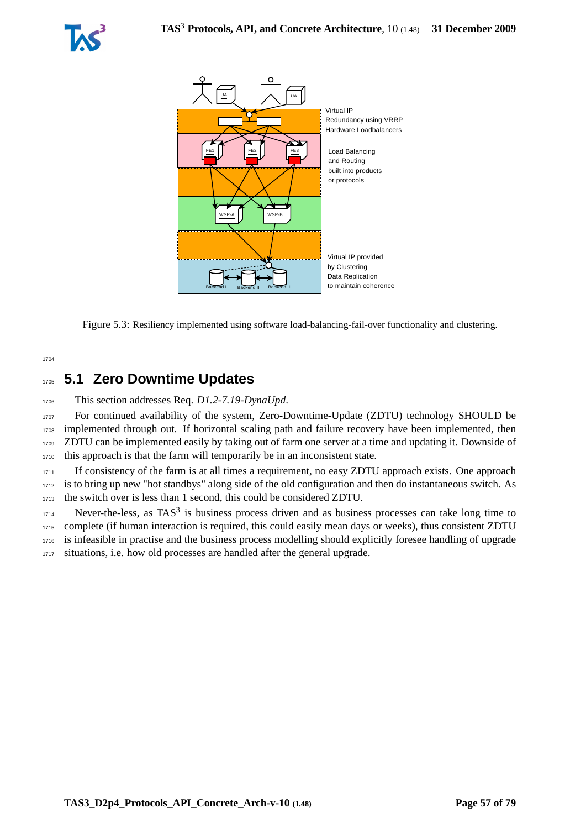



Figure 5.3: Resiliency implemented using software load-balancing-fail-over functionality and clustering.

1704

# <sup>1705</sup> **5.1 Zero Downtime Updates**

<sup>1706</sup> This section addresses Req. *D1.2-7.19-DynaUpd*.

 For continued availability of the system, Zero-Downtime-Update (ZDTU) technology SHOULD be implemented through out. If horizontal scaling path and failure recovery have been implemented, then ZDTU can be implemented easily by taking out of farm one server at a time and updating it. Downside of this approach is that the farm will temporarily be in an inconsistent state.

<sup>1711</sup> If consistency of the farm is at all times a requirement, no easy ZDTU approach exists. One approach <sup>1712</sup> is to bring up new "hot standbys" along side of the old configuration and then do instantaneous switch. As <sup>1713</sup> the switch over is less than 1 second, this could be considered ZDTU.

 Never-the-less, as TAS<sup>3</sup> is business process driven and as business processes can take long time to complete (if human interaction is required, this could easily mean days or weeks), thus consistent ZDTU is infeasible in practise and the business process modelling should explicitly foresee handling of upgrade 1717 situations, i.e. how old processes are handled after the general upgrade.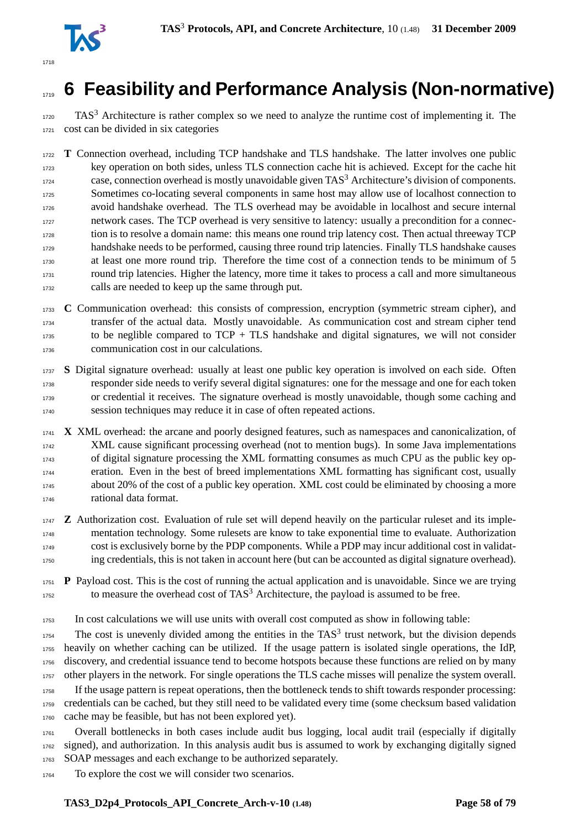

# **6 Feasibility and Performance Analysis (Non-normative)**

 TAS<sup>3</sup> Architecture is rather complex so we need to analyze the runtime cost of implementing it. The cost can be divided in six categories

 **T** Connection overhead, including TCP handshake and TLS handshake. The latter involves one public key operation on both sides, unless TLS connection cache hit is achieved. Except for the cache hit case, connection overhead is mostly unavoidable given TAS<sup>3</sup> Architecture's division of components. Sometimes co-locating several components in same host may allow use of localhost connection to avoid handshake overhead. The TLS overhead may be avoidable in localhost and secure internal network cases. The TCP overhead is very sensitive to latency: usually a precondition for a connec- tion is to resolve a domain name: this means one round trip latency cost. Then actual threeway TCP handshake needs to be performed, causing three round trip latencies. Finally TLS handshake causes at least one more round trip. Therefore the time cost of a connection tends to be minimum of 5 round trip latencies. Higher the latency, more time it takes to process a call and more simultaneous calls are needed to keep up the same through put.

 **C** Communication overhead: this consists of compression, encryption (symmetric stream cipher), and transfer of the actual data. Mostly unavoidable. As communication cost and stream cipher tend to be neglible compared to  $TCP + TLS$  handshake and digital signatures, we will not consider communication cost in our calculations.

 **S** Digital signature overhead: usually at least one public key operation is involved on each side. Often responder side needs to verify several digital signatures: one for the message and one for each token or credential it receives. The signature overhead is mostly unavoidable, though some caching and session techniques may reduce it in case of often repeated actions.

 **X** XML overhead: the arcane and poorly designed features, such as namespaces and canonicalization, of XML cause significant processing overhead (not to mention bugs). In some Java implementations of digital signature processing the XML formatting consumes as much CPU as the public key op- eration. Even in the best of breed implementations XML formatting has significant cost, usually about 20% of the cost of a public key operation. XML cost could be eliminated by choosing a more rational data format.

 **Z** Authorization cost. Evaluation of rule set will depend heavily on the particular ruleset and its imple- mentation technology. Some rulesets are know to take exponential time to evaluate. Authorization cost is exclusively borne by the PDP components. While a PDP may incur additional cost in validat-ing credentials, this is not taken in account here (but can be accounted as digital signature overhead).

 **P** Payload cost. This is the cost of running the actual application and is unavoidable. Since we are trying to measure the overhead cost of TAS<sup>3</sup> Architecture, the payload is assumed to be free.

In cost calculations we will use units with overall cost computed as show in following table:

 The cost is unevenly divided among the entities in the TAS<sup>3</sup> trust network, but the division depends heavily on whether caching can be utilized. If the usage pattern is isolated single operations, the IdP, discovery, and credential issuance tend to become hotspots because these functions are relied on by many other players in the network. For single operations the TLS cache misses will penalize the system overall. If the usage pattern is repeat operations, then the bottleneck tends to shift towards responder processing: credentials can be cached, but they still need to be validated every time (some checksum based validation cache may be feasible, but has not been explored yet).

 Overall bottlenecks in both cases include audit bus logging, local audit trail (especially if digitally signed), and authorization. In this analysis audit bus is assumed to work by exchanging digitally signed SOAP messages and each exchange to be authorized separately.

To explore the cost we will consider two scenarios.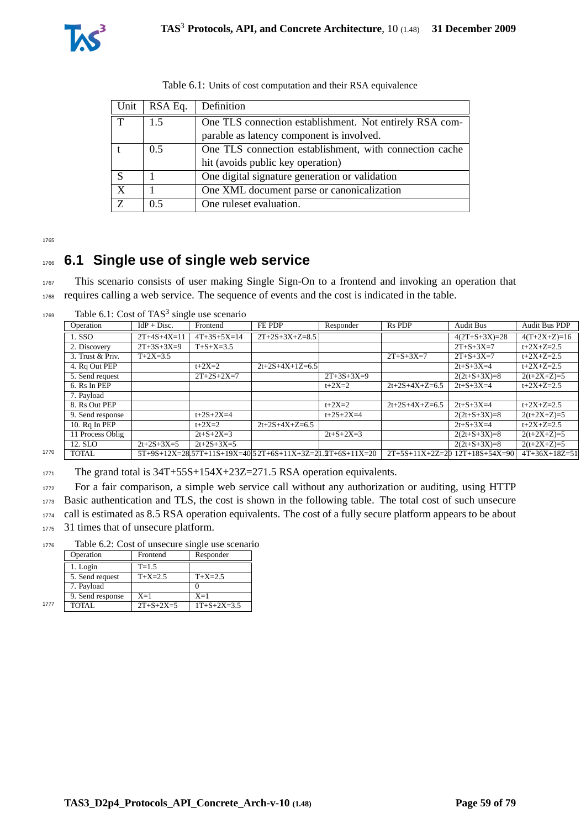

| Unit | RSA Eq.       | Definition                                              |
|------|---------------|---------------------------------------------------------|
| T    | 1.5           | One TLS connection establishment. Not entirely RSA com- |
|      |               | parable as latency component is involved.               |
|      | $0.5^{\circ}$ | One TLS connection establishment, with connection cache |
|      |               | hit (avoids public key operation)                       |
| S    |               | One digital signature generation or validation          |
| X    |               | One XML document parse or canonicalization              |
| Z    | 0.5           | One rules et evaluation.                                |

|  |  |  | Table 6.1: Units of cost computation and their RSA equivalence |  |
|--|--|--|----------------------------------------------------------------|--|
|--|--|--|----------------------------------------------------------------|--|

# <sup>1766</sup> **6.1 Single use of single web service**

<sup>1767</sup> This scenario consists of user making Single Sign-On to a frontend and invoking an operation that <sup>1768</sup> requires calling a web service. The sequence of events and the cost is indicated in the table.

1769 Table 6.1: Cost of TAS<sup>3</sup> single use scenario

| $IdP + Disc.$ | Frontend          | FE PDP            |              |                                                             |                   |                                  |
|---------------|-------------------|-------------------|--------------|-------------------------------------------------------------|-------------------|----------------------------------|
|               |                   |                   | Responder    | Rs PDP                                                      | <b>Audit Bus</b>  | <b>Audit Bus PDP</b>             |
| $2T+4S+4X=11$ | $4T+3S+5X=14$     | $2T+2S+3X+Z=8.5$  |              |                                                             | $4(2T+S+3X)=28$   | $4(T+2X+Z)=16$                   |
| $2T+3S+3X=9$  | $T + S + X = 3.5$ |                   |              |                                                             | $2T + S + 3X = 7$ | $t+2X+Z=2.5$                     |
| $T+2X=3.5$    |                   |                   |              | $2T + S + 3X = 7$                                           | $2T + S + 3X = 7$ | $t+2X+Z=2.5$                     |
|               | $t + 2X = 2$      | $2t+2S+4X+1Z=6.5$ |              |                                                             | $2t + S + 3X = 4$ | $t+2X+Z=2.5$                     |
|               | $2T+2S+2X=7$      |                   | $2T+3S+3X=9$ |                                                             | $2(2t+S+3X)=8$    | $2(t+2X+Z)=5$                    |
|               |                   |                   | $t + 2X = 2$ | $2t+2S+4X+Z=6.5$                                            | $2t + S + 3X = 4$ | $t+2X+Z=2.5$                     |
|               |                   |                   |              |                                                             |                   |                                  |
|               |                   |                   | $t + 2X = 2$ | $2t+2S+4X+Z=6.5$                                            | $2t + S + 3X = 4$ | $t+2X+Z=2.5$                     |
|               | $t+2S+2X=4$       |                   | $t+2S+2X=4$  |                                                             | $2(2t+S+3X)=8$    | $2(t+2X+Z)=5$                    |
|               | $t + 2X = 2$      | $2t+2S+4X+Z=6.5$  |              |                                                             | $2t + S + 3X = 4$ | $t+2X+Z=2.5$                     |
|               | $2t + S + 2X = 3$ |                   | $2t+S+2X=3$  |                                                             | $2(2t+S+3X)=8$    | $2(t+2X+Z)=5$                    |
| $2t+2S+3X=5$  | $2t+2S+3X=5$      |                   |              |                                                             | $2(2t+S+3X)=8$    | $2(t+2X+Z)=5$                    |
|               |                   |                   |              |                                                             |                   | $4T+36X+18Z=51$                  |
|               |                   |                   |              | $5T+9S+12X=28.57T+11S+19X=40.52T+6S+11X+3Z=21.2T+6S+11X=20$ |                   | $2T+5S+11X+2Z=20$ 12T+18S+54X=90 |

1771 The grand total is 34T+55S+154X+23Z=271.5 RSA operation equivalents.

<sup>1772</sup> For a fair comparison, a simple web service call without any authorization or auditing, using HTTP

<sup>1773</sup> Basic authentication and TLS, the cost is shown in the following table. The total cost of such unsecure

<sup>1774</sup> call is estimated as 8.5 RSA operation equivalents. The cost of a fully secure platform appears to be about

1775 31 times that of unsecure platform.

<sup>1776</sup> Table 6.2: Cost of unsecure single use scenario

|      | Operation        | Frontend          | Responder           |
|------|------------------|-------------------|---------------------|
|      | 1. Login         | $T = 1.5$         |                     |
|      | 5. Send request  | $T+X=2.5$         | $T+X=2.5$           |
|      | 7. Payload       |                   |                     |
|      | 9. Send response | $X=1$             | $X=1$               |
| 1777 | TOTAL.           | $2T + S + 2X = 5$ | $1T + S + 2X = 3.5$ |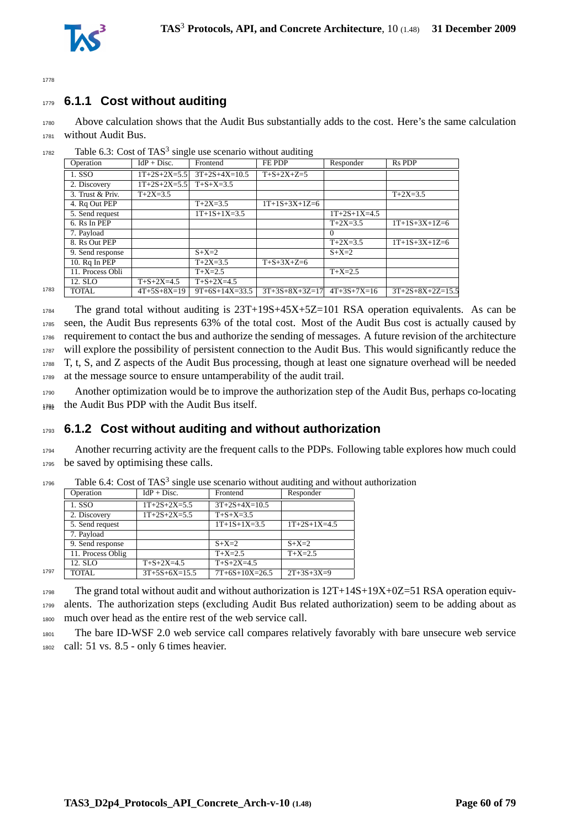



# <sup>1779</sup> **6.1.1 Cost without auditing**

<sup>1780</sup> Above calculation shows that the Audit Bus substantially adds to the cost. Here's the same calculation <sup>1781</sup> without Audit Bus.

|      | Operation        | $IdP + Disc.$      | Frontend           | FE PDP               | Responder      | <b>Rs PDP</b>      |
|------|------------------|--------------------|--------------------|----------------------|----------------|--------------------|
|      | 1. SSO           | $1T+2S+2X=5.5$     | $3T+2S+4X=10.5$    | $T + S + 2X + Z = 5$ |                |                    |
|      | 2. Discovery     | $1T+2S+2X=5.5$     | $T + S + X = 3.5$  |                      |                |                    |
|      | 3. Trust & Priv. | $T+2X=3.5$         |                    |                      |                | $T+2X=3.5$         |
|      | 4. Rq Out PEP    |                    | $T+2X=3.5$         | $1T+1S+3X+1Z=6$      |                |                    |
|      | 5. Send request  |                    | $1T+1S+1X=3.5$     |                      | $1T+2S+1X=4.5$ |                    |
|      | 6. Rs In PEP     |                    |                    |                      | $T+2X=3.5$     | $1T+1S+3X+1Z=6$    |
|      | 7. Payload       |                    |                    |                      | $\Omega$       |                    |
|      | 8. Rs Out PEP    |                    |                    |                      | $T+2X=3.5$     | $1T+1S+3X+1Z=6$    |
|      | 9. Send response |                    | $S+X=2$            |                      | $S+X=2$        |                    |
|      | 10. Rq In PEP    |                    | $T+2X=3.5$         | $T+S+3X+Z=6$         |                |                    |
|      | 11. Process Obli |                    | $T+X=2.5$          |                      | $T+X=2.5$      |                    |
|      | 12. SLO          | $T + S + 2X = 4.5$ | $T + S + 2X = 4.5$ |                      |                |                    |
| 1783 | TOTAL            | $4T+5S+8X=19$      | $9T+6S+14X=33.5$   | $3T+3S+8X+3Z=17$     | $4T+3S+7X=16$  | $3T+2S+8X+2Z=15.5$ |

 $1782$  Table 6.3: Cost of TAS<sup>3</sup> single use scenario without auditing

 The grand total without auditing is 23T+19S+45X+5Z=101 RSA operation equivalents. As can be seen, the Audit Bus represents 63% of the total cost. Most of the Audit Bus cost is actually caused by requirement to contact the bus and authorize the sending of messages. A future revision of the architecture will explore the possibility of persistent connection to the Audit Bus. This would significantly reduce the T, t, S, and Z aspects of the Audit Bus processing, though at least one signature overhead will be needed at the message source to ensure untamperability of the audit trail.

<sup>1790</sup> Another optimization would be to improve the authorization step of the Audit Bus, perhaps co-locating 1794 the Audit Bus PDP with the Audit Bus itself.

### <sup>1793</sup> **6.1.2 Cost without auditing and without authorization**

<sup>1794</sup> Another recurring activity are the frequent calls to the PDPs. Following table explores how much could <sup>1795</sup> be saved by optimising these calls.

|      | Operation         | $IdP + Disc.$      | Frontend           | Responder      |
|------|-------------------|--------------------|--------------------|----------------|
|      | 1. SSO            | $1T+2S+2X=5.5$     | $3T+2S+4X=10.5$    |                |
|      | 2. Discovery      | $1T+2S+2X=5.5$     | $T + S + X = 3.5$  |                |
|      | 5. Send request   |                    | $1T+1S+1X=3.5$     | $1T+2S+1X=4.5$ |
|      | 7. Payload        |                    |                    |                |
|      | 9. Send response  |                    | $S+X=2$            | $S+X=2$        |
|      | 11. Process Oblig |                    | $T+X=2.5$          | $T+X=2.5$      |
|      | 12. SLO           | $T + S + 2X = 4.5$ | $T + S + 2X = 4.5$ |                |
| 1797 | <b>TOTAL</b>      | $3T+5S+6X=15.5$    | $7T+6S+10X=26.5$   | $2T+3S+3X=9$   |
|      |                   |                    |                    |                |

 $1796$  Table 6.4: Cost of TAS<sup>3</sup> single use scenario without auditing and without authorization

<sup>1798</sup> The grand total without audit and without authorization is 12T+14S+19X+0Z=51 RSA operation equiv-<sup>1799</sup> alents. The authorization steps (excluding Audit Bus related authorization) seem to be adding about as <sup>1800</sup> much over head as the entire rest of the web service call.

<sup>1801</sup> The bare ID-WSF 2.0 web service call compares relatively favorably with bare unsecure web service <sup>1802</sup> call: 51 vs. 8.5 - only 6 times heavier.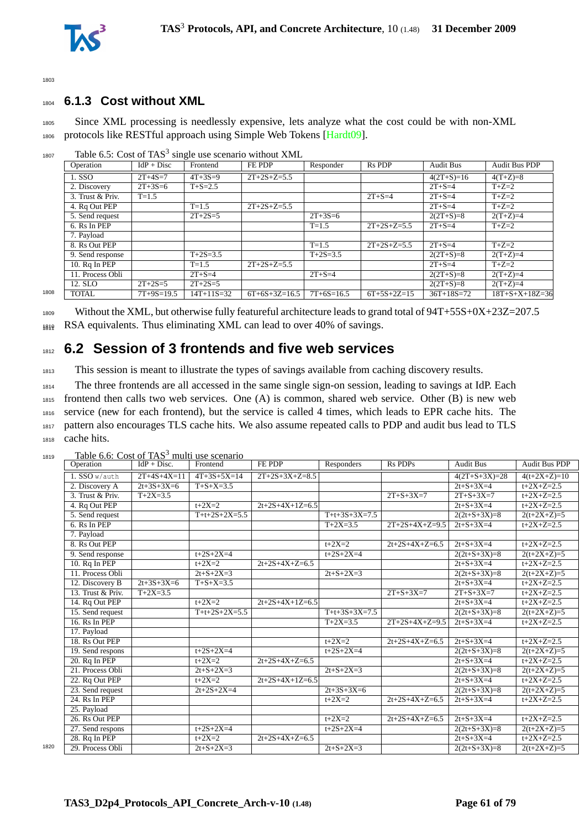

## <sup>1804</sup> **6.1.3 Cost without XML**

<sup>1805</sup> Since XML processing is needlessly expensive, lets analyze what the cost could be with non-XML 1806 protocols like RESTful approach using Simple Web Tokens [\[Hardt09\]](#page-72-0).

|      | Operation        | $IdP + Disc$  | Frontend      | FE PDP          | Responder     | R <sub>s</sub> P <sub>DP</sub> | <b>Audit Bus</b> | <b>Audit Bus PDP</b>     |
|------|------------------|---------------|---------------|-----------------|---------------|--------------------------------|------------------|--------------------------|
|      | 1. SSO           | $2T + 4S = 7$ | $4T + 3S = 9$ | $2T+2S+Z=5.5$   |               |                                | $4(2T+S)=16$     | $4(T+Z)=8$               |
|      | 2. Discovery     | $2T + 3S = 6$ | $T + S = 2.5$ |                 |               |                                | $2T + S = 4$     | $T+Z=2$                  |
|      | 3. Trust & Priv. | $T = 1.5$     |               |                 |               | $2T + S = 4$                   | $2T + S = 4$     | $T+Z=2$                  |
|      | 4. Rq Out PEP    |               | $T = 1.5$     | $2T+2S+Z=5.5$   |               |                                | $2T + S = 4$     | $\overline{T}$ +Z=2      |
|      | 5. Send request  |               | $2T+2S=5$     |                 | $2T + 3S = 6$ |                                | $2(2T+S)=8$      | $2(T+Z)=4$               |
|      | 6. Rs In PEP     |               |               |                 | $T = 1.5$     | $2T+2S+Z=5.5$                  | $2T + S = 4$     | $T+Z=2$                  |
|      | 7. Payload       |               |               |                 |               |                                |                  |                          |
|      | 8. Rs Out PEP    |               |               |                 | $T = 1.5$     | $2T+2S+Z=5.5$                  | $2T + S = 4$     | $T+Z=2$                  |
|      | 9. Send response |               | $T+2S=3.5$    |                 | $T+2S=3.5$    |                                | $2(2T+S)=8$      | $2(T+Z)=4$               |
|      | 10. Rq In PEP    |               | $T = 1.5$     | $2T+2S+Z=5.5$   |               |                                | $2T + S = 4$     | $T+Z=2$                  |
|      | 11. Process Obli |               | $2T + S = 4$  |                 | $2T + S = 4$  |                                | $2(2T+S)=8$      | $2(T+Z)=4$               |
|      | 12. SLO          | $2T + 2S = 5$ | $2T+2S=5$     |                 |               |                                | $2(2T+S)=8$      | $2(T+Z)=4$               |
| 1808 | <b>TOTAL</b>     | $7T+9S=19.5$  | $14T+11S=32$  | $6T+6S+3Z=16.5$ | $7T+6S=16.5$  | $6T+5S+2Z=15$                  | $36T+18S=72$     | $18T + S + X + 18Z = 36$ |

 $_{1807}$  Table 6.5: Cost of TAS<sup>3</sup> single use scenario without XML

1809 Without the XML, but otherwise fully featureful architecture leads to grand total of  $94T+55S+0X+23Z=207.5$ 1819 RSA equivalents. Thus eliminating XML can lead to over 40% of savings.

# <sup>1812</sup> **6.2 Session of 3 frontends and five web services**

<sup>1813</sup> This session is meant to illustrate the types of savings available from caching discovery results.

 The three frontends are all accessed in the same single sign-on session, leading to savings at IdP. Each frontend then calls two web services. One (A) is common, shared web service. Other (B) is new web service (new for each frontend), but the service is called 4 times, which leads to EPR cache hits. The pattern also encourages TLS cache hits. We also assume repeated calls to PDP and audit bus lead to TLS cache hits.

|      | Operation                  | raore 0.0. Cost of 11 to Thanh ase securities<br>$IdP + Disc.$ | Frontend          | FE PDP            | Responders        | <b>Rs PDPs</b>    | <b>Audit Bus</b>  | <b>Audit Bus PDP</b> |
|------|----------------------------|----------------------------------------------------------------|-------------------|-------------------|-------------------|-------------------|-------------------|----------------------|
|      | $1.$ SSO $w/$ auth         | $2T+4S+4X=11$                                                  | $4T+3S+5X=14$     | $2T+2S+3X+Z=8.5$  |                   |                   | $4(2T+S+3X)=28$   | $4(t+2X+Z)=10$       |
|      | 2. Discovery A             | $2t+3S+3X=6$                                                   | $T + S + X = 3.5$ |                   |                   |                   | $2t + S + 3X = 4$ | $t+2X+Z=2.5$         |
|      | 3. Trust & Priv.           | $T+2X=3.5$                                                     |                   |                   |                   | $2T + S + 3X = 7$ | $2T + S + 3X = 7$ | $t+2X+Z=2.5$         |
|      | 4. Rq Out PEP              |                                                                | $t + 2X = 2$      | $2t+2S+4X+1Z=6.5$ |                   |                   | $2t + S + 3X = 4$ | $t+2X+Z=2.5$         |
|      | 5. Send request            |                                                                | $T+t+2S+2X=5.5$   |                   | $T+t+3S+3X=7.5$   |                   | $2(2t+S+3X)=8$    | $2(t+2X+Z)=5$        |
|      | 6. Rs In PEP               |                                                                |                   |                   | $T+2X=3.5$        | $2T+2S+4X+Z=9.5$  | $2t + S + 3X = 4$ | $t+2X+Z=2.5$         |
|      | 7. Payload                 |                                                                |                   |                   |                   |                   |                   |                      |
|      | 8. Rs Out PEP              |                                                                |                   |                   | $t + 2X = 2$      | $2t+2S+4X+Z=6.5$  | $2t + S + 3X = 4$ | $t+2X+Z=2.5$         |
|      | 9. Send response           |                                                                | $t+2S+2X=4$       |                   | $t+2S+2X=4$       |                   | $2(2t+S+3X)=8$    | $2(t+2X+Z)=5$        |
|      | 10. Rq In PEP              |                                                                | $t + 2X = 2$      | $2t+2S+4X+Z=6.5$  |                   |                   | $2t + S + 3X = 4$ | $t+2X+Z=2.5$         |
|      | 11. Process Obli           |                                                                | $2t + S + 2X = 3$ |                   | $2t + S + 2X = 3$ |                   | $2(2t+S+3X)=8$    | $2(t+2X+Z)=5$        |
|      | 12. Discovery B            | $2t+3S+3X=6$                                                   | $T + S + X = 3.5$ |                   |                   |                   | $2t + S + 3X = 4$ | $t+2X+Z=2.5$         |
|      | 13. Trust & Priv.          | $T+2X=3.5$                                                     |                   |                   |                   | $2T + S + 3X = 7$ | $2T + S + 3X = 7$ | $t+2X+Z=2.5$         |
|      | 14. Rq Out PEP             |                                                                | $t + 2X = 2$      | $2t+2S+4X+1Z=6.5$ |                   |                   | $2t + S + 3X = 4$ | $t+2X+Z=2.5$         |
|      | 15. Send request           |                                                                | $T+t+2S+2X=5.5$   |                   | $T+t+3S+3X=7.5$   |                   | $2(2t+S+3X)=8$    | $2(t+2X+Z)=5$        |
|      | $16.$ Rs In PEP            |                                                                |                   |                   | $T+2X=3.5$        | $2T+2S+4X+Z=9.5$  | $2t + S + 3X = 4$ | $t+2X+Z=2.5$         |
|      | 17. Payload                |                                                                |                   |                   |                   |                   |                   |                      |
|      | 18. Rs Out PEP             |                                                                |                   |                   | $t + 2X = 2$      | $2t+2S+4X+Z=6.5$  | $2t + S + 3X = 4$ | $t+2X+Z=2.5$         |
|      | 19. Send respons           |                                                                | $t+2S+2X=4$       |                   | $t+2S+2X=4$       |                   | $2(2t+S+3X)=8$    | $2(t+2X+Z)=5$        |
|      | 20. Rq In PEP              |                                                                | $t+2X=2$          | $2t+2S+4X+Z=6.5$  |                   |                   | $2t + S + 3X = 4$ | $t+2X+Z=2.5$         |
|      | 21. Process Obli           |                                                                | $2t + S + 2X = 3$ |                   | $2t + S + 2X = 3$ |                   | $2(2t+S+3X)=8$    | $2(t+2X+Z)=5$        |
|      | 22. Rq Out PEP             |                                                                | $t + 2X = 2$      | $2t+2S+4X+1Z=6.5$ |                   |                   | $2t + S + 3X = 4$ | $t+2X+Z=2.5$         |
|      | 23. Send request           |                                                                | $2t+2S+2X=4$      |                   | $2t+3S+3X=6$      |                   | $2(2t+S+3X)=8$    | $2(t+2X+Z)=5$        |
|      | 24. $Rs \overline{In PEP}$ |                                                                |                   |                   | $t + 2X = 2$      | $2t+2S+4X+Z=6.5$  | $2t + S + 3X = 4$ | $t+2X+Z=2.5$         |
|      | 25. Payload                |                                                                |                   |                   |                   |                   |                   |                      |
|      | 26. Rs Out PEP             |                                                                |                   |                   | $t+2X=2$          | $2t+2S+4X+Z=6.5$  | $2t + S + 3X = 4$ | $t+2X+Z=2.5$         |
|      | 27. Send respons           |                                                                | $t+2S+2X=4$       |                   | $t+2S+2X=4$       |                   | $2(2t+S+3X)=8$    | $2(t+2X+Z)=5$        |
|      | 28. Rq In PEP              |                                                                | $t + 2X = 2$      | $2t+2S+4X+Z=6.5$  |                   |                   | $2t + S + 3X = 4$ | $t+2X+Z=2.5$         |
| 1820 | 29. Process Obli           |                                                                | $2t + S + 2X = 3$ |                   | $2t + S + 2X = 3$ |                   | $2(2t+S+3X)=8$    | $2(t+2X+Z)=5$        |

 $T_{1819}$  Table 6.6: Cost of TAS<sup>3</sup> multi use scenario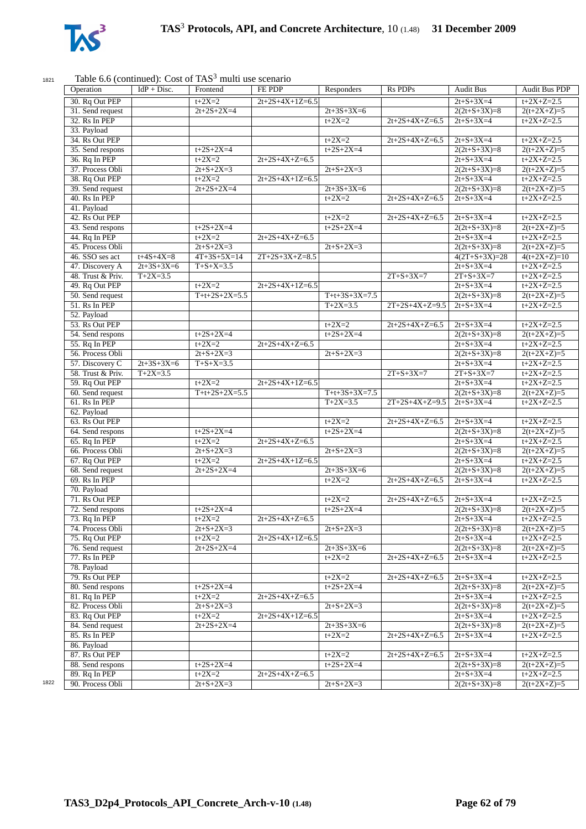

## 1821 Table 6.6 (continued): Cost of  $TAS<sup>3</sup>$  multi use scenario

| Operation         | $IdP + Disc.$     | Frontend          | <b>FE PDP</b>     | Responders        | <b>Rs PDPs</b>    | <b>Audit Bus</b>  | <b>Audit Bus PDP</b> |
|-------------------|-------------------|-------------------|-------------------|-------------------|-------------------|-------------------|----------------------|
| 30. Rq Out PEP    |                   | $t+2X=2$          | $2t+2S+4X+1Z=6.5$ |                   |                   | $2t + S + 3X = 4$ | $t+2X+Z=2.5$         |
| 31. Send request  |                   | $2t+2S+2X=4$      |                   | $2t+3S+3X=6$      |                   | $2(2t+S+3X)=8$    | $2(t+2X+Z)=5$        |
| 32. Rs In PEP     |                   |                   |                   | $t+2X=2$          | $2t+2S+4X+Z=6.5$  | $2t + S + 3X = 4$ | $t+2X+Z=2.5$         |
| 33. Payload       |                   |                   |                   |                   |                   |                   |                      |
| 34. Rs Out PEP    |                   |                   |                   | $t + 2X = 2$      | $2t+2S+4X+Z=6.5$  | $2t + S + 3X = 4$ | $t+2X+Z=2.5$         |
| 35. Send respons  |                   | $t+2S+2X=4$       |                   | $t+2S+2X=4$       |                   | $2(2t+S+3X)=8$    | $2(t+2X+Z)=5$        |
| 36. Rq In PEP     |                   | $t+2X=2$          | $2t+2S+4X+Z=6.5$  |                   |                   | $2t + S + 3X = 4$ | $t+2X+Z=2.5$         |
| 37. Process Obli  |                   | $2t + S + 2X = 3$ |                   | $2t + S + 2X = 3$ |                   | $2(2t+S+3X)=8$    | $2(t+2X+Z)=5$        |
| 38. Rq Out PEP    |                   | $t+2X=2$          | $2t+2S+4X+1Z=6.5$ |                   |                   | $2t + S + 3X = 4$ | $t+2X+Z=2.5$         |
| 39. Send request  |                   | $2t+2S+2X=4$      |                   | $2t+3S+3X=6$      |                   | $2(2t+S+3X)=8$    | $2(t+2X+Z)=5$        |
| 40. Rs In PEP     |                   |                   |                   | $t + 2X = 2$      | $2t+2S+4X+Z=6.5$  | $2t + S + 3X = 4$ | $t+2X+Z=2.5$         |
| 41. Payload       |                   |                   |                   |                   |                   |                   |                      |
| 42. Rs Out PEP    |                   |                   |                   | $t+2X=2$          | $2t+2S+4X+Z=6.5$  | $2t + S + 3X = 4$ | $t+2X+Z=2.5$         |
|                   |                   |                   |                   |                   |                   |                   |                      |
| 43. Send respons  |                   | $t+2S+2X=4$       |                   | $t+2S+2X=4$       |                   | $2(2t+S+3X)=8$    | $2(t+2X+Z)=5$        |
| 44. Rq In PEP     |                   | $t+2X=2$          | $2t+2S+4X+Z=6.5$  |                   |                   | $2t + S + 3X = 4$ | $t+2X+Z=2.5$         |
| 45. Process Obli  |                   | $2t + S + 2X = 3$ |                   | $2t + S + 2X = 3$ |                   | $2(2t+S+3X)=8$    | $2(t+2X+Z)=5$        |
| 46. SSO ses act   | $t + 4S + 4X = 8$ | $4T+3S+5X=14$     | $2T+2S+3X+Z=8.5$  |                   |                   | $4(2T+S+3X)=28$   | $4(t+2X+Z)=10$       |
| 47. Discovery A   | $2t+3S+3X=6$      | $T + S + X = 3.5$ |                   |                   |                   | $2t + S + 3X = 4$ | $t+2X+Z=2.5$         |
| 48. Trust & Priv. | $T+2X=3.5$        |                   |                   |                   | $2T + S + 3X = 7$ | $2T + S + 3X = 7$ | $t+2X+Z=2.5$         |
| 49. Rq Out PEP    |                   | $t+2X=2$          | $2t+2S+4X+1Z=6.5$ |                   |                   | $2t + S + 3X = 4$ | $t+2X+Z=2.5$         |
| 50. Send request  |                   | $T+t+2S+2X=5.5$   |                   | $T+t+3S+3X=7.5$   |                   | $2(2t+S+3X)=8$    | $2(t+2X+Z)=5$        |
| 51. Rs In PEP     |                   |                   |                   | $T+2X=3.5$        | $2T+2S+4X+Z=9.5$  | $2t+S+3X=4$       | $t+2X+Z=2.5$         |
| 52. Payload       |                   |                   |                   |                   |                   |                   |                      |
| 53. Rs Out PEP    |                   |                   |                   | $t + 2X = 2$      | $2t+2S+4X+Z=6.5$  | $2t + S + 3X = 4$ | $t+2X+Z=2.5$         |
| 54. Send respons  |                   | $t+2S+2X=4$       |                   | $t+2S+2X=4$       |                   | $2(2t+S+3X)=8$    | $2(t+2X+Z)=5$        |
| 55. Rq In PEP     |                   | $t+2X=2$          | $2t+2S+4X+Z=6.5$  |                   |                   | $2t + S + 3X = 4$ | $t+2X+Z=2.5$         |
| 56. Process Obli  |                   | $2t + S + 2X = 3$ |                   | $2t + S + 2X = 3$ |                   | $2(2t+S+3X)=8$    | $2(t+2X+Z)=5$        |
|                   |                   |                   |                   |                   |                   |                   |                      |
| 57. Discovery C   | $2t+3S+3X=6$      | $T + S + X = 3.5$ |                   |                   |                   | $2t + S + 3X = 4$ | $t+2X+Z=2.5$         |
| 58. Trust & Priv. | $T+2X=3.5$        |                   |                   |                   | $2T + S + 3X = 7$ | $2T + S + 3X = 7$ | $t+2X+Z=2.5$         |
| 59. Rq Out PEP    |                   | $t + 2X = 2$      | $2t+2S+4X+1Z=6.5$ |                   |                   | $2t + S + 3X = 4$ | $t+2X+Z=2.5$         |
| 60. Send request  |                   | $T+t+2S+2X=5.5$   |                   | $T+t+3S+3X=7.5$   |                   | $2(2t+S+3X)=8$    | $2(t+2X+Z)=5$        |
| 61. Rs In PEP     |                   |                   |                   | $T+2X=3.5$        | $2T+2S+4X+Z=9.5$  | $2t + S + 3X = 4$ | $t+2X+Z=2.5$         |
| 62. Payload       |                   |                   |                   |                   |                   |                   |                      |
| 63. Rs Out PEP    |                   |                   |                   | $t + 2X = 2$      | $2t+2S+4X+Z=6.5$  | $2t + S + 3X = 4$ | $t+2X+Z=2.5$         |
| 64. Send respons  |                   | $t+2S+2X=4$       |                   | $t+2S+2X=4$       |                   | $2(2t+S+3X)=8$    | $2(t+2X+Z)=5$        |
| 65. Rq In PEP     |                   | $t+2X=2$          | $2t+2S+4X+Z=6.5$  |                   |                   | $2t + S + 3X = 4$ | $t+2X+Z=2.5$         |
| 66. Process Obli  |                   | $2t + S + 2X = 3$ |                   | $2t + S + 2X = 3$ |                   | $2(2t+S+3X)=8$    | $2(t+2X+Z)=5$        |
| 67. Rq Out PEP    |                   | $t+2X=2$          | $2t+2S+4X+1Z=6.5$ |                   |                   | $2t + S + 3X = 4$ | $t+2X+Z=2.5$         |
| 68. Send request  |                   | $2t+2S+2X=4$      |                   | $2t+3S+3X=6$      |                   | $2(2t+S+3X)=8$    | $2(t+2X+Z)=5$        |
| 69. Rs In PEP     |                   |                   |                   | $t + 2X = 2$      | $2t+2S+4X+Z=6.5$  | $2t + S + 3X = 4$ | $t+2X+Z=2.5$         |
| 70. Payload       |                   |                   |                   |                   |                   |                   |                      |
| 71. Rs Out PEP    |                   |                   |                   | $t+2X=2$          | $2t+2S+4X+Z=6.5$  | $2t + S + 3X = 4$ | $t+2X+Z=2.5$         |
|                   |                   |                   |                   |                   |                   |                   |                      |
| 72. Send respons  |                   | $t+2S+2X=4$       |                   | $t+2S+2X=4$       |                   | $2(2t+S+3X)=8$    | $2(t+2X+Z)=5$        |
| 73. Rq In PEP     |                   | $t+2X=2$          | $2t+2S+4X+Z=6.5$  |                   |                   | $2t + S + 3X = 4$ | $t+2X+Z=2.5$         |
| 74. Process Obli  |                   | $2t + S + 2X = 3$ |                   | $2t + S + 2X = 3$ |                   | $2(2t+S+3X)=8$    | $2(t+2X+Z)=5$        |
| 75. Rq Out PEP    |                   | $t + 2X = 2$      | $2t+2S+4X+1Z=6.5$ |                   |                   | $2t + S + 3X = 4$ | $t+2X+Z=2.5$         |
| 76. Send request  |                   | $2t+2S+2X=4$      |                   | $2t+3S+3X=6$      |                   | $2(2t+S+3X)=8$    | $2(t+2X+Z)=5$        |
| 77. Rs In PEP     |                   |                   |                   | $t+2X=2$          | $2t+2S+4X+Z=6.5$  | $2t + S + 3X = 4$ | $t+2X+Z=2.5$         |
| 78. Payload       |                   |                   |                   |                   |                   |                   |                      |
| 79. Rs Out PEP    |                   |                   |                   | $t + 2X = 2$      | $2t+2S+4X+Z=6.5$  | $2t + S + 3X = 4$ | $t+2X+Z=2.5$         |
| 80. Send respons  |                   | $t+2S+2X=4$       |                   | $t+2S+2X=4$       |                   | $2(2t+S+3X)=8$    | $2(t+2X+Z)=5$        |
| 81. Rq In PEP     |                   | $t + 2X = 2$      | $2t+2S+4X+Z=6.5$  |                   |                   | $2t + S + 3X = 4$ | $t+2X+Z=2.5$         |
| 82. Process Obli  |                   | $2t + S + 2X = 3$ |                   | $2t + S + 2X = 3$ |                   | $2(2t+S+3X)=8$    | $2(t+2X+Z)=5$        |
| 83. Rq Out PEP    |                   | $t + 2X = 2$      | $2t+2S+4X+1Z=6.5$ |                   |                   | $2t + S + 3X = 4$ | $t+2X+Z=2.5$         |
| 84. Send request  |                   | $2t+2S+2X=4$      |                   | $2t+3S+3X=6$      |                   |                   |                      |
|                   |                   |                   |                   |                   |                   | $2(2t+S+3X)=8$    | $2(t+2X+Z)=5$        |
| 85. Rs In PEP     |                   |                   |                   | $t + 2X = 2$      | $2t+2S+4X+Z=6.5$  | $2t + S + 3X = 4$ | $t+2X+Z=2.5$         |
| 86. Payload       |                   |                   |                   |                   |                   |                   |                      |
| 87. Rs Out PEP    |                   |                   |                   | $t + 2X = 2$      | $2t+2S+4X+Z=6.5$  | $2t + S + 3X = 4$ | $t+2X+Z=2.5$         |
| 88. Send respons  |                   | $t+2S+2X=4$       |                   | $t+2S+2X=4$       |                   | $2(2t+S+3X)=8$    | $2(t+2X+Z)=5$        |
| 89. Rq In PEP     |                   | $t+2X=2$          | $2t+2S+4X+Z=6.5$  |                   |                   | $2t + S + 3X = 4$ | $t+2X+Z=2.5$         |
| 90. Process Obli  |                   |                   |                   |                   |                   |                   |                      |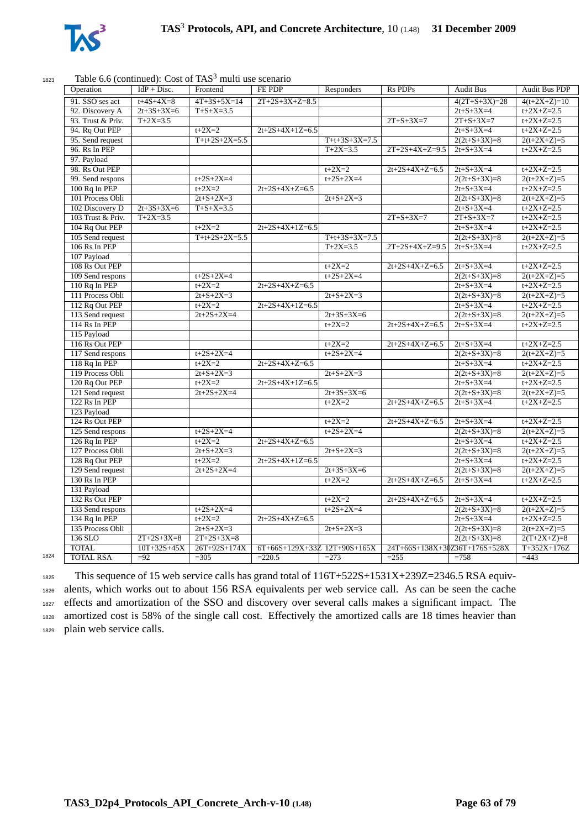

#### $T_{1823}$  Table 6.6 (continued): Cost of TAS<sup>3</sup> multi use scenario

| Operation         | $IdP + Disc.$     | Frontend          | FE PDP                           | Responders        | <b>Rs PDPs</b>                | <b>Audit Bus</b>  | <b>Audit Bus PDP</b> |
|-------------------|-------------------|-------------------|----------------------------------|-------------------|-------------------------------|-------------------|----------------------|
| 91. SSO ses act   | $t + 4S + 4X = 8$ | $4T+3S+5X=14$     | $2T+2S+3X+Z=8.5$                 |                   |                               | $4(2T+S+3X)=28$   | $4(t+2X+Z)=10$       |
| 92. Discovery A   | $2t+3S+3X=6$      | $T + S + X = 3.5$ |                                  |                   |                               | $2t + S + 3X = 4$ | $t+2X+Z=2.5$         |
| 93. Trust & Priv. | $T+2X=3.5$        |                   |                                  |                   | $2T + S + 3X = 7$             | $2T + S + 3X = 7$ | $t+2X+Z=2.5$         |
| 94. Rq Out PEP    |                   | $t+2X=2$          | $2t+2S+4X+1Z=6.5$                |                   |                               | $2t + S + 3X = 4$ | $t+2X+Z=2.5$         |
| 95. Send request  |                   | $T+t+2S+2X=5.5$   |                                  | $T+t+3S+3X=7.5$   |                               | $2(2t+S+3X)=8$    | $2(t+2X+Z)=5$        |
| 96. Rs In PEP     |                   |                   |                                  | $T+2X=3.5$        | $2T+2S+4X+Z=9.5$              | $2t + S + 3X = 4$ | $t+2X+Z=2.5$         |
| 97. Payload       |                   |                   |                                  |                   |                               |                   |                      |
| 98. Rs Out PEP    |                   |                   |                                  | $t + 2X = 2$      | $2t+2S+4X+Z=6.5$              | $2t + S + 3X = 4$ | $t+2X+Z=2.5$         |
| 99. Send respons  |                   | $t+2S+2X=4$       |                                  | $t+2S+2X=4$       |                               | $2(2t+S+3X)=8$    | $2(t+2X+Z)=5$        |
| 100 Rq In PEP     |                   | $t+2X=2$          | $2t+2S+4X+Z=6.5$                 |                   |                               | $2t + S + 3X = 4$ | $t+2X+Z=2.5$         |
| 101 Process Obli  |                   | $2t + S + 2X = 3$ |                                  | $2t + S + 2X = 3$ |                               | $2(2t+S+3X)=8$    | $2(t+2X+Z)=5$        |
| 102 Discovery D   | $2t+3S+3X=6$      | $T + S + X = 3.5$ |                                  |                   |                               | $2t + S + 3X = 4$ | $t+2X+Z=2.5$         |
| 103 Trust & Priv. | $T+2X=3.5$        |                   |                                  |                   | $2T + S + 3X = 7$             | $2T + S + 3X = 7$ | $t+2X+Z=2.5$         |
| 104 Rq Out PEP    |                   | $t + 2X = 2$      | $2t+2S+4X+1Z=6.5$                |                   |                               | $2t + S + 3X = 4$ | $t+2X+Z=2.5$         |
| 105 Send request  |                   | $T+t+2S+2X=5.5$   |                                  | $T+t+3S+3X=7.5$   |                               | $2(2t+S+3X)=8$    | $2(t+2X+Z)=5$        |
| $106$ Rs In PEP   |                   |                   |                                  | $T+2X=3.5$        | $2T+2S+4X+Z=9.5$              | $2t + S + 3X = 4$ | $t+2X+Z=2.5$         |
| 107 Payload       |                   |                   |                                  |                   |                               |                   |                      |
| 108 Rs Out PEP    |                   |                   |                                  | $t+2X=2$          | $2t+2S+4X+Z=6.5$              | $2t + S + 3X = 4$ | $t+2X+Z=2.5$         |
| 109 Send respons  |                   | $t+2S+2X=4$       |                                  | $t+2S+2X=4$       |                               | $2(2t+S+3X)=8$    | $2(t+2X+Z)=5$        |
| $110$ Rq In PEP   |                   | $t+2X=2$          | $2t+2S+4X+Z=6.5$                 |                   |                               | $2t + S + 3X = 4$ | $t+2X+Z=2.5$         |
| 111 Process Obli  |                   | $2t + S + 2X = 3$ |                                  | $2t+S+2X=3$       |                               | $2(2t+S+3X)=8$    | $2(t+2X+Z)=5$        |
| 112 Rq Out PEP    |                   | $t+2X=2$          | $2t+2S+4X+1Z=6.5$                |                   |                               | $2t + S + 3X = 4$ | $t+2X+Z=2.5$         |
| 113 Send request  |                   | $2t+2S+2X=4$      |                                  | $2t+3S+3X=6$      |                               | $2(2t+S+3X)=8$    | $2(t+2X+Z)=5$        |
| 114 Rs In PEP     |                   |                   |                                  | $t+2X=2$          | $2t+2S+4X+Z=6.5$              | $2t + S + 3X = 4$ | $t+2X+Z=2.5$         |
| 115 Payload       |                   |                   |                                  |                   |                               |                   |                      |
| 116 Rs Out PEP    |                   |                   |                                  | $t+2X=2$          | $2t+2S+4X+Z=6.5$              | $2t + S + 3X = 4$ | $t+2X+Z=2.5$         |
| 117 Send respons  |                   | $t+2S+2X=4$       |                                  | $t+2S+2X=4$       |                               | $2(2t+S+3X)=8$    | $2(t+2X+Z)=5$        |
| $118$ Rq In PEP   |                   | $t+2X=2$          | $2t+2S+4X+Z=6.5$                 |                   |                               | $2t + S + 3X = 4$ | $t+2X+Z=2.5$         |
| 119 Process Obli  |                   | $2t + S + 2X = 3$ |                                  | $2t + S + 2X = 3$ |                               | $2(2t+S+3X)=8$    | $2(t+2X+Z)=5$        |
| 120 Rq Out PEP    |                   | $t+2X=2$          | $2t+2S+4X+1Z=6.5$                |                   |                               | $2t + S + 3X = 4$ | $t+2X+Z=2.5$         |
| 121 Send request  |                   | $2t+2S+2X=4$      |                                  | $2t+3S+3X=6$      |                               | $2(2t+S+3X)=8$    | $2(t+2X+Z)=5$        |
| $122$ Rs In PEP   |                   |                   |                                  | $t+2X=2$          | $2t+2S+4X+Z=6.5$              | $2t + S + 3X = 4$ | $t+2X+Z=2.5$         |
| 123 Payload       |                   |                   |                                  |                   |                               |                   |                      |
| 124 Rs Out PEP    |                   |                   |                                  | $t+2X=2$          | $2t+2S+4X+Z=6.5$              | $2t + S + 3X = 4$ | $t+2X+Z=2.5$         |
| 125 Send respons  |                   | $t+2S+2X=4$       |                                  | $t+2S+2X=4$       |                               | $2(2t+S+3X)=8$    | $2(t+2X+Z)=5$        |
| 126 Rq In PEP     |                   | $t+2X=2$          | $2t+2S+4X+Z=6.5$                 |                   |                               | $2t + S + 3X = 4$ | $t+2X+Z=2.5$         |
| 127 Process Obli  |                   | $2t + S + 2X = 3$ |                                  | $2t + S + 2X = 3$ |                               | $2(2t+S+3X)=8$    | $2(t+2X+Z)=5$        |
| 128 Rq Out PEP    |                   | $t+2X=2$          | $2t+2S+4X+1Z=6.5$                |                   |                               | $2t + S + 3X = 4$ | $t+2X+Z=2.5$         |
| 129 Send request  |                   | $2t+2S+2X=4$      |                                  | $2t+3S+3X=6$      |                               | $2(2t+S+3X)=8$    | $2(t+2X+Z)=5$        |
| 130 Rs In PEP     |                   |                   |                                  | $t + 2X = 2$      | $2t+2S+4X+Z=6.5$              | $2t + S + 3X = 4$ | $t+2X+Z=2.5$         |
| 131 Payload       |                   |                   |                                  |                   |                               |                   |                      |
| 132 Rs Out PEP    |                   |                   |                                  | $t+2X=2$          | $2t+2S+4X+Z=6.5$              | $2t + S + 3X = 4$ | $t+2X+Z=2.5$         |
| 133 Send respons  |                   | $t+2S+2X=4$       |                                  | $t+2S+2X=4$       |                               | $2(2t+S+3X)=8$    | $2(t+2X+Z)=5$        |
| 134 Rq In PEP     |                   | $t+2X=2$          | $2t+2S+4X+Z=6.5$                 |                   |                               | $2t + S + 3X = 4$ | $t+2X+Z=2.5$         |
| 135 Process Obli  |                   | $2t + S + 2X = 3$ |                                  | $2t + S + 2X = 3$ |                               | $2(2t+S+3X)=8$    | $2(t+2X+Z)=5$        |
| 136 SLO           | $2T+2S+3X=8$      | $2T+2S+3X=8$      |                                  |                   |                               | $2(2t+S+3X)=8$    | $2(T+2X+Z)=8$        |
| <b>TOTAL</b>      | $10T + 32S + 45X$ | $26T+92S+174X$    | $6T+66S+129X+33Z$ $12T+90S+165X$ |                   | 24T+66S+138X+30Z36T+176S+528X |                   | $T+352X+176Z$        |
| <b>TOTAL RSA</b>  | $\overline{-92}$  | $\overline{305}$  | $=220.5$                         | $=273$            | $=255$                        | $=758$            | $\overline{=}443$    |
|                   |                   |                   |                                  |                   |                               |                   |                      |

1825 This sequence of 15 web service calls has grand total of  $116T+522S+1531X+239Z=2346.5$  RSA equiv- alents, which works out to about 156 RSA equivalents per web service call. As can be seen the cache effects and amortization of the SSO and discovery over several calls makes a significant impact. The amortized cost is 58% of the single call cost. Effectively the amortized calls are 18 times heavier than plain web service calls.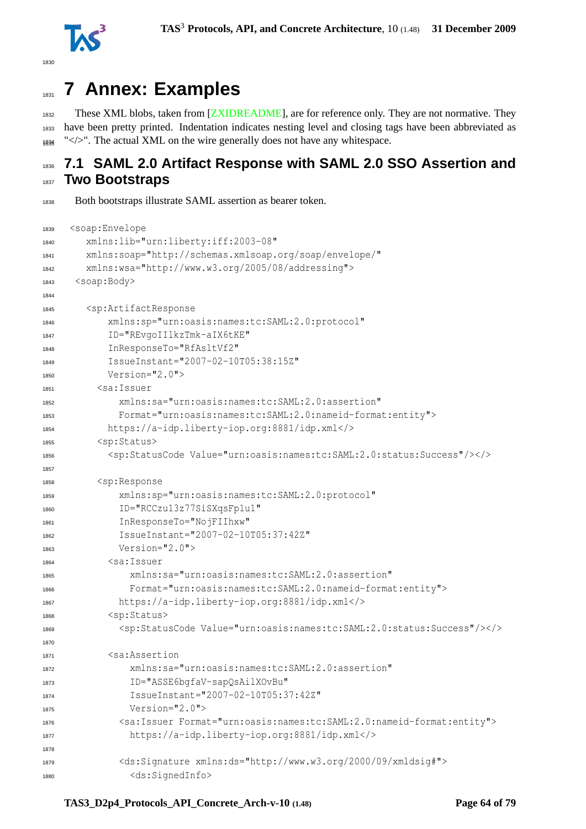



# **7 Annex: Examples**

 These XML blobs, taken from [\[ZXIDREADME\]](#page-78-1), are for reference only. They are not normative. They have been pretty printed. Indentation indicates nesting level and closing tags have been abbreviated as " $\lt$ />". The actual XML on the wire generally does not have any whitespace.

# **7.1 SAML 2.0 Artifact Response with SAML 2.0 SSO Assertion and Two Bootstraps**

Both bootstraps illustrate SAML assertion as bearer token.

```
1839 <soap:Envelope
1840 xmlns:lib="urn:liberty:iff:2003-08"
1841 xmlns:soap="http://schemas.xmlsoap.org/soap/envelope/"
1842 xmlns:wsa="http://www.w3.org/2005/08/addressing">
1843 <soap:Body>
1844
1845 <sp:ArtifactResponse
1846 xmlns:sp="urn:oasis:names:tc:SAML:2.0:protocol"
1847 ID="REvgoIIlkzTmk-aIX6tKE"
1848 InResponseTo="RfAsltVf2"
1849 IssueInstant="2007-02-10T05:38:15Z"
1850 Version="2.0">
1851 <sa:Issuer
1852 xmlns:sa="urn:oasis:names:tc:SAML:2.0:assertion"
1853 Format="urn:oasis:names:tc:SAML:2.0:nameid-format:entity">
1854 https://a-idp.liberty-iop.org:8881/idp.xml</>
1855 <sp:Status>
1856 <sp:StatusCode Value="urn:oasis:names:tc:SAML:2.0:status:Success"/></>></>
1857
1858 <sp:Response
1859 xmlns:sp="urn:oasis:names:tc:SAML:2.0:protocol"
1860 ID="RCCzu13z77SiSXqsFp1u1"
1861 InResponseTo="NojFIIhxw"
            1862 IssueInstant="2007-02-10T05:37:42Z"
1863 Version="2.0">
1864 <sa:Issuer
1865 xmlns:sa="urn:oasis:names:tc:SAML:2.0:assertion"
1866 Format="urn:oasis:names:tc:SAML:2.0:nameid-format:entity">
1867 https://a-idp.liberty-iop.org:8881/idp.xml</>
1868 <sp:Status>
1869 <sp:StatusCode Value="urn:oasis:names:tc:SAML:2.0:status:Success"/></>></>
1870
1871 <sa:Assertion
1872 xmlns:sa="urn:oasis:names:tc:SAML:2.0:assertion"
1873 ID="ASSE6bgfaV-sapQsAilXOvBu"
1874 IssueInstant="2007-02-10T05:37:42Z"
Version = "2.0"1876 <sa:Issuer Format="urn:oasis:names:tc:SAML:2.0:nameid-format:entity">
1877 https://a-idp.liberty-iop.org:8881/idp.xml</>
1878
1879 <ds:Signature xmlns:ds="http://www.w3.org/2000/09/xmldsig#">
1880 <ds:SignedInfo>
```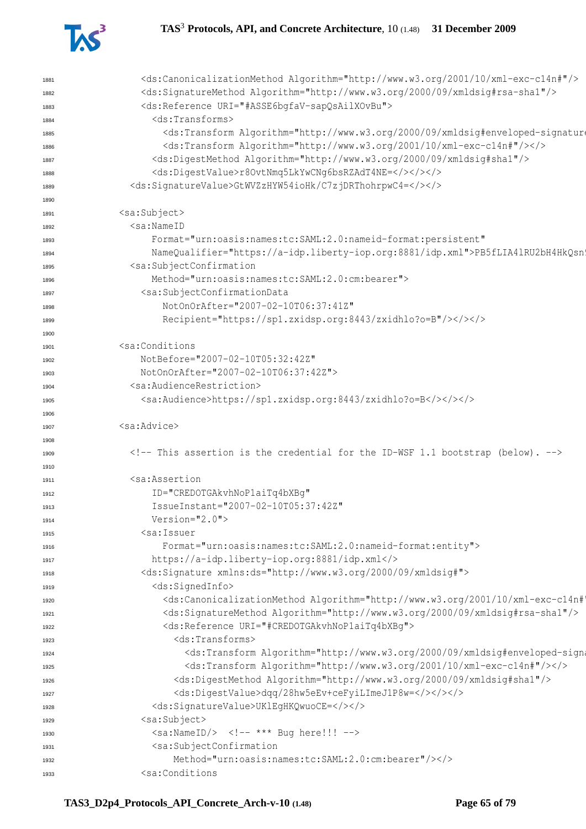

| 1881 | <ds:canonicalizationmethod algorithm="http://www.w3.org/2001/10/xml-exc-c14n#"></ds:canonicalizationmethod>                                                                                                                                                                                                        |
|------|--------------------------------------------------------------------------------------------------------------------------------------------------------------------------------------------------------------------------------------------------------------------------------------------------------------------|
| 1882 | <ds:signaturemethod algorithm="http://www.w3.org/2000/09/xmldsig#rsa-shal"></ds:signaturemethod>                                                                                                                                                                                                                   |
| 1883 | <ds:reference uri="#ASSE6bqfaV-sapQsAilXOvBu"></ds:reference>                                                                                                                                                                                                                                                      |
| 1884 | <ds:transforms></ds:transforms>                                                                                                                                                                                                                                                                                    |
| 1885 | <ds:transform 10="" 2001="" algorithm="http://www.w3.org/2000/09/xmldsig#enveloped-signature&lt;/td&gt;&lt;/tr&gt;&lt;tr&gt;&lt;td&gt;1886&lt;/td&gt;&lt;td&gt;&lt;ds:Transform Algorithm=" http:="" www.w3.org="" xml-exc-c14n#"=""></ds:transform>                                                               |
| 1887 | <ds:digestmethod algorithm="http://www.w3.org/2000/09/xmldsig#shal"></ds:digestmethod>                                                                                                                                                                                                                             |
| 1888 | <ds:digestvalue>r80vtNmq5LkYwCNq6bsRZAdT4NE=</ds:digestvalue>                                                                                                                                                                                                                                                      |
| 1889 | <ds:signaturevalue>GtWVZzHYW54ioHk/C7zjDRThohrpwC4=</ds:signaturevalue>                                                                                                                                                                                                                                            |
| 1890 |                                                                                                                                                                                                                                                                                                                    |
| 1891 | <sa:subject></sa:subject>                                                                                                                                                                                                                                                                                          |
| 1892 | $<$ sa:NameID                                                                                                                                                                                                                                                                                                      |
| 1893 | Format="urn:oasis:names:tc:SAML:2.0:nameid-format:persistent"                                                                                                                                                                                                                                                      |
| 1894 | NameQualifier="https://a-idp.liberty-iop.org:8881/idp.xml">PB5fLIA41RU2bH4HkQsn                                                                                                                                                                                                                                    |
| 1895 | <sa:subjectconfirmation< td=""></sa:subjectconfirmation<>                                                                                                                                                                                                                                                          |
| 1896 | Method="urn:oasis:names:tc:SAML:2.0:cm:bearer">                                                                                                                                                                                                                                                                    |
| 1897 | <sa:subjectconfirmationdata< td=""></sa:subjectconfirmationdata<>                                                                                                                                                                                                                                                  |
| 1898 | NotOnOrAfter="2007-02-10T06:37:41Z"                                                                                                                                                                                                                                                                                |
| 1899 | Recipient="https://sp1.zxidsp.org:8443/zxidhlo?o=B"/>                                                                                                                                                                                                                                                              |
| 1900 |                                                                                                                                                                                                                                                                                                                    |
| 1901 | <sa:conditions< td=""></sa:conditions<>                                                                                                                                                                                                                                                                            |
| 1902 | NotBefore="2007-02-10T05:32:42Z"                                                                                                                                                                                                                                                                                   |
| 1903 | NotOnOrAfter="2007-02-10T06:37:42Z">                                                                                                                                                                                                                                                                               |
| 1904 | <sa:audiencerestriction></sa:audiencerestriction>                                                                                                                                                                                                                                                                  |
| 1905 | <sa:audience>https://sp1.zxidsp.org:8443/zxidhlo?o=B&gt;</sa:audience>                                                                                                                                                                                                                                             |
| 1906 |                                                                                                                                                                                                                                                                                                                    |
| 1907 | <sa:advice></sa:advice>                                                                                                                                                                                                                                                                                            |
| 1908 |                                                                                                                                                                                                                                                                                                                    |
| 1909 | This assertion is the credential for the ID-WSF 1.1 bootstrap (below).                                                                                                                                                                                                                                             |
| 1910 |                                                                                                                                                                                                                                                                                                                    |
| 1911 | <sa:assertion< td=""></sa:assertion<>                                                                                                                                                                                                                                                                              |
| 1912 | ID="CREDOTGAkvhNoPlaiTq4bXBq"                                                                                                                                                                                                                                                                                      |
| 1913 | IssueInstant="2007-02-10T05:37:42Z"                                                                                                                                                                                                                                                                                |
| 1914 | Version="2.0">                                                                                                                                                                                                                                                                                                     |
| 1915 | <sa:issuer< td=""></sa:issuer<>                                                                                                                                                                                                                                                                                    |
|      | Format="urn:oasis:names:tc:SAML:2.0:nameid-format:entity">                                                                                                                                                                                                                                                         |
| 1916 | https://a-idp.liberty-iop.org:8881/idp.xml                                                                                                                                                                                                                                                                         |
| 1917 | <ds:signature xmlns:ds="http://www.w3.org/2000/09/xmldsig#"></ds:signature>                                                                                                                                                                                                                                        |
| 1918 | <ds:signedinfo></ds:signedinfo>                                                                                                                                                                                                                                                                                    |
| 1919 | <ds:canonicalizationmethod 09="" 2000="" algorithm="http://www.w3.org/2001/10/xml-exc-c14n#&lt;/td&gt;&lt;/tr&gt;&lt;tr&gt;&lt;td&gt;1920&lt;/td&gt;&lt;td&gt;&lt;ds:SignatureMethod Algorithm=" http:="" www.w3.org="" xmldsig#rsa-shal"=""></ds:canonicalizationmethod>                                          |
| 1921 | <ds:reference uri="#CREDOTGAkvhNoP1aiTq4bXBq"></ds:reference>                                                                                                                                                                                                                                                      |
| 1922 | <ds:transforms></ds:transforms>                                                                                                                                                                                                                                                                                    |
| 1923 | <ds:transform 10="" 2001="" algorithm="http://www.w3.org/2000/09/xmldsig#enveloped-sign&lt;/td&gt;&lt;/tr&gt;&lt;tr&gt;&lt;td&gt;1924&lt;/td&gt;&lt;td&gt;&lt;/td&gt;&lt;/tr&gt;&lt;tr&gt;&lt;td&gt;1925&lt;/td&gt;&lt;td&gt;&lt;ds:Transform Algorithm=" http:="" www.w3.org="" xml-exc-c14n#"=""></ds:transform> |
| 1926 | <ds:digestmethod algorithm="http://www.w3.org/2000/09/xmldsig#shal"></ds:digestmethod>                                                                                                                                                                                                                             |
| 1927 | <ds:digestvalue>dqq/28hw5eEv+ceFyiLImeJ1P8w=</ds:digestvalue>                                                                                                                                                                                                                                                      |
| 1928 | <ds:signaturevalue>UKlEgHKQwuoCE=</ds:signaturevalue>                                                                                                                                                                                                                                                              |
| 1929 | <sa:subject></sa:subject>                                                                                                                                                                                                                                                                                          |
| 1930 | $\langle$ sa:NameID/> $\langle$ !-- *** Bug here!!! -->                                                                                                                                                                                                                                                            |
| 1931 | <sa:subjectconfirmation< td=""></sa:subjectconfirmation<>                                                                                                                                                                                                                                                          |
| 1932 | Method="urn:oasis:names:tc:SAML:2.0:cm:bearer"/>                                                                                                                                                                                                                                                                   |
| 1933 | <sa:conditions< td=""></sa:conditions<>                                                                                                                                                                                                                                                                            |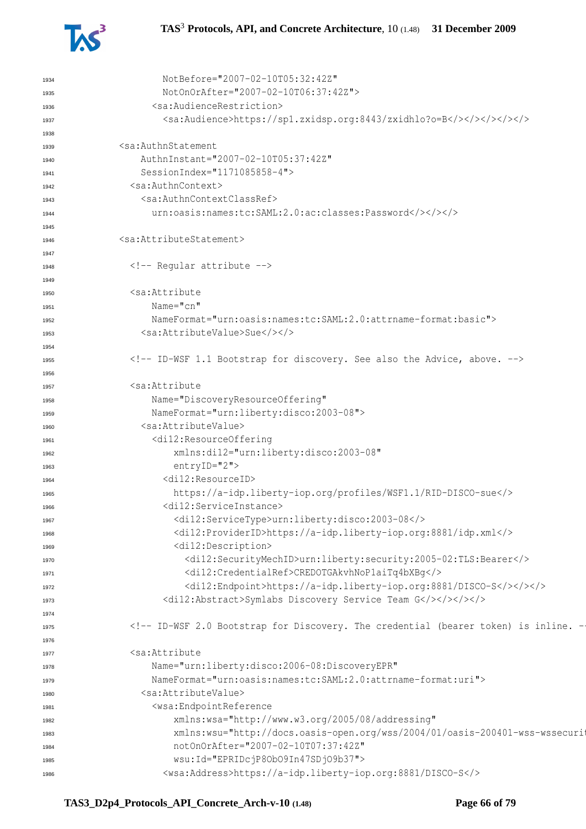

| 1934         | NotBefore="2007-02-10T05:32:42Z"                                                         |
|--------------|------------------------------------------------------------------------------------------|
| 1935         | NotOnOrAfter="2007-02-10T06:37:42Z">                                                     |
| 1936         | <sa:audiencerestriction></sa:audiencerestriction>                                        |
| 1937         |                                                                                          |
| 1938         |                                                                                          |
| 1939         | <sa:authnstatement< td=""></sa:authnstatement<>                                          |
| 1940         | AuthnInstant="2007-02-10T05:37:42Z"                                                      |
| 1941         | SessionIndex="1171085858-4">                                                             |
| 1942         | <sa:authncontext></sa:authncontext>                                                      |
| 1943         | <sa:authncontextclassref></sa:authncontextclassref>                                      |
| 1944         | urn:oasis:names:tc:SAML:2.0:ac:classes:Password                                          |
| 1945         |                                                                                          |
| 1946         | <sa:attributestatement></sa:attributestatement>                                          |
| 1947         |                                                                                          |
| 1948         | Reqular attribute                                                                        |
| 1949         |                                                                                          |
| 1950         | <sa:attribute< td=""></sa:attribute<>                                                    |
| 1951         | $Name="cn"$                                                                              |
| 1952         | NameFormat="urn:oasis:names:tc:SAML:2.0:attrname-format:basic">                          |
| 1953         | <sa:attributevalue>Sue</sa:attributevalue>                                               |
| 1954         |                                                                                          |
| 1955         | ID-WSF 1.1 Bootstrap for discovery. See also the Advice, above.                          |
| 1956         |                                                                                          |
| 1957         | <sa:attribute< td=""></sa:attribute<>                                                    |
| 1958         | Name="DiscoveryResourceOffering"                                                         |
| 1959         | NameFormat="urn:liberty:disco:2003-08">                                                  |
| 1960         | <sa:attributevalue></sa:attributevalue>                                                  |
| 1961         | <di12:resourceoffering< td=""></di12:resourceoffering<>                                  |
| 1962         | xmlns:di12="urn:liberty:disco:2003-08"                                                   |
| 1963         | entryID="2">                                                                             |
| 1964         | <di12:resourceid></di12:resourceid>                                                      |
| 1965         | https://a-idp.liberty-iop.org/profiles/WSF1.1/RID-DISCO-sue                              |
| 1966         | <di12:serviceinstance></di12:serviceinstance>                                            |
| 1967         | <di12:servicetype>urn:liberty:disco:2003-08</di12:servicetype>                           |
| 1968         | <di12:providerid>https://a-idp.liberty-iop.org:8881/idp.xml</di12:providerid>            |
| 1969         | <di12:description></di12:description>                                                    |
| 1970         | <di12:securitymechid>urn:liberty:security:2005-02:TLS:Bearer</di12:securitymechid>       |
| 1971         | <di12:credentialref>CREDOTGAkvhNoP1aiTq4bXBq</di12:credentialref>                        |
| 1972         |                                                                                          |
| 1973         | <di12:abstract>Symlabs Discovery Service Team G&gt;</di12:abstract>                      |
| 1974         |                                                                                          |
| 1975         | <!-- ID-WSF 2.0 Bootstrap for Discovery. The credential (bearer token) is inline. -</td> |
| 1976         |                                                                                          |
| 1977         | <sa:attribute< td=""></sa:attribute<>                                                    |
| 1978         | Name="urn:liberty:disco:2006-08:DiscoveryEPR"                                            |
| 1979         | NameFormat="urn:oasis:names:tc:SAML:2.0:attrname-format:uri">                            |
| 1980         | <sa:attributevalue></sa:attributevalue>                                                  |
| 1981         | <wsa:endpointreference< td=""></wsa:endpointreference<>                                  |
|              | xmlns:wsa="http://www.w3.org/2005/08/addressing"                                         |
| 1982<br>1983 | xmlns:wsu="http://docs.oasis-open.org/wss/2004/01/oasis-200401-wss-wssecurit             |
| 1984         | notOnOrAfter="2007-02-10T07:37:42Z"                                                      |
|              | wsu: Id="EPRIDcjP80b09In47SDj09b37">                                                     |
| 1985<br>1986 | <wsa:address>https://a-idp.liberty-iop.org:8881/DISCO-S</wsa:address>                    |
|              |                                                                                          |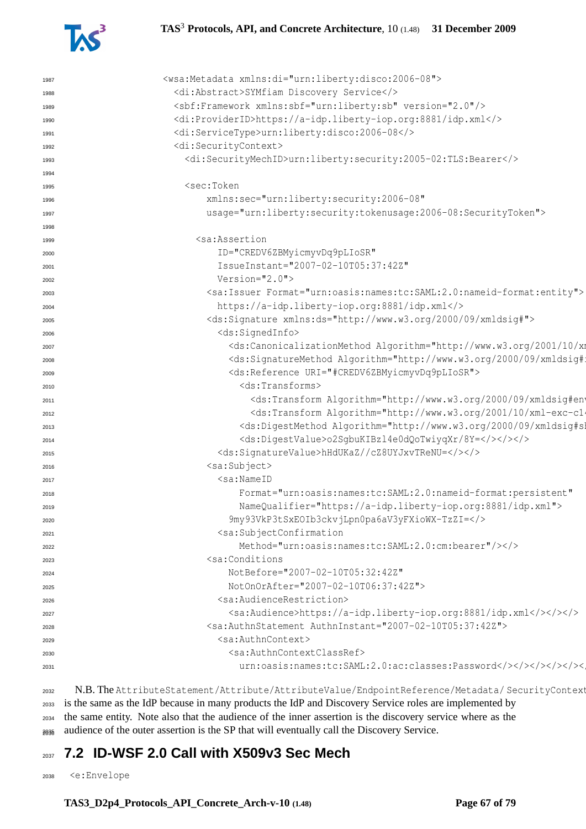

#### **TAS**<sup>3</sup> **Protocols, API, and Concrete Architecture**, 10 (1.48) **31 December 2009**

| 1987 | <wsa:metadata xmlns:di="urn:liberty:disco:2006-08"></wsa:metadata>                                                                                                                                                                                                                                                                                                                                                                                                                                                                                                                                                                                                                                       |
|------|----------------------------------------------------------------------------------------------------------------------------------------------------------------------------------------------------------------------------------------------------------------------------------------------------------------------------------------------------------------------------------------------------------------------------------------------------------------------------------------------------------------------------------------------------------------------------------------------------------------------------------------------------------------------------------------------------------|
| 1988 | <di:abstract>SYMfiam Discovery Service</di:abstract>                                                                                                                                                                                                                                                                                                                                                                                                                                                                                                                                                                                                                                                     |
| 1989 | <sbf:framework version="2.0" xmlns:sbf="urn:liberty:sb"></sbf:framework>                                                                                                                                                                                                                                                                                                                                                                                                                                                                                                                                                                                                                                 |
| 1990 | <di:providerid>https://a-idp.liberty-iop.org:8881/idp.xml</di:providerid>                                                                                                                                                                                                                                                                                                                                                                                                                                                                                                                                                                                                                                |
| 1991 | <di:servicetype>urn:liberty:disco:2006-08</di:servicetype>                                                                                                                                                                                                                                                                                                                                                                                                                                                                                                                                                                                                                                               |
| 1992 | <di:securitycontext></di:securitycontext>                                                                                                                                                                                                                                                                                                                                                                                                                                                                                                                                                                                                                                                                |
| 1993 | <di:securitymechid>urn:liberty:security:2005-02:TLS:Bearer</di:securitymechid>                                                                                                                                                                                                                                                                                                                                                                                                                                                                                                                                                                                                                           |
| 1994 |                                                                                                                                                                                                                                                                                                                                                                                                                                                                                                                                                                                                                                                                                                          |
| 1995 | <sec:token< td=""></sec:token<>                                                                                                                                                                                                                                                                                                                                                                                                                                                                                                                                                                                                                                                                          |
| 1996 | xmlns:sec="urn:liberty:security:2006-08"                                                                                                                                                                                                                                                                                                                                                                                                                                                                                                                                                                                                                                                                 |
| 1997 | usage="urn:liberty:security:tokenusage:2006-08:SecurityToken">                                                                                                                                                                                                                                                                                                                                                                                                                                                                                                                                                                                                                                           |
| 1998 |                                                                                                                                                                                                                                                                                                                                                                                                                                                                                                                                                                                                                                                                                                          |
| 1999 | <sa:assertion< td=""></sa:assertion<>                                                                                                                                                                                                                                                                                                                                                                                                                                                                                                                                                                                                                                                                    |
| 2000 | ID="CREDV6ZBMyicmyvDq9pLIoSR"                                                                                                                                                                                                                                                                                                                                                                                                                                                                                                                                                                                                                                                                            |
| 2001 | IssueInstant="2007-02-10T05:37:42Z"                                                                                                                                                                                                                                                                                                                                                                                                                                                                                                                                                                                                                                                                      |
| 2002 | $Version="2.0"$                                                                                                                                                                                                                                                                                                                                                                                                                                                                                                                                                                                                                                                                                          |
| 2003 | <sa: format="urn: oasis: names: tc: SAML: 2.0: nameid-format: entity" issuer=""></sa:>                                                                                                                                                                                                                                                                                                                                                                                                                                                                                                                                                                                                                   |
| 2004 | https://a-idp.liberty-iop.org:8881/idp.xml                                                                                                                                                                                                                                                                                                                                                                                                                                                                                                                                                                                                                                                               |
| 2005 | <ds:signature xmlns:ds="http://www.w3.org/2000/09/xmldsig#"></ds:signature>                                                                                                                                                                                                                                                                                                                                                                                                                                                                                                                                                                                                                              |
| 2006 | <ds:signedinfo></ds:signedinfo>                                                                                                                                                                                                                                                                                                                                                                                                                                                                                                                                                                                                                                                                          |
| 2007 | <ds:canonicalizationmethod 09="" 2000="" algorithm="http://www.w3.org/2001/10/xm&lt;/td&gt;&lt;/tr&gt;&lt;tr&gt;&lt;td&gt;2008&lt;/td&gt;&lt;td&gt;&lt;ds:SignatureMethod Algorithm=" http:="" td="" www.w3.org="" xmldsig#;<=""></ds:canonicalizationmethod>                                                                                                                                                                                                                                                                                                                                                                                                                                            |
| 2009 | <ds:reference uri="#CREDV6ZBMyicmyvDq9pLIoSR"></ds:reference>                                                                                                                                                                                                                                                                                                                                                                                                                                                                                                                                                                                                                                            |
| 2010 | <ds:transforms></ds:transforms>                                                                                                                                                                                                                                                                                                                                                                                                                                                                                                                                                                                                                                                                          |
| 2011 | <ds:transform 10="" 2001="" algorithm="http://www.w3.org/2000/09/xmldsig#ent&gt;&lt;/td&gt;&lt;/tr&gt;&lt;tr&gt;&lt;td&gt;2012&lt;/td&gt;&lt;td&gt;&lt;ds:Transform Algorithm=" http:="" td="" www.w3.org="" xml-exc-cl<=""></ds:transform>                                                                                                                                                                                                                                                                                                                                                                                                                                                              |
| 2013 | <ds:digestmethod algorithm="http://www.w3.org/2000/09/xmldsig#sl&lt;/td&gt;&lt;/tr&gt;&lt;tr&gt;&lt;td&gt;2014&lt;/td&gt;&lt;td&gt;&lt;ds:DigestValue&gt;o2SgbuKIBzl4e0dQoTwiyqXr/8Y=&lt;/&gt;&lt;/&gt;&lt;/td&gt;&lt;/tr&gt;&lt;tr&gt;&lt;td&gt;2015&lt;/td&gt;&lt;td&gt;&lt;ds:SignatureValue&gt;hHdUKaZ//cZ8UYJxvTReNU=&lt;/&gt;&lt;/&gt;&lt;/td&gt;&lt;/tr&gt;&lt;tr&gt;&lt;td&gt;2016&lt;/td&gt;&lt;td&gt;&lt;sa:Subject&gt;&lt;/td&gt;&lt;/tr&gt;&lt;tr&gt;&lt;td&gt;2017&lt;/td&gt;&lt;td&gt;&lt;math&gt;&lt;&lt;/math&gt;sa:NameID&lt;/td&gt;&lt;/tr&gt;&lt;tr&gt;&lt;td&gt;2018&lt;/td&gt;&lt;td&gt;Format=" td="" urn:oasis:names:tc:saml:2.0:nameid-format:persistent"<=""></ds:digestmethod> |
| 2019 | NameQualifier="https://a-idp.liberty-iop.org:8881/idp.xml">                                                                                                                                                                                                                                                                                                                                                                                                                                                                                                                                                                                                                                              |
| 2020 | 9my93VkP3tSxEOIb3ckvjLpn0pa6aV3yFXioWX-TzZI=                                                                                                                                                                                                                                                                                                                                                                                                                                                                                                                                                                                                                                                             |
| 2021 | <sa:subjectconfirmation< td=""></sa:subjectconfirmation<>                                                                                                                                                                                                                                                                                                                                                                                                                                                                                                                                                                                                                                                |
| 2022 | Method="urn:oasis:names:tc:SAML:2.0:cm:bearer"/>                                                                                                                                                                                                                                                                                                                                                                                                                                                                                                                                                                                                                                                         |
| 2023 | <sa:conditions< td=""></sa:conditions<>                                                                                                                                                                                                                                                                                                                                                                                                                                                                                                                                                                                                                                                                  |
| 2024 | NotBefore="2007-02-10T05:32:42Z"                                                                                                                                                                                                                                                                                                                                                                                                                                                                                                                                                                                                                                                                         |
| 2025 | NotOnOrAfter="2007-02-10T06:37:42Z">                                                                                                                                                                                                                                                                                                                                                                                                                                                                                                                                                                                                                                                                     |
| 2026 | <sa:audiencerestriction></sa:audiencerestriction>                                                                                                                                                                                                                                                                                                                                                                                                                                                                                                                                                                                                                                                        |
| 2027 |                                                                                                                                                                                                                                                                                                                                                                                                                                                                                                                                                                                                                                                                                                          |
| 2028 | <sa:authnstatement authninstant="2007-02-10T05:37:42Z"></sa:authnstatement>                                                                                                                                                                                                                                                                                                                                                                                                                                                                                                                                                                                                                              |
| 2029 | <sa:authncontext></sa:authncontext>                                                                                                                                                                                                                                                                                                                                                                                                                                                                                                                                                                                                                                                                      |
| 2030 | <sa:authncontextclassref></sa:authncontextclassref>                                                                                                                                                                                                                                                                                                                                                                                                                                                                                                                                                                                                                                                      |
| 2031 |                                                                                                                                                                                                                                                                                                                                                                                                                                                                                                                                                                                                                                                                                                          |
|      |                                                                                                                                                                                                                                                                                                                                                                                                                                                                                                                                                                                                                                                                                                          |

2032 N.B. The AttributeStatement/Attribute/AttributeValue/EndpointReference/Metadata/ SecurityContext is the same as the IdP because in many products the IdP and Discovery Service roles are implemented by the same entity. Note also that the audience of the inner assertion is the discovery service where as the 2036 audience of the outer assertion is the SP that will eventually call the Discovery Service.

# **7.2 ID-WSF 2.0 Call with X509v3 Sec Mech**

<e:Envelope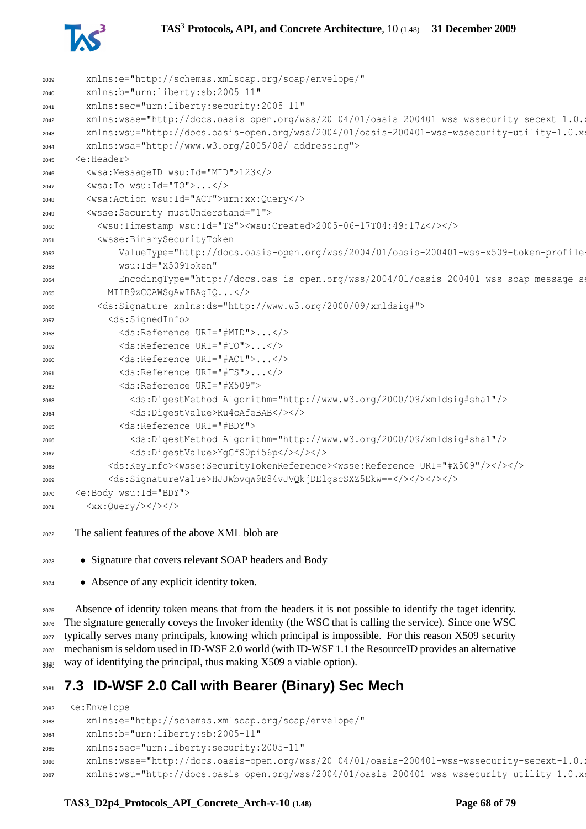

| 2039 | xmlns:e="http://schemas.xmlsoap.org/soap/envelope/"                                                                                           |
|------|-----------------------------------------------------------------------------------------------------------------------------------------------|
| 2040 | xmlns:b="urn:liberty:sb:2005-11"                                                                                                              |
| 2041 | xmlns:sec="urn:liberty:security:2005-11"                                                                                                      |
| 2042 | xmlns:wsse="http://docs.oasis-open.org/wss/20 04/01/oasis-200401-wss-wssecurity-secext-1.0.1                                                  |
| 2043 | xmlns:wsu="http://docs.oasis-open.org/wss/2004/01/oasis-200401-wss-wssecurity-utility-1.0.x;                                                  |
| 2044 | xmlns:wsa="http://www.w3.org/2005/08/ addressing">                                                                                            |
| 2045 | <e:header></e:header>                                                                                                                         |
| 2046 | <wsa:messageid wsu:id="MID">123</wsa:messageid>                                                                                               |
| 2047 | $\langle$ wsa:To wsu:Id="TO"> $\langle$ />                                                                                                    |
| 2048 | <wsa:action wsu:id="ACT">urn:xx:Query</wsa:action>                                                                                            |
| 2049 | <wsse: mustunderstand="1" security=""></wsse:>                                                                                                |
| 2050 | <wsu:timestamp wsu:id="TS"><wsu:created>2005-06-17T04:49:17Z&gt;&gt;<!--</th--></wsu:created></wsu:timestamp>                                 |
| 2051 | <wsse: binarysecuritytoken<="" td=""></wsse:>                                                                                                 |
| 2052 | ValueType="http://docs.oasis-open.org/wss/2004/01/oasis-200401-wss-x509-token-profile                                                         |
| 2053 | wsu: Id="X509Token"                                                                                                                           |
| 2054 | EncodingType="http://docs.oas is-open.org/wss/2004/01/oasis-200401-wss-soap-message-so                                                        |
| 2055 | MIIB9zCCAWSqAwIBAqIQ                                                                                                                          |
| 2056 | <ds:signature xmlns:ds="http://www.w3.org/2000/09/xmldsig#"></ds:signature>                                                                   |
| 2057 | <ds:signedinfo></ds:signedinfo>                                                                                                               |
| 2058 | <ds:reference uri="#MID"></ds:reference>                                                                                                      |
| 2059 | <ds:reference uri="#TO"></ds:reference>                                                                                                       |
| 2060 | <ds:reference uri="#ACT"></ds:reference>                                                                                                      |
| 2061 | <ds:reference uri="#TS"></ds:reference>                                                                                                       |
| 2062 | <ds:reference uri="#X509"></ds:reference>                                                                                                     |
| 2063 | <ds:digestmethod algorithm="http://www.w3.org/2000/09/xmldsig#shal"></ds:digestmethod>                                                        |
| 2064 | <ds:digestvalue>Ru4cAfeBAB</ds:digestvalue>                                                                                                   |
| 2065 | <ds:reference uri="#BDY"></ds:reference>                                                                                                      |
| 2066 | <ds:digestmethod algorithm="http://www.w3.org/2000/09/xmldsig#shal"></ds:digestmethod>                                                        |
| 2067 | <ds:digestvalue>YgGfS0pi56p</ds:digestvalue>                                                                                                  |
| 2068 | <ds:keyinfo><wsse:securitytokenreference><wsse:reference uri="#X509"></wsse:reference>&gt;&gt;&gt;</wsse:securitytokenreference></ds:keyinfo> |
| 2069 | <ds:signaturevalue>HJJWbvqW9E84vJVQkjDElqscSXZ5Ekw==&gt;</ds:signaturevalue>                                                                  |
| 2070 | <e:body wsu:id="BDY"></e:body>                                                                                                                |
| 2071 | $\langle xx:Query/\rangle\langle t\rangle\langle t\rangle$                                                                                    |

- The salient features of the above XML blob are
- Signature that covers relevant SOAP headers and Body
- Absence of any explicit identity token.

 Absence of identity token means that from the headers it is not possible to identify the taget identity. The signature generally coveys the Invoker identity (the WSC that is calling the service). Since one WSC typically serves many principals, knowing which principal is impossible. For this reason X509 security mechanism is seldom used in ID-WSF 2.0 world (with ID-WSF 1.1 the ResourceID provides an alternative  $_{\text{2008}}$  way of identifying the principal, thus making X509 a viable option).

# **7.3 ID-WSF 2.0 Call with Bearer (Binary) Sec Mech**

```
2082 <e:Envelope
2083 xmlns:e="http://schemas.xmlsoap.org/soap/envelope/"
2084 xmlns:b="urn:liberty:sb:2005-11"
2085 xmlns:sec="urn:liberty:security:2005-11"
2086 xmlns:wsse="http://docs.oasis-open.org/wss/20 04/01/oasis-200401-wss-wssecurity-secext-1.0.
2087 xmlns:wsu="http://docs.oasis-open.org/wss/2004/01/oasis-200401-wss-wssecurity-utility-1.0.xsd"
```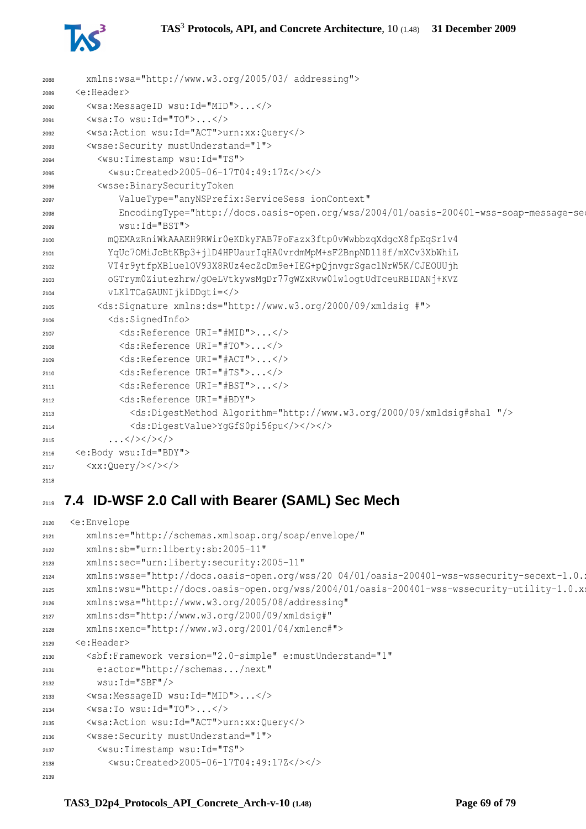#### **TAS**<sup>3</sup> **Protocols, API, and Concrete Architecture**, 10 (1.48) **31 December 2009**



| 2088 | xmlns:wsa="http://www.w3.org/2005/03/ addressing">                                      |
|------|-----------------------------------------------------------------------------------------|
| 2089 | <e:header></e:header>                                                                   |
| 2090 | <wsa:messageid wsu:id="MID"></wsa:messageid>                                            |
| 2091 | $\langle$ wsa:To wsu:Id="TO"> $\langle$ />                                              |
| 2092 | <wsa:action wsu:id="ACT">urn:xx:Query</wsa:action>                                      |
| 2093 | <wsse: mustunderstand="1" security=""></wsse:>                                          |
| 2094 | <wsu:timestamp wsu:id="TS"></wsu:timestamp>                                             |
| 2095 | <wsu:created>2005-06-17T04:49:17Z</wsu:created>                                         |
| 2096 | <wsse:binarysecuritytoken< td=""></wsse:binarysecuritytoken<>                           |
| 2097 | ValueType="anyNSPrefix:ServiceSess ionContext"                                          |
| 2098 | EncodingType="http://docs.oasis-open.org/wss/2004/01/oasis-200401-wss-soap-message-seo  |
| 2099 | wsu: Id="BST">                                                                          |
| 2100 | mQEMAzRniWkAAAEH9RWir0eKDkyFAB7PoFazx3ftp0vWwbbzqXdqcX8fpEqSr1v4                        |
| 2101 | YqUc7OMiJcBtKBp3+jlD4HPUaurIqHA0vrdmMpM+sF2BnpND118f/mXCv3XbWhiL                        |
| 2102 | VT4r9ytfpXBluelOV93X8RUz4ecZcDm9e+IEG+pQjnvqrSqac1NrW5K/CJEOUUjh                        |
| 2103 | oGTrym0Ziutezhrw/qOeLVtkywsMqDr77qWZxRvw01w1oqtUdTceuRBIDANj+KVZ                        |
| 2104 | vLKlTCaGAUNIjkiDDqti=                                                                   |
| 2105 | <ds:signature xmlns:ds="http://www.w3.org/2000/09/xmldsig #"></ds:signature>            |
| 2106 | <ds:signedinfo></ds:signedinfo>                                                         |
| 2107 | <ds:reference uri="#MID"></ds:reference>                                                |
| 2108 | <ds:reference uri="#TO"></ds:reference>                                                 |
| 2109 | <ds:reference uri="#ACT"></ds:reference>                                                |
| 2110 | <ds:reference uri="#TS"></ds:reference>                                                 |
| 2111 | <ds:reference uri="#BST"></ds:reference>                                                |
| 2112 | <ds:reference uri="#BDY"></ds:reference>                                                |
| 2113 | <ds:digestmethod algorithm="http://www.w3.org/2000/09/xmldsig#shal "></ds:digestmethod> |
| 2114 | <ds:digestvalue>YgGfS0pi56pu</ds:digestvalue>                                           |
| 2115 | $\ldots$                                                                                |
| 2116 | <e:body wsu:id="BDY"></e:body>                                                          |
| 2117 | $\langle xx:Query/\rangle\langle t\rangle\langle t\rangle$                              |
| 2118 |                                                                                         |

# **7.4 ID-WSF 2.0 Call with Bearer (SAML) Sec Mech**

```
2120 <e:Envelope
2121 xmlns:e="http://schemas.xmlsoap.org/soap/envelope/"
2122 xmlns:sb="urn:liberty:sb:2005-11"
2123 xmlns:sec="urn:liberty:security:2005-11"
2124 xmlns:wsse="http://docs.oasis-open.org/wss/20 04/01/oasis-200401-wss-wssecurity-secext-1.0.
2125 xmlns:wsu="http://docs.oasis-open.org/wss/2004/01/oasis-200401-wss-wssecurity-utility-1.0.xsd"
2126 xmlns:wsa="http://www.w3.org/2005/08/addressing"
2127 xmlns:ds="http://www.w3.org/2000/09/xmldsig#"
2128 xmlns:xenc="http://www.w3.org/2001/04/xmlenc#">
2129 <e:Header>
2130 <sbf:Framework version="2.0-simple" e:mustUnderstand="1"
2131 e:actor="http://schemas.../next"
2132 wsu:Id="SBF"/>
2133 <wsa:MessageID wsu:Id="MID">...</>
2134 <wsa:To wsu:Id="TO">...</>
2135 <wsa:Action wsu:Id="ACT">urn:xx:Query</>
2136 <wsse:Security mustUnderstand="1">
2137 <wsu:Timestamp wsu:Id="TS">
2138 <wsu:Created>2005-06-17T04:49:17Z</></>
2139
```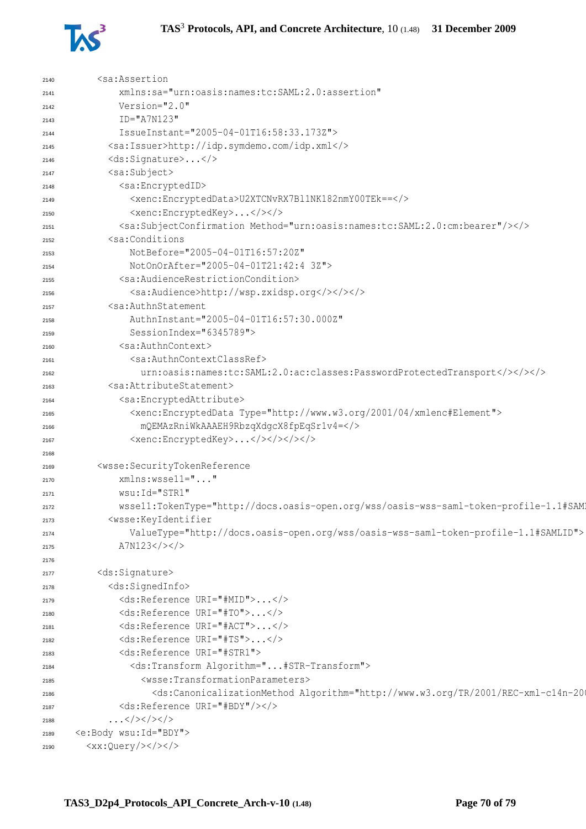

| 2140 | <sa:assertion< th=""></sa:assertion<>                                                                                                                                                                          |
|------|----------------------------------------------------------------------------------------------------------------------------------------------------------------------------------------------------------------|
| 2141 | xmlns:sa="urn:oasis:names:tc:SAML:2.0:assertion"                                                                                                                                                               |
| 2142 | Version="2.0"                                                                                                                                                                                                  |
| 2143 | $ID="A7N123"$                                                                                                                                                                                                  |
| 2144 | IssueInstant="2005-04-01T16:58:33.173Z">                                                                                                                                                                       |
| 2145 | <sa:issuer>http://idp.symdemo.com/idp.xml</sa:issuer>                                                                                                                                                          |
| 2146 | <ds:signature></ds:signature>                                                                                                                                                                                  |
| 2147 | <sa:subject></sa:subject>                                                                                                                                                                                      |
| 2148 | <sa:encryptedid></sa:encryptedid>                                                                                                                                                                              |
| 2149 | <xenc:encrypteddata>U2XTCNvRX7Bl1NK182nmY00TEk == &lt; /&gt;</xenc:encrypteddata>                                                                                                                              |
| 2150 | <xenc:encryptedkey></xenc:encryptedkey>                                                                                                                                                                        |
| 2151 | <sa:subjectconfirmation method="urn:oasis:names:tc:SAML:2.0:cm:bearer"></sa:subjectconfirmation>                                                                                                               |
| 2152 | <sa:conditions< th=""></sa:conditions<>                                                                                                                                                                        |
| 2153 | NotBefore="2005-04-01T16:57:20Z"                                                                                                                                                                               |
| 2154 | NotOnOrAfter="2005-04-01T21:42:4 3Z">                                                                                                                                                                          |
| 2155 | <sa:audiencerestrictioncondition></sa:audiencerestrictioncondition>                                                                                                                                            |
| 2156 | <sa:audience>http://wsp.zxidsp.org</sa:audience>                                                                                                                                                               |
| 2157 | <sa:authnstatement< th=""></sa:authnstatement<>                                                                                                                                                                |
| 2158 | AuthnInstant="2005-04-01T16:57:30.000Z"                                                                                                                                                                        |
| 2159 | SessionIndex="6345789">                                                                                                                                                                                        |
| 2160 | <sa:authncontext></sa:authncontext>                                                                                                                                                                            |
| 2161 | <sa:authncontextclassref></sa:authncontextclassref>                                                                                                                                                            |
| 2162 | urn:oasis:names:tc:SAML:2.0:ac:classes:PasswordProtectedTransport>>>>                                                                                                                                          |
| 2163 | <sa:attributestatement></sa:attributestatement>                                                                                                                                                                |
| 2164 | <sa:encryptedattribute></sa:encryptedattribute>                                                                                                                                                                |
| 2165 | <xenc:encrypteddata type="http://www.w3.org/2001/04/xmlenc#Element"></xenc:encrypteddata>                                                                                                                      |
| 2166 | mQEMAzRniWkAAAEH9RbzqXdgcX8fpEqSr1v4=                                                                                                                                                                          |
| 2167 | <xenc:encryptedkey></xenc:encryptedkey>                                                                                                                                                                        |
| 2168 |                                                                                                                                                                                                                |
| 2169 | <wsse:securitytokenreference< th=""></wsse:securitytokenreference<>                                                                                                                                            |
| 2170 | xmlns:wssell=""                                                                                                                                                                                                |
| 2171 | wsu: Id="STR1"                                                                                                                                                                                                 |
| 2172 | wssell:TokenType="http://docs.oasis-open.org/wss/oasis-wss-saml-token-profile-1.1#SAM                                                                                                                          |
| 2173 | <wsse:keyidentifier< th=""></wsse:keyidentifier<>                                                                                                                                                              |
| 2174 | ValueType="http://docs.oasis-open.org/wss/oasis-wss-saml-token-profile-1.1#SAMLID">                                                                                                                            |
| 2175 | A7N123                                                                                                                                                                                                         |
| 2176 |                                                                                                                                                                                                                |
| 2177 | <ds:signature></ds:signature>                                                                                                                                                                                  |
| 2178 | <ds:signedinfo></ds:signedinfo>                                                                                                                                                                                |
| 2179 | <ds:reference uri="#MID"></ds:reference>                                                                                                                                                                       |
| 2180 | <ds:reference uri="#TO"></ds:reference>                                                                                                                                                                        |
| 2181 | <ds:reference uri="#ACT"></ds:reference>                                                                                                                                                                       |
| 2182 | <ds:reference uri="#TS"></ds:reference>                                                                                                                                                                        |
| 2183 | <ds:reference uri="#STR1"></ds:reference>                                                                                                                                                                      |
| 2184 | <ds:transform algorithm="#STR-Transform"></ds:transform>                                                                                                                                                       |
| 2185 | <wsse:transformationparameters></wsse:transformationparameters>                                                                                                                                                |
| 2186 | <ds:canonicalizationmethod #bdy"="" algorithm="http://www.w3.org/TR/2001/REC-xml-c14n-20&lt;/th&gt;&lt;/tr&gt;&lt;tr&gt;&lt;th&gt;2187&lt;/th&gt;&lt;th&gt;&lt;ds:Reference URI="></ds:canonicalizationmethod> |
| 2188 | $\ldots$                                                                                                                                                                                                       |
| 2189 | <e:body wsu:id="BDY"></e:body>                                                                                                                                                                                 |
| 2190 | $$                                                                                                                                                                                                             |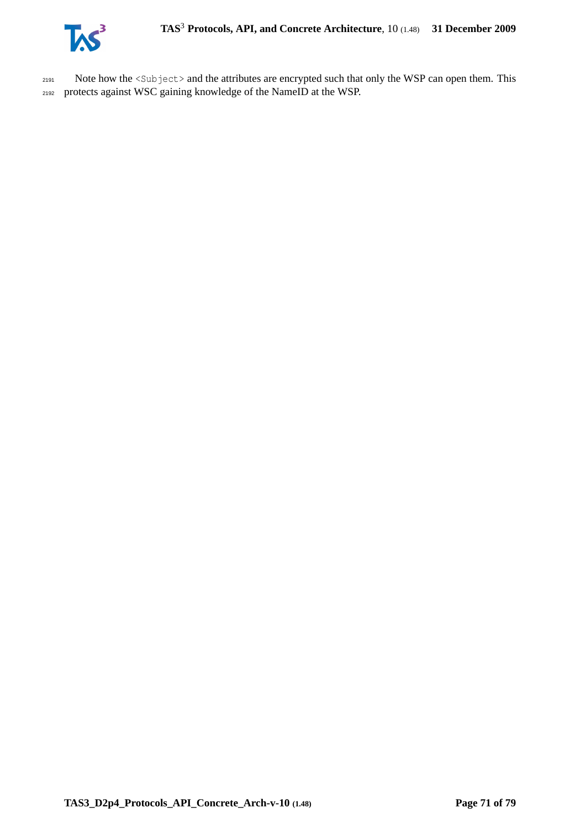

2191 Note how the <Subject> and the attributes are encrypted such that only the WSP can open them. This <sup>2192</sup> protects against WSC gaining knowledge of the NameID at the WSP.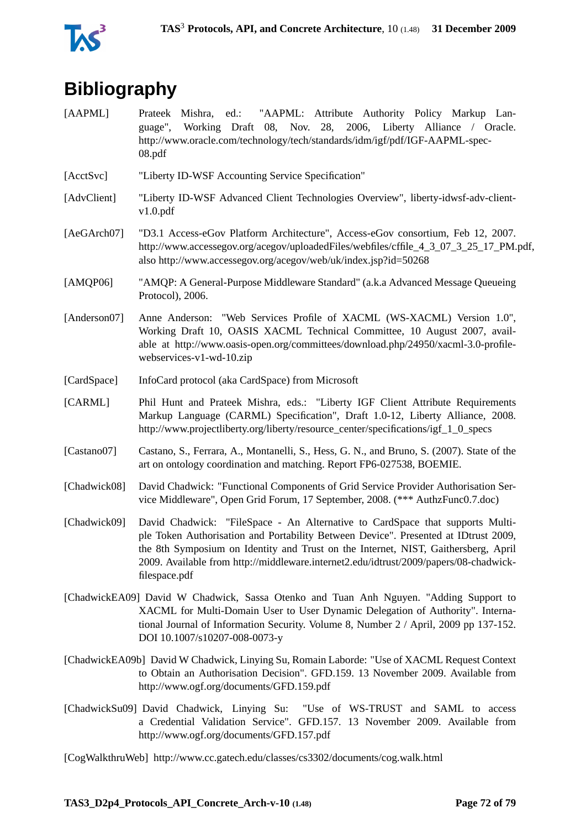

# **Bibliography**

- [AAPML] Prateek Mishra, ed.: "AAPML: Attribute Authority Policy Markup Language", Working Draft 08, Nov. 28, 2006, Liberty Alliance / Oracle. http://www.oracle.com/technology/tech/standards/idm/igf/pdf/IGF-AAPML-spec-08.pdf
- [AcctSvc] "Liberty ID-WSF Accounting Service Specification"
- [AdvClient] "Liberty ID-WSF Advanced Client Technologies Overview", liberty-idwsf-adv-clientv1.0.pdf
- [AeGArch07] "D3.1 Access-eGov Platform Architecture", Access-eGov consortium, Feb 12, 2007. http://www.accessegov.org/acegov/uploadedFiles/webfiles/cffile\_4\_3\_07\_3\_25\_17\_PM.pdf, also http://www.accessegov.org/acegov/web/uk/index.jsp?id=50268
- [AMQP06] "AMQP: A General-Purpose Middleware Standard" (a.k.a Advanced Message Queueing Protocol), 2006.
- [Anderson07] Anne Anderson: "Web Services Profile of XACML (WS-XACML) Version 1.0", Working Draft 10, OASIS XACML Technical Committee, 10 August 2007, available at http://www.oasis-open.org/committees/download.php/24950/xacml-3.0-profilewebservices-v1-wd-10.zip
- [CardSpace] InfoCard protocol (aka CardSpace) from Microsoft
- [CARML] Phil Hunt and Prateek Mishra, eds.: "Liberty IGF Client Attribute Requirements Markup Language (CARML) Specification", Draft 1.0-12, Liberty Alliance, 2008. http://www.projectliberty.org/liberty/resource\_center/specifications/igf\_1\_0\_specs
- [Castano07] Castano, S., Ferrara, A., Montanelli, S., Hess, G. N., and Bruno, S. (2007). State of the art on ontology coordination and matching. Report FP6-027538, BOEMIE.
- [Chadwick08] David Chadwick: "Functional Components of Grid Service Provider Authorisation Service Middleware", Open Grid Forum, 17 September, 2008. (\*\*\* AuthzFunc0.7.doc)
- [Chadwick09] David Chadwick: "FileSpace An Alternative to CardSpace that supports Multiple Token Authorisation and Portability Between Device". Presented at IDtrust 2009, the 8th Symposium on Identity and Trust on the Internet, NIST, Gaithersberg, April 2009. Available from http://middleware.internet2.edu/idtrust/2009/papers/08-chadwickfilespace.pdf
- [ChadwickEA09] David W Chadwick, Sassa Otenko and Tuan Anh Nguyen. "Adding Support to XACML for Multi-Domain User to User Dynamic Delegation of Authority". International Journal of Information Security. Volume 8, Number 2 / April, 2009 pp 137-152. DOI 10.1007/s10207-008-0073-y
- [ChadwickEA09b] David W Chadwick, Linying Su, Romain Laborde: "Use of XACML Request Context to Obtain an Authorisation Decision". GFD.159. 13 November 2009. Available from http://www.ogf.org/documents/GFD.159.pdf
- [ChadwickSu09] David Chadwick, Linying Su: "Use of WS-TRUST and SAML to access a Credential Validation Service". GFD.157. 13 November 2009. Available from http://www.ogf.org/documents/GFD.157.pdf

[CogWalkthruWeb] http://www.cc.gatech.edu/classes/cs3302/documents/cog.walk.html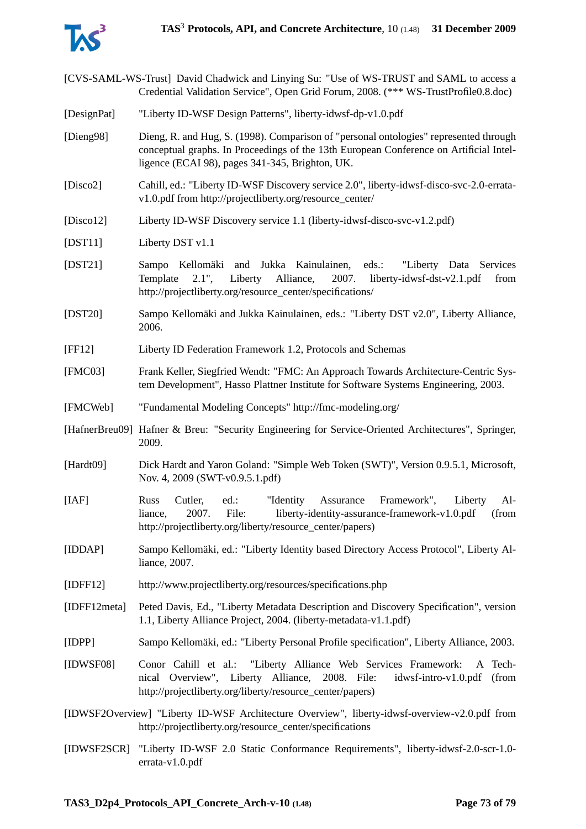

- [CVS-SAML-WS-Trust] David Chadwick and Linying Su: "Use of WS-TRUST and SAML to access a Credential Validation Service", Open Grid Forum, 2008. (\*\*\* WS-TrustProfile0.8.doc)
- [DesignPat] "Liberty ID-WSF Design Patterns", liberty-idwsf-dp-v1.0.pdf
- [Dieng98] Dieng, R. and Hug, S. (1998). Comparison of "personal ontologies" represented through conceptual graphs. In Proceedings of the 13th European Conference on Artificial Intelligence (ECAI 98), pages 341-345, Brighton, UK.
- [Disco2] Cahill, ed.: "Liberty ID-WSF Discovery service 2.0", liberty-idwsf-disco-svc-2.0-erratav1.0.pdf from http://projectliberty.org/resource\_center/
- [Disco12] Liberty ID-WSF Discovery service 1.1 (liberty-idwsf-disco-svc-v1.2.pdf)
- [DST11] Liberty DST v1.1
- [DST21] Sampo Kellomäki and Jukka Kainulainen, eds.: "Liberty Data Services Template 2.1", Liberty Alliance, 2007. liberty-idwsf-dst-v2.1.pdf from http://projectliberty.org/resource\_center/specifications/
- [DST20] Sampo Kellomäki and Jukka Kainulainen, eds.: "Liberty DST v2.0", Liberty Alliance, 2006.
- [FF12] Liberty ID Federation Framework 1.2, Protocols and Schemas
- [FMC03] Frank Keller, Siegfried Wendt: "FMC: An Approach Towards Architecture-Centric System Development", Hasso Plattner Institute for Software Systems Engineering, 2003.
- [FMCWeb] "Fundamental Modeling Concepts" http://fmc-modeling.org/
- [HafnerBreu09] Hafner & Breu: "Security Engineering for Service-Oriented Architectures", Springer, 2009.
- [Hardt09] Dick Hardt and Yaron Goland: "Simple Web Token (SWT)", Version 0.9.5.1, Microsoft, Nov. 4, 2009 (SWT-v0.9.5.1.pdf)
- [IAF] Russ Cutler, ed.: "Identity Assurance Framework", Liberty Alliance, 2007. File: liberty-identity-assurance-framework-v1.0.pdf (from http://projectliberty.org/liberty/resource\_center/papers)
- [IDDAP] Sampo Kellomäki, ed.: "Liberty Identity based Directory Access Protocol", Liberty Alliance, 2007.
- [IDFF12] http://www.projectliberty.org/resources/specifications.php
- [IDFF12meta] Peted Davis, Ed., "Liberty Metadata Description and Discovery Specification", version 1.1, Liberty Alliance Project, 2004. (liberty-metadata-v1.1.pdf)
- [IDPP] Sampo Kellomäki, ed.: "Liberty Personal Profile specification", Liberty Alliance, 2003.
- [IDWSF08] Conor Cahill et al.: "Liberty Alliance Web Services Framework: A Technical Overview", Liberty Alliance, 2008. File: idwsf-intro-v1.0.pdf (from http://projectliberty.org/liberty/resource\_center/papers)
- [IDWSF2Overview] "Liberty ID-WSF Architecture Overview", liberty-idwsf-overview-v2.0.pdf from http://projectliberty.org/resource\_center/specifications
- [IDWSF2SCR] "Liberty ID-WSF 2.0 Static Conformance Requirements", liberty-idwsf-2.0-scr-1.0 errata-v1.0.pdf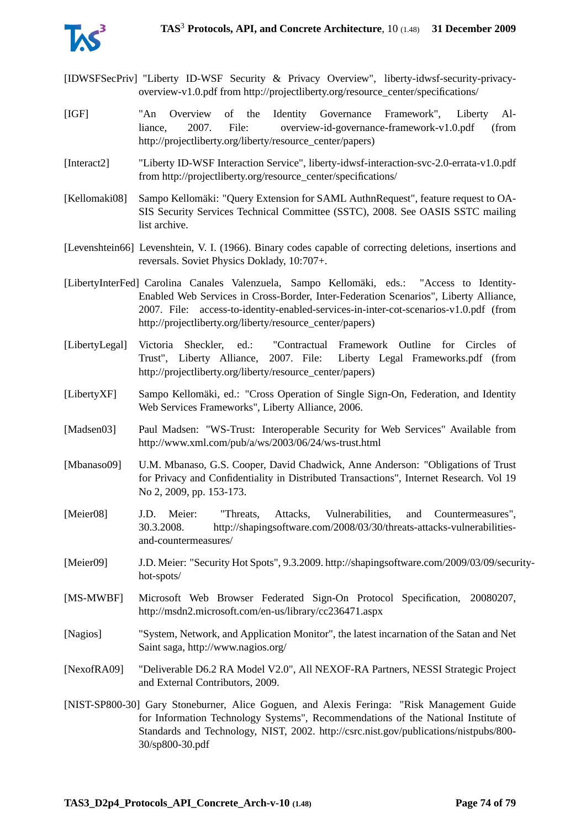

- [IDWSFSecPriv] "Liberty ID-WSF Security & Privacy Overview", liberty-idwsf-security-privacyoverview-v1.0.pdf from http://projectliberty.org/resource\_center/specifications/
- [IGF] "An Overview of the Identity Governance Framework", Liberty Alliance, 2007. File: overview-id-governance-framework-v1.0.pdf (from http://projectliberty.org/liberty/resource\_center/papers)
- [Interact2] "Liberty ID-WSF Interaction Service", liberty-idwsf-interaction-svc-2.0-errata-v1.0.pdf from http://projectliberty.org/resource\_center/specifications/
- [Kellomaki08] Sampo Kellomäki: "Query Extension for SAML AuthnRequest", feature request to OA-SIS Security Services Technical Committee (SSTC), 2008. See OASIS SSTC mailing list archive.
- [Levenshtein66] Levenshtein, V. I. (1966). Binary codes capable of correcting deletions, insertions and reversals. Soviet Physics Doklady, 10:707+.
- [LibertyInterFed] Carolina Canales Valenzuela, Sampo Kellomäki, eds.: "Access to Identity-Enabled Web Services in Cross-Border, Inter-Federation Scenarios", Liberty Alliance, 2007. File: access-to-identity-enabled-services-in-inter-cot-scenarios-v1.0.pdf (from http://projectliberty.org/liberty/resource\_center/papers)
- [LibertyLegal] Victoria Sheckler, ed.: "Contractual Framework Outline for Circles of Trust", Liberty Alliance, 2007. File: Liberty Legal Frameworks.pdf (from http://projectliberty.org/liberty/resource\_center/papers)
- [LibertyXF] Sampo Kellomäki, ed.: "Cross Operation of Single Sign-On, Federation, and Identity Web Services Frameworks", Liberty Alliance, 2006.
- [Madsen03] Paul Madsen: "WS-Trust: Interoperable Security for Web Services" Available from http://www.xml.com/pub/a/ws/2003/06/24/ws-trust.html
- [Mbanaso09] U.M. Mbanaso, G.S. Cooper, David Chadwick, Anne Anderson: "Obligations of Trust for Privacy and Confidentiality in Distributed Transactions", Internet Research. Vol 19 No 2, 2009, pp. 153-173.
- [Meier08] J.D. Meier: "Threats, Attacks, Vulnerabilities, and Countermeasures", 30.3.2008. http://shapingsoftware.com/2008/03/30/threats-attacks-vulnerabilitiesand-countermeasures/
- [Meier09] J.D. Meier: "Security Hot Spots", 9.3.2009. http://shapingsoftware.com/2009/03/09/securityhot-spots/
- [MS-MWBF] Microsoft Web Browser Federated Sign-On Protocol Specification, 20080207, http://msdn2.microsoft.com/en-us/library/cc236471.aspx
- [Nagios] "System, Network, and Application Monitor", the latest incarnation of the Satan and Net Saint saga, http://www.nagios.org/
- [NexofRA09] "Deliverable D6.2 RA Model V2.0", All NEXOF-RA Partners, NESSI Strategic Project and External Contributors, 2009.
- [NIST-SP800-30] Gary Stoneburner, Alice Goguen, and Alexis Feringa: "Risk Management Guide for Information Technology Systems", Recommendations of the National Institute of Standards and Technology, NIST, 2002. http://csrc.nist.gov/publications/nistpubs/800- 30/sp800-30.pdf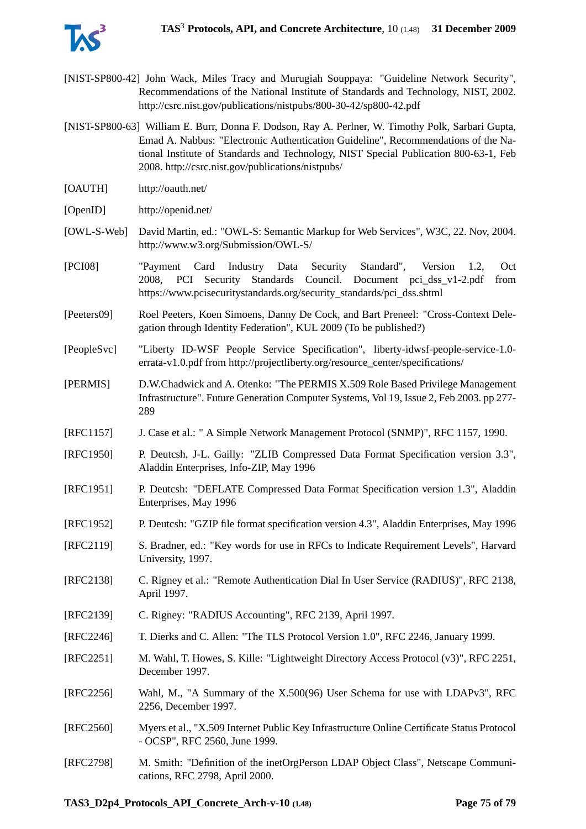

- [NIST-SP800-42] John Wack, Miles Tracy and Murugiah Souppaya: "Guideline Network Security", Recommendations of the National Institute of Standards and Technology, NIST, 2002. http://csrc.nist.gov/publications/nistpubs/800-30-42/sp800-42.pdf
- [NIST-SP800-63] William E. Burr, Donna F. Dodson, Ray A. Perlner, W. Timothy Polk, Sarbari Gupta, Emad A. Nabbus: "Electronic Authentication Guideline", Recommendations of the National Institute of Standards and Technology, NIST Special Publication 800-63-1, Feb 2008. http://csrc.nist.gov/publications/nistpubs/
- [OAUTH] http://oauth.net/
- [OpenID] http://openid.net/
- [OWL-S-Web] David Martin, ed.: "OWL-S: Semantic Markup for Web Services", W3C, 22. Nov, 2004. http://www.w3.org/Submission/OWL-S/
- [PCI08] "Payment Card Industry Data Security Standard", Version 1.2, Oct 2008, PCI Security Standards Council. Document pci\_dss\_v1-2.pdf from https://www.pcisecuritystandards.org/security\_standards/pci\_dss.shtml
- [Peeters09] Roel Peeters, Koen Simoens, Danny De Cock, and Bart Preneel: "Cross-Context Delegation through Identity Federation", KUL 2009 (To be published?)
- [PeopleSvc] "Liberty ID-WSF People Service Specification", liberty-idwsf-people-service-1.0 errata-v1.0.pdf from http://projectliberty.org/resource\_center/specifications/
- [PERMIS] D.W.Chadwick and A. Otenko: "The PERMIS X.509 Role Based Privilege Management Infrastructure". Future Generation Computer Systems, Vol 19, Issue 2, Feb 2003. pp 277- 289
- [RFC1157] J. Case et al.: " A Simple Network Management Protocol (SNMP)", RFC 1157, 1990.
- [RFC1950] P. Deutcsh, J-L. Gailly: "ZLIB Compressed Data Format Specification version 3.3", Aladdin Enterprises, Info-ZIP, May 1996
- [RFC1951] P. Deutcsh: "DEFLATE Compressed Data Format Specification version 1.3", Aladdin Enterprises, May 1996
- [RFC1952] P. Deutcsh: "GZIP file format specification version 4.3", Aladdin Enterprises, May 1996
- [RFC2119] S. Bradner, ed.: "Key words for use in RFCs to Indicate Requirement Levels", Harvard University, 1997.
- [RFC2138] C. Rigney et al.: "Remote Authentication Dial In User Service (RADIUS)", RFC 2138, April 1997.
- [RFC2139] C. Rigney: "RADIUS Accounting", RFC 2139, April 1997.
- [RFC2246] T. Dierks and C. Allen: "The TLS Protocol Version 1.0", RFC 2246, January 1999.
- [RFC2251] M. Wahl, T. Howes, S. Kille: "Lightweight Directory Access Protocol (v3)", RFC 2251, December 1997.
- [RFC2256] Wahl, M., "A Summary of the X.500(96) User Schema for use with LDAPv3", RFC 2256, December 1997.
- [RFC2560] Myers et al., "X.509 Internet Public Key Infrastructure Online Certificate Status Protocol - OCSP", RFC 2560, June 1999.
- [RFC2798] M. Smith: "Definition of the inetOrgPerson LDAP Object Class", Netscape Communications, RFC 2798, April 2000.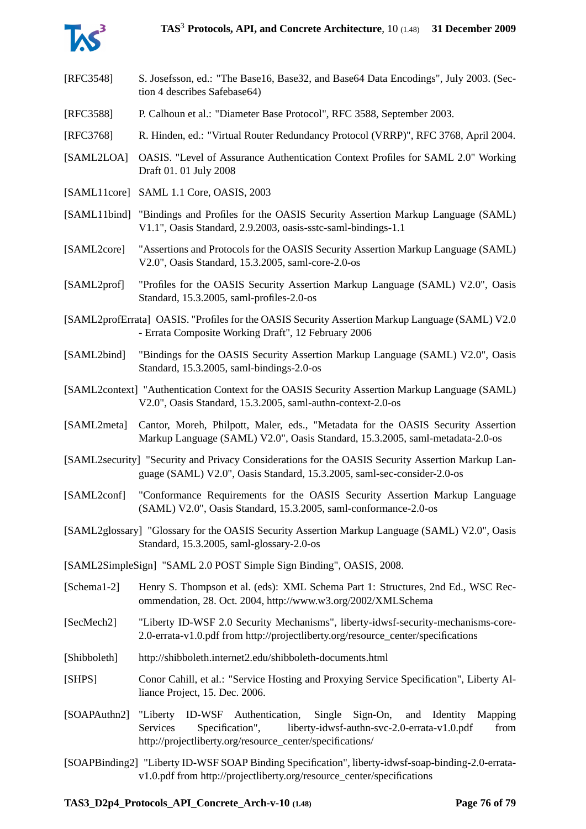

- [RFC3548] S. Josefsson, ed.: "The Base16, Base32, and Base64 Data Encodings", July 2003. (Section 4 describes Safebase64)
- [RFC3588] P. Calhoun et al.: "Diameter Base Protocol", RFC 3588, September 2003.
- [RFC3768] R. Hinden, ed.: "Virtual Router Redundancy Protocol (VRRP)", RFC 3768, April 2004.
- [SAML2LOA] OASIS. "Level of Assurance Authentication Context Profiles for SAML 2.0" Working Draft 01. 01 July 2008
- [SAML11core] SAML 1.1 Core, OASIS, 2003
- [SAML11bind] "Bindings and Profiles for the OASIS Security Assertion Markup Language (SAML) V1.1", Oasis Standard, 2.9.2003, oasis-sstc-saml-bindings-1.1
- [SAML2core] "Assertions and Protocols for the OASIS Security Assertion Markup Language (SAML) V2.0", Oasis Standard, 15.3.2005, saml-core-2.0-os
- [SAML2prof] "Profiles for the OASIS Security Assertion Markup Language (SAML) V2.0", Oasis Standard, 15.3.2005, saml-profiles-2.0-os
- [SAML2profErrata] OASIS. "Profiles for the OASIS Security Assertion Markup Language (SAML) V2.0 - Errata Composite Working Draft", 12 February 2006
- [SAML2bind] "Bindings for the OASIS Security Assertion Markup Language (SAML) V2.0", Oasis Standard, 15.3.2005, saml-bindings-2.0-os
- [SAML2context] "Authentication Context for the OASIS Security Assertion Markup Language (SAML) V2.0", Oasis Standard, 15.3.2005, saml-authn-context-2.0-os
- [SAML2meta] Cantor, Moreh, Philpott, Maler, eds., "Metadata for the OASIS Security Assertion Markup Language (SAML) V2.0", Oasis Standard, 15.3.2005, saml-metadata-2.0-os
- [SAML2security] "Security and Privacy Considerations for the OASIS Security Assertion Markup Language (SAML) V2.0", Oasis Standard, 15.3.2005, saml-sec-consider-2.0-os
- [SAML2conf] "Conformance Requirements for the OASIS Security Assertion Markup Language (SAML) V2.0", Oasis Standard, 15.3.2005, saml-conformance-2.0-os
- [SAML2glossary] "Glossary for the OASIS Security Assertion Markup Language (SAML) V2.0", Oasis Standard, 15.3.2005, saml-glossary-2.0-os
- [SAML2SimpleSign] "SAML 2.0 POST Simple Sign Binding", OASIS, 2008.
- [Schema1-2] Henry S. Thompson et al. (eds): XML Schema Part 1: Structures, 2nd Ed., WSC Recommendation, 28. Oct. 2004, http://www.w3.org/2002/XMLSchema
- [SecMech2] "Liberty ID-WSF 2.0 Security Mechanisms", liberty-idwsf-security-mechanisms-core-2.0-errata-v1.0.pdf from http://projectliberty.org/resource\_center/specifications
- [Shibboleth] http://shibboleth.internet2.edu/shibboleth-documents.html
- [SHPS] Conor Cahill, et al.: "Service Hosting and Proxying Service Specification", Liberty Alliance Project, 15. Dec. 2006.
- [SOAPAuthn2] "Liberty ID-WSF Authentication, Single Sign-On, and Identity Mapping Services Specification", liberty-idwsf-authn-svc-2.0-errata-v1.0.pdf from http://projectliberty.org/resource\_center/specifications/
- [SOAPBinding2] "Liberty ID-WSF SOAP Binding Specification", liberty-idwsf-soap-binding-2.0-erratav1.0.pdf from http://projectliberty.org/resource\_center/specifications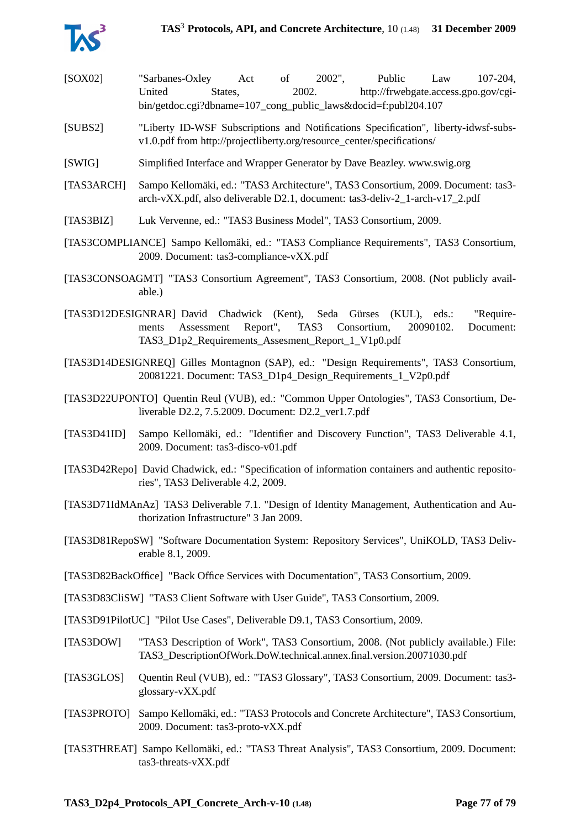

- [SOX02] "Sarbanes-Oxley Act of 2002", Public Law 107-204, United States, 2002. http://frwebgate.access.gpo.gov/cgibin/getdoc.cgi?dbname=107 cong\_public\_laws&docid=f:publ204.107
- [SUBS2] "Liberty ID-WSF Subscriptions and Notifications Specification", liberty-idwsf-subsv1.0.pdf from http://projectliberty.org/resource\_center/specifications/
- [SWIG] Simplified Interface and Wrapper Generator by Dave Beazley. www.swig.org
- [TAS3ARCH] Sampo Kellomäki, ed.: "TAS3 Architecture", TAS3 Consortium, 2009. Document: tas3 arch-vXX.pdf, also deliverable D2.1, document: tas3-deliv-2\_1-arch-v17\_2.pdf
- [TAS3BIZ] Luk Vervenne, ed.: "TAS3 Business Model", TAS3 Consortium, 2009.
- [TAS3COMPLIANCE] Sampo Kellomäki, ed.: "TAS3 Compliance Requirements", TAS3 Consortium, 2009. Document: tas3-compliance-vXX.pdf
- [TAS3CONSOAGMT] "TAS3 Consortium Agreement", TAS3 Consortium, 2008. (Not publicly available.)
- [TAS3D12DESIGNRAR] David Chadwick (Kent), Seda Gürses (KUL), eds.: "Requirements Assessment Report", TAS3 Consortium, 20090102. Document: TAS3\_D1p2\_Requirements\_Assesment\_Report\_1\_V1p0.pdf
- [TAS3D14DESIGNREQ] Gilles Montagnon (SAP), ed.: "Design Requirements", TAS3 Consortium, 20081221. Document: TAS3\_D1p4\_Design\_Requirements\_1\_V2p0.pdf
- [TAS3D22UPONTO] Quentin Reul (VUB), ed.: "Common Upper Ontologies", TAS3 Consortium, Deliverable D2.2, 7.5.2009. Document: D2.2\_ver1.7.pdf
- [TAS3D41ID] Sampo Kellomäki, ed.: "Identifier and Discovery Function", TAS3 Deliverable 4.1, 2009. Document: tas3-disco-v01.pdf
- [TAS3D42Repo] David Chadwick, ed.: "Specification of information containers and authentic repositories", TAS3 Deliverable 4.2, 2009.
- [TAS3D71IdMAnAz] TAS3 Deliverable 7.1. "Design of Identity Management, Authentication and Authorization Infrastructure" 3 Jan 2009.
- [TAS3D81RepoSW] "Software Documentation System: Repository Services", UniKOLD, TAS3 Deliverable 8.1, 2009.
- [TAS3D82BackOffice] "Back Office Services with Documentation", TAS3 Consortium, 2009.
- [TAS3D83CliSW] "TAS3 Client Software with User Guide", TAS3 Consortium, 2009.
- [TAS3D91PilotUC] "Pilot Use Cases", Deliverable D9.1, TAS3 Consortium, 2009.
- [TAS3DOW] "TAS3 Description of Work", TAS3 Consortium, 2008. (Not publicly available.) File: TAS3\_DescriptionOfWork.DoW.technical.annex.final.version.20071030.pdf
- [TAS3GLOS] Quentin Reul (VUB), ed.: "TAS3 Glossary", TAS3 Consortium, 2009. Document: tas3 glossary-vXX.pdf
- [TAS3PROTO] Sampo Kellomäki, ed.: "TAS3 Protocols and Concrete Architecture", TAS3 Consortium, 2009. Document: tas3-proto-vXX.pdf
- [TAS3THREAT] Sampo Kellomäki, ed.: "TAS3 Threat Analysis", TAS3 Consortium, 2009. Document: tas3-threats-vXX.pdf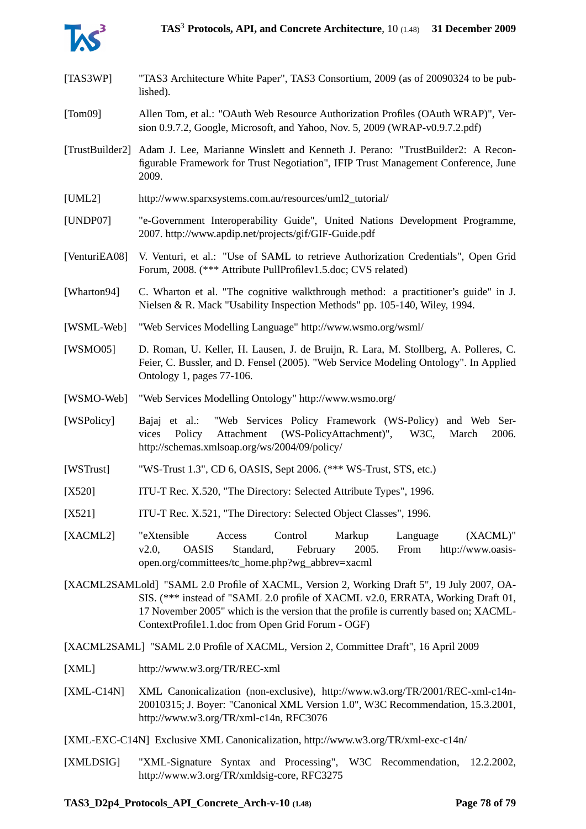

- [TAS3WP] "TAS3 Architecture White Paper", TAS3 Consortium, 2009 (as of 20090324 to be published).
- [Tom09] Allen Tom, et al.: "OAuth Web Resource Authorization Profiles (OAuth WRAP)", Version 0.9.7.2, Google, Microsoft, and Yahoo, Nov. 5, 2009 (WRAP-v0.9.7.2.pdf)
- [TrustBuilder2] Adam J. Lee, Marianne Winslett and Kenneth J. Perano: "TrustBuilder2: A Reconfigurable Framework for Trust Negotiation", IFIP Trust Management Conference, June 2009.
- [UML2] http://www.sparxsystems.com.au/resources/uml2\_tutorial/
- [UNDP07] "e-Government Interoperability Guide", United Nations Development Programme, 2007. http://www.apdip.net/projects/gif/GIF-Guide.pdf
- [VenturiEA08] V. Venturi, et al.: "Use of SAML to retrieve Authorization Credentials", Open Grid Forum, 2008. (\*\*\* Attribute PullProfilev1.5.doc; CVS related)
- [Wharton94] C. Wharton et al. "The cognitive walkthrough method: a practitioner's guide" in J. Nielsen & R. Mack "Usability Inspection Methods" pp. 105-140, Wiley, 1994.
- [WSML-Web] "Web Services Modelling Language" http://www.wsmo.org/wsml/
- [WSMO05] D. Roman, U. Keller, H. Lausen, J. de Bruijn, R. Lara, M. Stollberg, A. Polleres, C. Feier, C. Bussler, and D. Fensel (2005). "Web Service Modeling Ontology". In Applied Ontology 1, pages 77-106.
- [WSMO-Web] "Web Services Modelling Ontology" http://www.wsmo.org/
- [WSPolicy] Bajaj et al.: "Web Services Policy Framework (WS-Policy) and Web Services Policy Attachment (WS-PolicyAttachment)", W3C, March 2006. http://schemas.xmlsoap.org/ws/2004/09/policy/
- [WSTrust] "WS-Trust 1.3", CD 6, OASIS, Sept 2006. (\*\*\* WS-Trust, STS, etc.)
- [X520] ITU-T Rec. X.520, "The Directory: Selected Attribute Types", 1996.
- [X521] ITU-T Rec. X.521, "The Directory: Selected Object Classes", 1996.
- [XACML2] "eXtensible Access Control Markup Language (XACML)" v2.0, OASIS Standard, February 2005. From http://www.oasisopen.org/committees/tc\_home.php?wg\_abbrev=xacml
- [XACML2SAMLold] "SAML 2.0 Profile of XACML, Version 2, Working Draft 5", 19 July 2007, OA-SIS. (\*\*\* instead of "SAML 2.0 profile of XACML v2.0, ERRATA, Working Draft 01, 17 November 2005" which is the version that the profile is currently based on; XACML-ContextProfile1.1.doc from Open Grid Forum - OGF)

[XACML2SAML] "SAML 2.0 Profile of XACML, Version 2, Committee Draft", 16 April 2009

- [XML] http://www.w3.org/TR/REC-xml
- [XML-C14N] XML Canonicalization (non-exclusive), http://www.w3.org/TR/2001/REC-xml-c14n-20010315; J. Boyer: "Canonical XML Version 1.0", W3C Recommendation, 15.3.2001, http://www.w3.org/TR/xml-c14n, RFC3076
- [XML-EXC-C14N] Exclusive XML Canonicalization, http://www.w3.org/TR/xml-exc-c14n/
- [XMLDSIG] "XML-Signature Syntax and Processing", W3C Recommendation, 12.2.2002, http://www.w3.org/TR/xmldsig-core, RFC3275

## **TAS3\_D2p4\_Protocols\_API\_Concrete\_Arch-v-10 (1.48) Page 78 of [79](#page-78-0)**